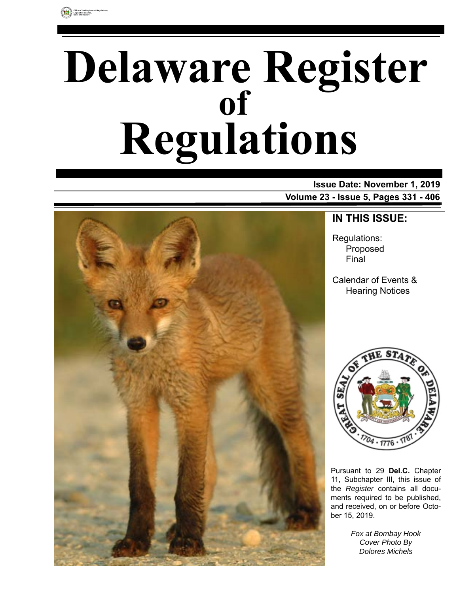

# **Delaware Register Regulations of**

**Issue Date: November 1, 2019 Volume 23 - Issue 5, Pages 331 - 406**



### **IN THIS ISSUE:**

Regulations: Proposed Final

Calendar of Events & Hearing Notices



Pursuant to 29 **Del.C.** Chapter 11, Subchapter III, this issue of the *Register* contains all documents required to be published, and received, on or before October 15, 2019.

> *Fox at Bombay Hook Cover Photo By Dolores Michels*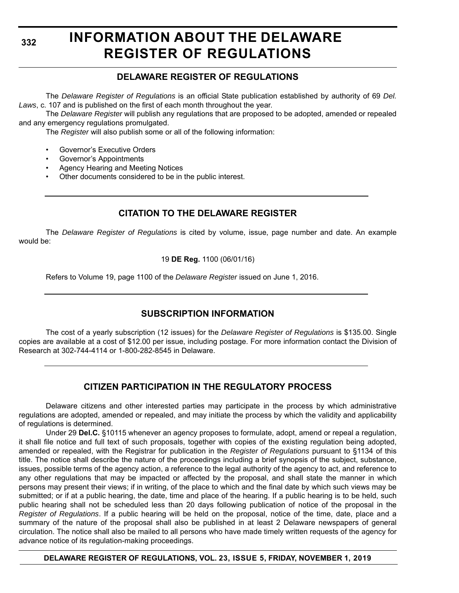**332**

### **INFORMATION ABOUT THE DELAWARE REGISTER OF REGULATIONS**

#### **DELAWARE REGISTER OF REGULATIONS**

The *Delaware Register of Regulations* is an official State publication established by authority of 69 *Del. Laws*, c. 107 and is published on the first of each month throughout the year.

The *Delaware Register* will publish any regulations that are proposed to be adopted, amended or repealed and any emergency regulations promulgated.

The *Register* will also publish some or all of the following information:

- Governor's Executive Orders
- Governor's Appointments
- Agency Hearing and Meeting Notices
- Other documents considered to be in the public interest.

#### **CITATION TO THE DELAWARE REGISTER**

The *Delaware Register of Regulations* is cited by volume, issue, page number and date. An example would be:

19 **DE Reg.** 1100 (06/01/16)

Refers to Volume 19, page 1100 of the *Delaware Register* issued on June 1, 2016.

#### **SUBSCRIPTION INFORMATION**

The cost of a yearly subscription (12 issues) for the *Delaware Register of Regulations* is \$135.00. Single copies are available at a cost of \$12.00 per issue, including postage. For more information contact the Division of Research at 302-744-4114 or 1-800-282-8545 in Delaware.

#### **CITIZEN PARTICIPATION IN THE REGULATORY PROCESS**

Delaware citizens and other interested parties may participate in the process by which administrative regulations are adopted, amended or repealed, and may initiate the process by which the validity and applicability of regulations is determined.

Under 29 **Del.C.** §10115 whenever an agency proposes to formulate, adopt, amend or repeal a regulation, it shall file notice and full text of such proposals, together with copies of the existing regulation being adopted, amended or repealed, with the Registrar for publication in the *Register of Regulations* pursuant to §1134 of this title. The notice shall describe the nature of the proceedings including a brief synopsis of the subject, substance, issues, possible terms of the agency action, a reference to the legal authority of the agency to act, and reference to any other regulations that may be impacted or affected by the proposal, and shall state the manner in which persons may present their views; if in writing, of the place to which and the final date by which such views may be submitted; or if at a public hearing, the date, time and place of the hearing. If a public hearing is to be held, such public hearing shall not be scheduled less than 20 days following publication of notice of the proposal in the *Register of Regulations*. If a public hearing will be held on the proposal, notice of the time, date, place and a summary of the nature of the proposal shall also be published in at least 2 Delaware newspapers of general circulation. The notice shall also be mailed to all persons who have made timely written requests of the agency for advance notice of its regulation-making proceedings.

**DELAWARE REGISTER OF REGULATIONS, VOL. 23, ISSUE 5, FRIDAY, NOVEMBER 1, 2019**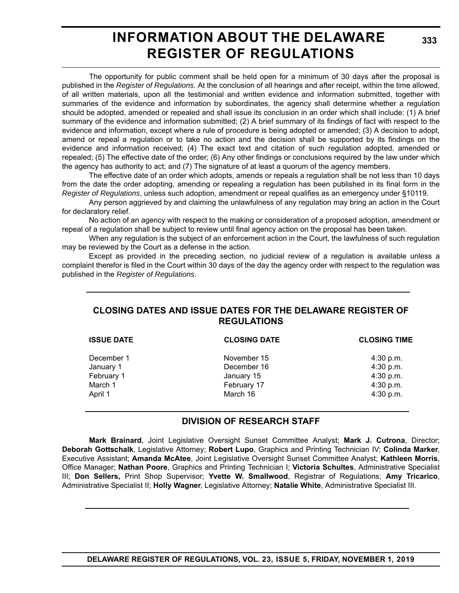### **INFORMATION ABOUT THE DELAWARE REGISTER OF REGULATIONS**

The opportunity for public comment shall be held open for a minimum of 30 days after the proposal is published in the *Register of Regulations*. At the conclusion of all hearings and after receipt, within the time allowed, of all written materials, upon all the testimonial and written evidence and information submitted, together with summaries of the evidence and information by subordinates, the agency shall determine whether a regulation should be adopted, amended or repealed and shall issue its conclusion in an order which shall include: (1) A brief summary of the evidence and information submitted; (2) A brief summary of its findings of fact with respect to the evidence and information, except where a rule of procedure is being adopted or amended; (3) A decision to adopt, amend or repeal a regulation or to take no action and the decision shall be supported by its findings on the evidence and information received; (4) The exact text and citation of such regulation adopted, amended or repealed; (5) The effective date of the order; (6) Any other findings or conclusions required by the law under which the agency has authority to act; and (7) The signature of at least a quorum of the agency members.

The effective date of an order which adopts, amends or repeals a regulation shall be not less than 10 days from the date the order adopting, amending or repealing a regulation has been published in its final form in the *Register of Regulations*, unless such adoption, amendment or repeal qualifies as an emergency under §10119.

Any person aggrieved by and claiming the unlawfulness of any regulation may bring an action in the Court for declaratory relief.

No action of an agency with respect to the making or consideration of a proposed adoption, amendment or repeal of a regulation shall be subject to review until final agency action on the proposal has been taken.

When any regulation is the subject of an enforcement action in the Court, the lawfulness of such regulation may be reviewed by the Court as a defense in the action.

Except as provided in the preceding section, no judicial review of a regulation is available unless a complaint therefor is filed in the Court within 30 days of the day the agency order with respect to the regulation was published in the *Register of Regulations*.

#### **CLOSING DATES AND ISSUE DATES FOR THE DELAWARE REGISTER OF REGULATIONS**

| <b>ISSUE DATE</b> | <b>CLOSING DATE</b> | <b>CLOSING TIME</b> |  |
|-------------------|---------------------|---------------------|--|
| December 1        | November 15         | $4:30$ p.m.         |  |
| January 1         | December 16         | 4:30 p.m.           |  |
| February 1        | January 15          | 4:30 p.m.           |  |
| March 1           | February 17         | 4:30 p.m.           |  |
| April 1           | March 16            | 4:30 p.m.           |  |
|                   |                     |                     |  |

#### **DIVISION OF RESEARCH STAFF**

**Mark Brainard**, Joint Legislative Oversight Sunset Committee Analyst; **Mark J. Cutrona**, Director; **Deborah Gottschalk**, Legislative Attorney; **Robert Lupo**, Graphics and Printing Technician IV; **Colinda Marker**, Executive Assistant; **Amanda McAtee**, Joint Legislative Oversight Sunset Committee Analyst; **Kathleen Morris**, Office Manager; **Nathan Poore**, Graphics and Printing Technician I; **Victoria Schultes**, Administrative Specialist III; **Don Sellers,** Print Shop Supervisor; **Yvette W. Smallwood**, Registrar of Regulations; **Amy Tricarico**, Administrative Specialist II; **Holly Wagner**, Legislative Attorney; **Natalie White**, Administrative Specialist III.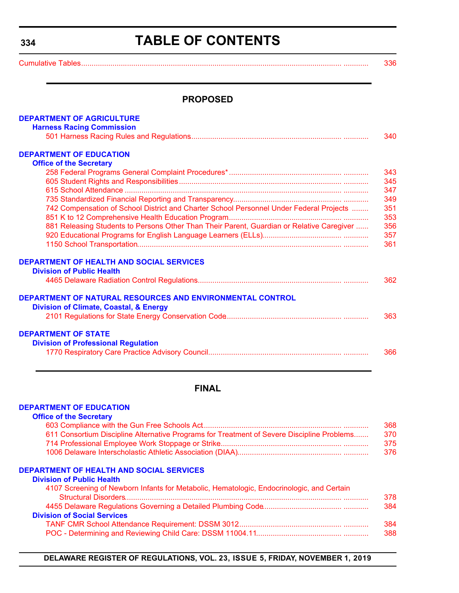### **TABLE OF CONTENTS**

<span id="page-3-0"></span>**334**

[Cumulative Tables............................................................................................................................. ............ 336](#page-5-0)

#### **PROPOSED**

| <b>DEPARTMENT OF AGRICULTURE</b>                                                          |     |
|-------------------------------------------------------------------------------------------|-----|
| <b>Harness Racing Commission</b>                                                          |     |
|                                                                                           | 340 |
| <b>DEPARTMENT OF EDUCATION</b>                                                            |     |
| <b>Office of the Secretary</b>                                                            |     |
|                                                                                           | 343 |
|                                                                                           | 345 |
|                                                                                           | 347 |
|                                                                                           | 349 |
| 742 Compensation of School District and Charter School Personnel Under Federal Projects   | 351 |
|                                                                                           | 353 |
| 881 Releasing Students to Persons Other Than Their Parent, Guardian or Relative Caregiver | 356 |
|                                                                                           | 357 |
|                                                                                           | 361 |
|                                                                                           |     |
| <b>DEPARTMENT OF HEALTH AND SOCIAL SERVICES</b>                                           |     |
| <b>Division of Public Health</b>                                                          |     |
|                                                                                           | 362 |
|                                                                                           |     |
| DEPARTMENT OF NATURAL RESOURCES AND ENVIRONMENTAL CONTROL                                 |     |
| <b>Division of Climate, Coastal, &amp; Energy</b>                                         |     |
|                                                                                           | 363 |
| <b>DEPARTMENT OF STATE</b>                                                                |     |
| <b>Division of Professional Regulation</b>                                                |     |
|                                                                                           | 366 |
|                                                                                           |     |
|                                                                                           |     |

#### **FINAL**

#### **[DEPARTMENT OF EDUCATION](https://www.doe.k12.de.us/)**

| <b>Office of the Secretary</b>                                                             |     |
|--------------------------------------------------------------------------------------------|-----|
|                                                                                            | 368 |
| 611 Consortium Discipline Alternative Programs for Treatment of Severe Discipline Problems | 370 |
|                                                                                            | 375 |
|                                                                                            | 376 |
| <b>DEPARTMENT OF HEALTH AND SOCIAL SERVICES</b>                                            |     |
| <b>Division of Public Health</b>                                                           |     |
| 4107 Screening of Newborn Infants for Metabolic, Hematologic, Endocrinologic, and Certain  |     |
|                                                                                            | 378 |
|                                                                                            | 384 |
| <b>Division of Social Services</b>                                                         |     |

| 384 |
|-----|
| 388 |

**DELAWARE REGISTER OF REGULATIONS, VOL. 23, ISSUE 5, FRIDAY, NOVEMBER 1, 2019**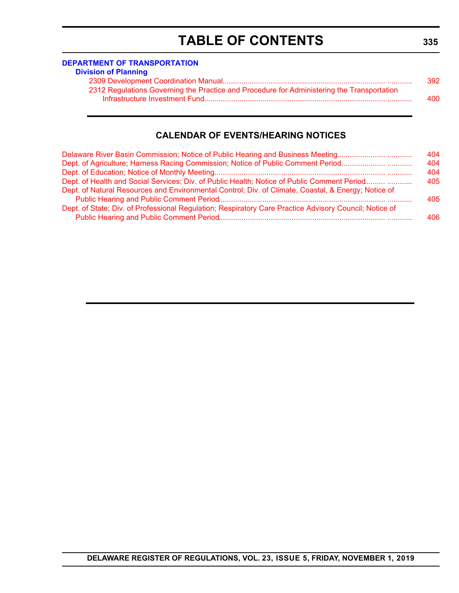### **TABLE OF CONTENTS**

#### **[DEPARTMENT OF TRANSPORTATION](https://www.deldot.gov/index.shtml )**

| <b>Division of Planning</b>                                                                |     |
|--------------------------------------------------------------------------------------------|-----|
|                                                                                            | 392 |
| 2312 Regulations Governing the Practice and Procedure for Administering the Transportation |     |
|                                                                                            | 400 |

#### **CALENDAR OF EVENTS/HEARING NOTICES**

| Delaware River Basin Commission; Notice of Public Hearing and Business Meeting                         | 404 |
|--------------------------------------------------------------------------------------------------------|-----|
| Dept. of Agriculture; Harness Racing Commission; Notice of Public Comment Period                       | 404 |
|                                                                                                        | 404 |
| Dept. of Health and Social Services; Div. of Public Health; Notice of Public Comment Period            | 405 |
| Dept. of Natural Resources and Environmental Control; Div. of Climate, Coastal, & Energy; Notice of    |     |
|                                                                                                        | 405 |
| Dept. of State; Div. of Professional Regulation; Respiratory Care Practice Advisory Council; Notice of |     |
|                                                                                                        | 406 |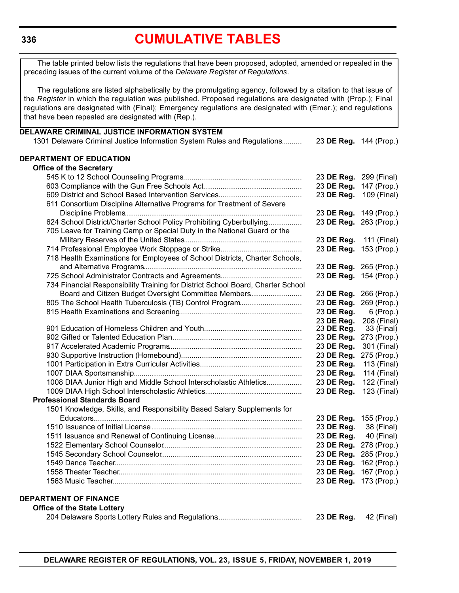<span id="page-5-0"></span>The table printed below lists the regulations that have been proposed, adopted, amended or repealed in the preceding issues of the current volume of the *Delaware Register of Regulations*.

The regulations are listed alphabetically by the promulgating agency, followed by a citation to that issue of the *Register* in which the regulation was published. Proposed regulations are designated with (Prop.); Final regulations are designated with (Final); Emergency regulations are designated with (Emer.); and regulations that have been repealed are designated with (Rep.).

| DELAWARE CRIMINAL JUSTICE INFORMATION SYSTEM                                    |                        |             |
|---------------------------------------------------------------------------------|------------------------|-------------|
| 1301 Delaware Criminal Justice Information System Rules and Regulations         | 23 DE Reg. 144 (Prop.) |             |
| DEPARTMENT OF EDUCATION                                                         |                        |             |
| <b>Office of the Secretary</b>                                                  |                        |             |
|                                                                                 | 23 DE Reg. 299 (Final) |             |
|                                                                                 | 23 DE Reg.             | 147 (Prop.) |
|                                                                                 | 23 DE Reg.             | 109 (Final) |
| 611 Consortium Discipline Alternative Programs for Treatment of Severe          |                        |             |
|                                                                                 | 23 DE Reg. 149 (Prop.) |             |
| 624 School District/Charter School Policy Prohibiting Cyberbullying             | 23 DE Reg. 263 (Prop.) |             |
| 705 Leave for Training Camp or Special Duty in the National Guard or the        |                        |             |
|                                                                                 | 23 DE Reg.             | 111 (Final) |
|                                                                                 | 23 DE Reg. 153 (Prop.) |             |
| 718 Health Examinations for Employees of School Districts, Charter Schools,     |                        |             |
|                                                                                 | 23 DE Reg. 265 (Prop.) |             |
|                                                                                 | 23 DE Reg. 154 (Prop.) |             |
| 734 Financial Responsibility Training for District School Board, Charter School |                        |             |
| Board and Citizen Budget Oversight Committee Members                            | 23 DE Reg. 266 (Prop.) |             |
| 805 The School Health Tuberculosis (TB) Control Program                         | 23 DE Reg.             | 269 (Prop.) |
|                                                                                 | 23 DE Reg.             | 6 (Prop.)   |
|                                                                                 | 23 DE Reg.             | 208 (Final) |
|                                                                                 | 23 DE Reg.             | 33 (Final)  |
|                                                                                 | 23 DE Reg.             | 273 (Prop.) |
|                                                                                 | 23 DE Reg.             | 301 (Final) |
|                                                                                 | 23 DE Reg.             | 275 (Prop.) |
|                                                                                 | 23 DE Reg.             | 113 (Final) |
|                                                                                 | 23 DE Reg.             | 114 (Final) |
| 1008 DIAA Junior High and Middle School Interscholastic Athletics               | 23 DE Reg.             | 122 (Final) |
|                                                                                 | 23 DE Reg.             | 123 (Final) |
| <b>Professional Standards Board</b>                                             |                        |             |
| 1501 Knowledge, Skills, and Responsibility Based Salary Supplements for         |                        |             |
|                                                                                 | 23 DE Reg.             | 155 (Prop.) |
|                                                                                 | 23 DE Reg.             | 38 (Final)  |
|                                                                                 | 23 DE Reg.             | 40 (Final)  |
|                                                                                 | 23 DE Reg. 278 (Prop.) |             |
|                                                                                 | 23 DE Reg. 285 (Prop.) |             |
| 1549 Dance Teacher                                                              | 23 DE Reg. 162 (Prop.) |             |
|                                                                                 | 23 DE Reg. 167 (Prop.) |             |
|                                                                                 | 23 DE Reg. 173 (Prop.) |             |
| <b>DEPARTMENT OF FINANCE</b>                                                    |                        |             |
| <b>Office of the State Lottery</b>                                              |                        |             |
|                                                                                 | 23 DE Reg.             | 42 (Final)  |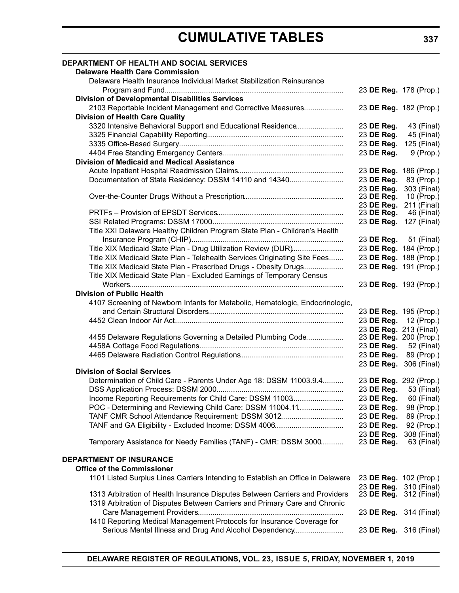| <b>DEPARTMENT OF HEALTH AND SOCIAL SERVICES</b>                                 |                                             |              |
|---------------------------------------------------------------------------------|---------------------------------------------|--------------|
| <b>Delaware Health Care Commission</b>                                          |                                             |              |
| Delaware Health Insurance Individual Market Stabilization Reinsurance           |                                             |              |
|                                                                                 | 23 DE Reg. 178 (Prop.)                      |              |
| <b>Division of Developmental Disabilities Services</b>                          |                                             |              |
| 2103 Reportable Incident Management and Corrective Measures                     | 23 DE Reg. 182 (Prop.)                      |              |
| <b>Division of Health Care Quality</b>                                          |                                             |              |
| 3320 Intensive Behavioral Support and Educational Residence                     | 23 DE Reg.                                  | 43 (Final)   |
|                                                                                 | 23 DE Reg.                                  | 45 (Final)   |
|                                                                                 | 23 DE Reg.                                  | 125 (Final)  |
|                                                                                 | 23 DE Reg.                                  | 9 (Prop.)    |
| <b>Division of Medicaid and Medical Assistance</b>                              |                                             |              |
|                                                                                 | 23 DE Reg. 186 (Prop.)                      |              |
| Documentation of State Residency: DSSM 14110 and 14340                          | 23 DE Reg.                                  | 83 (Prop.)   |
|                                                                                 | 23 DE Reg.                                  | 303 (Final)  |
|                                                                                 | 23 DE Reg.                                  | 10 (Prop.)   |
|                                                                                 | 23 DE Reg.                                  | 211 (Final)  |
|                                                                                 | 23 DE Reg.                                  | 46 (Final)   |
|                                                                                 | 23 DE Reg. 127 (Final)                      |              |
| Title XXI Delaware Healthy Children Program State Plan - Children's Health      |                                             |              |
|                                                                                 | 23 DE Reg. 51 (Final)                       |              |
| Title XIX Medicaid State Plan - Drug Utilization Review (DUR)                   | 23 DE Reg. 184 (Prop.)                      |              |
| Title XIX Medicaid State Plan - Telehealth Services Originating Site Fees       | 23 DE Reg. 188 (Prop.)                      |              |
| Title XIX Medicaid State Plan - Prescribed Drugs - Obesity Drugs                | 23 DE Reg. 191 (Prop.)                      |              |
| Title XIX Medicaid State Plan - Excluded Earnings of Temporary Census           |                                             |              |
|                                                                                 | 23 DE Reg. 193 (Prop.)                      |              |
| <b>Division of Public Health</b>                                                |                                             |              |
| 4107 Screening of Newborn Infants for Metabolic, Hematologic, Endocrinologic,   |                                             |              |
|                                                                                 | 23 DE Reg. 195 (Prop.)                      |              |
|                                                                                 | 23 DE Reg. 12 (Prop.)                       |              |
|                                                                                 | 23 DE Reg. 213 (Final)                      |              |
| 4455 Delaware Regulations Governing a Detailed Plumbing Code                    | 23 DE Reg. 200 (Prop.)                      |              |
|                                                                                 | 23 DE Reg. 52 (Final)                       |              |
|                                                                                 | 23 DE Reg. 89 (Prop.)                       |              |
| <b>Division of Social Services</b>                                              | 23 DE Reg. 306 (Final)                      |              |
| Determination of Child Care - Parents Under Age 18: DSSM 11003.9.4              | 23 DE Reg. 292 (Prop.)                      |              |
|                                                                                 | 23 DE Reg.                                  | 53 (Final)   |
| Income Reporting Requirements for Child Care: DSSM 11003                        | 23 DE Reg.                                  | 60 (Final)   |
| POC - Determining and Reviewing Child Care: DSSM 11004.11                       | 23 DE Reg.                                  | 98 (Prop.)   |
| TANF CMR School Attendance Requirement: DSSM 3012                               | 23 DE Reg.                                  | 89 (Prop.)   |
| TANF and GA Eligibility - Excluded Income: DSSM 4006                            | 23 DE Reg.                                  | 92 (Prop.)   |
|                                                                                 | 23 DE Reg.                                  | 308 (Final)  |
| Temporary Assistance for Needy Families (TANF) - CMR: DSSM 3000                 | 23 DE Reg.                                  | $63$ (Final) |
|                                                                                 |                                             |              |
| <b>DEPARTMENT OF INSURANCE</b>                                                  |                                             |              |
| <b>Office of the Commissioner</b>                                               |                                             |              |
| 1101 Listed Surplus Lines Carriers Intending to Establish an Office in Delaware | 23 DE Reg. 102 (Prop.)                      |              |
| 1313 Arbitration of Health Insurance Disputes Between Carriers and Providers    | 23 DE Reg.<br>23 <b>DE Reg.</b> 312 (Final) | 310 (Final)  |
| 1319 Arbitration of Disputes Between Carriers and Primary Care and Chronic      |                                             |              |
|                                                                                 | 23 DE Reg. 314 (Final)                      |              |
| 1410 Reporting Medical Management Protocols for Insurance Coverage for          |                                             |              |
| Serious Mental Illness and Drug And Alcohol Dependency                          | 23 DE Reg. 316 (Final)                      |              |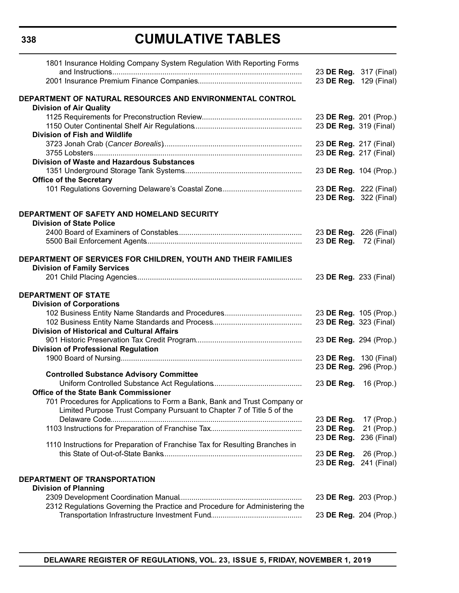| 1801 Insurance Holding Company System Regulation With Reporting Forms        |                        |                        |
|------------------------------------------------------------------------------|------------------------|------------------------|
|                                                                              |                        | 23 DE Reg. 317 (Final) |
|                                                                              |                        | 23 DE Reg. 129 (Final) |
| DEPARTMENT OF NATURAL RESOURCES AND ENVIRONMENTAL CONTROL                    |                        |                        |
| <b>Division of Air Quality</b>                                               |                        |                        |
|                                                                              | 23 DE Reg. 201 (Prop.) |                        |
|                                                                              | 23 DE Reg. 319 (Final) |                        |
| <b>Division of Fish and Wildlife</b>                                         |                        |                        |
|                                                                              | 23 DE Reg. 217 (Final) |                        |
|                                                                              | 23 DE Reg. 217 (Final) |                        |
| <b>Division of Waste and Hazardous Substances</b>                            |                        |                        |
|                                                                              | 23 DE Reg. 104 (Prop.) |                        |
| <b>Office of the Secretary</b>                                               |                        |                        |
|                                                                              | 23 DE Reg. 222 (Final) |                        |
|                                                                              |                        | 23 DE Reg. 322 (Final) |
|                                                                              |                        |                        |
| DEPARTMENT OF SAFETY AND HOMELAND SECURITY                                   |                        |                        |
| <b>Division of State Police</b>                                              |                        |                        |
|                                                                              |                        | 23 DE Reg. 226 (Final) |
|                                                                              | 23 DE Reg. 72 (Final)  |                        |
|                                                                              |                        |                        |
| DEPARTMENT OF SERVICES FOR CHILDREN, YOUTH AND THEIR FAMILIES                |                        |                        |
| <b>Division of Family Services</b>                                           |                        |                        |
|                                                                              | 23 DE Reg. 233 (Final) |                        |
|                                                                              |                        |                        |
| <b>DEPARTMENT OF STATE</b>                                                   |                        |                        |
| <b>Division of Corporations</b>                                              |                        |                        |
|                                                                              | 23 DE Reg. 105 (Prop.) |                        |
|                                                                              | 23 DE Reg. 323 (Final) |                        |
| <b>Division of Historical and Cultural Affairs</b>                           |                        |                        |
|                                                                              | 23 DE Reg. 294 (Prop.) |                        |
| <b>Division of Professional Regulation</b>                                   |                        |                        |
|                                                                              | 23 DE Reg. 130 (Final) |                        |
|                                                                              | 23 DE Reg. 296 (Prop.) |                        |
| <b>Controlled Substance Advisory Committee</b>                               |                        |                        |
|                                                                              | 23 DE Reg. 16 (Prop.)  |                        |
| <b>Office of the State Bank Commissioner</b>                                 |                        |                        |
| 701 Procedures for Applications to Form a Bank, Bank and Trust Company or    |                        |                        |
| Limited Purpose Trust Company Pursuant to Chapter 7 of Title 5 of the        |                        |                        |
|                                                                              | 23 DE Reg.             | 17 (Prop.)             |
|                                                                              | 23 DE Reg.             | 21 (Prop.)             |
|                                                                              | 23 DE Reg.             | 236 (Final)            |
| 1110 Instructions for Preparation of Franchise Tax for Resulting Branches in |                        |                        |
|                                                                              | 23 DE Reg.             | 26 (Prop.)             |
|                                                                              | 23 DE Reg.             | 241 (Final)            |
|                                                                              |                        |                        |
| DEPARTMENT OF TRANSPORTATION                                                 |                        |                        |
| <b>Division of Planning</b>                                                  |                        |                        |
|                                                                              | 23 DE Reg. 203 (Prop.) |                        |
| 2312 Regulations Governing the Practice and Procedure for Administering the  |                        |                        |
|                                                                              |                        |                        |
|                                                                              |                        | 23 DE Reg. 204 (Prop.) |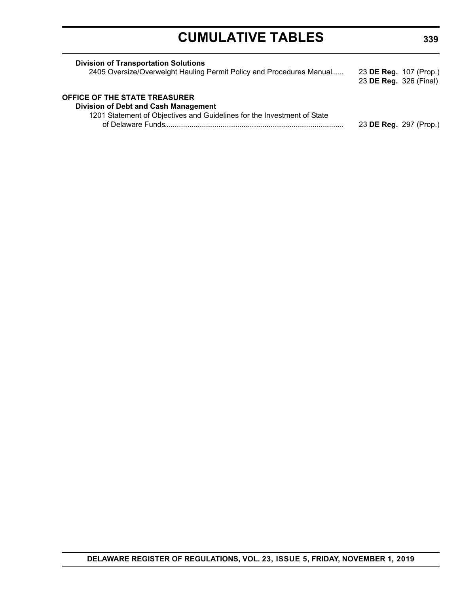| <b>Division of Transportation Solutions</b><br>2405 Oversize/Overweight Hauling Permit Policy and Procedures Manual                                            | 23 DE Reg. 107 (Prop.)<br>23 DE Reg. 326 (Final) |  |
|----------------------------------------------------------------------------------------------------------------------------------------------------------------|--------------------------------------------------|--|
| <b>OFFICE OF THE STATE TREASURER</b><br><b>Division of Debt and Cash Management</b><br>1201 Statement of Objectives and Guidelines for the Investment of State | 23 DE Reg. 297 (Prop.)                           |  |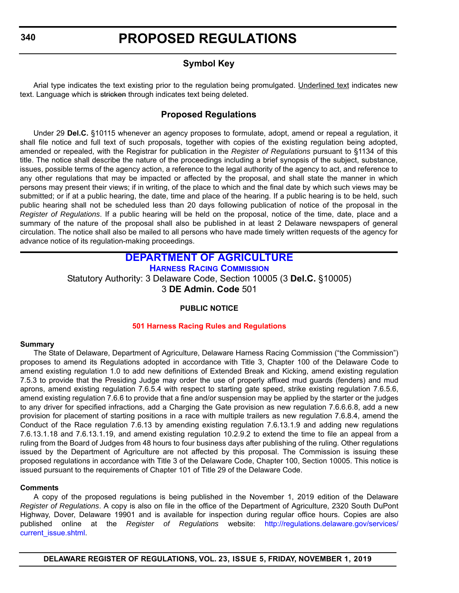#### **Symbol Key**

<span id="page-9-0"></span>Arial type indicates the text existing prior to the regulation being promulgated. Underlined text indicates new text. Language which is stricken through indicates text being deleted.

#### **Proposed Regulations**

Under 29 **Del.C.** §10115 whenever an agency proposes to formulate, adopt, amend or repeal a regulation, it shall file notice and full text of such proposals, together with copies of the existing regulation being adopted, amended or repealed, with the Registrar for publication in the *Register of Regulations* pursuant to §1134 of this title. The notice shall describe the nature of the proceedings including a brief synopsis of the subject, substance, issues, possible terms of the agency action, a reference to the legal authority of the agency to act, and reference to any other regulations that may be impacted or affected by the proposal, and shall state the manner in which persons may present their views; if in writing, of the place to which and the final date by which such views may be submitted; or if at a public hearing, the date, time and place of the hearing. If a public hearing is to be held, such public hearing shall not be scheduled less than 20 days following publication of notice of the proposal in the *Register of Regulations*. If a public hearing will be held on the proposal, notice of the time, date, place and a summary of the nature of the proposal shall also be published in at least 2 Delaware newspapers of general circulation. The notice shall also be mailed to all persons who have made timely written requests of the agency for advance notice of its regulation-making proceedings.

### **[DEPARTMENT OF AGRICULTURE](https://agriculture.delaware.gov/)**

**[HARNESS RACING COMMISSION](https://agriculture.delaware.gov/harness-racing-commission/)**

Statutory Authority: 3 Delaware Code, Section 10005 (3 **Del.C.** §10005) 3 **DE Admin. Code** 501

#### **PUBLIC NOTICE**

#### **[501 Harness Racing Rules and Regulations](#page-3-0)**

#### **Summary**

The State of Delaware, Department of Agriculture, Delaware Harness Racing Commission ("the Commission") proposes to amend its Regulations adopted in accordance with Title 3, Chapter 100 of the Delaware Code to amend existing regulation 1.0 to add new definitions of Extended Break and Kicking, amend existing regulation 7.5.3 to provide that the Presiding Judge may order the use of properly affixed mud guards (fenders) and mud aprons, amend existing regulation 7.6.5.4 with respect to starting gate speed, strike existing regulation 7.6.5.6, amend existing regulation 7.6.6 to provide that a fine and/or suspension may be applied by the starter or the judges to any driver for specified infractions, add a Charging the Gate provision as new regulation 7.6.6.6.8, add a new provision for placement of starting positions in a race with multiple trailers as new regulation 7.6.8.4, amend the Conduct of the Race regulation 7.6.13 by amending existing regulation 7.6.13.1.9 and adding new regulations 7.6.13.1.18 and 7.6.13.1.19, and amend existing regulation 10.2.9.2 to extend the time to file an appeal from a ruling from the Board of Judges from 48 hours to four business days after publishing of the ruling. Other regulations issued by the Department of Agriculture are not affected by this proposal. The Commission is issuing these proposed regulations in accordance with Title 3 of the Delaware Code, Chapter 100, Section 10005. This notice is issued pursuant to the requirements of Chapter 101 of Title 29 of the Delaware Code.

#### **Comments**

A copy of the proposed regulations is being published in the November 1, 2019 edition of the Delaware *Register of Regulations*. A copy is also on file in the office of the Department of Agriculture, 2320 South DuPont Highway, Dover, Delaware 19901 and is available for inspection during regular office hours. Copies are also published online at the *Register of Regulations* website: [http://regulations.delaware.gov/services/](http://regulations.delaware.gov/services/current_issue.shtml) [current\\_issue.shtml.](http://regulations.delaware.gov/services/current_issue.shtml)

**DELAWARE REGISTER OF REGULATIONS, VOL. 23, ISSUE 5, FRIDAY, NOVEMBER 1, 2019**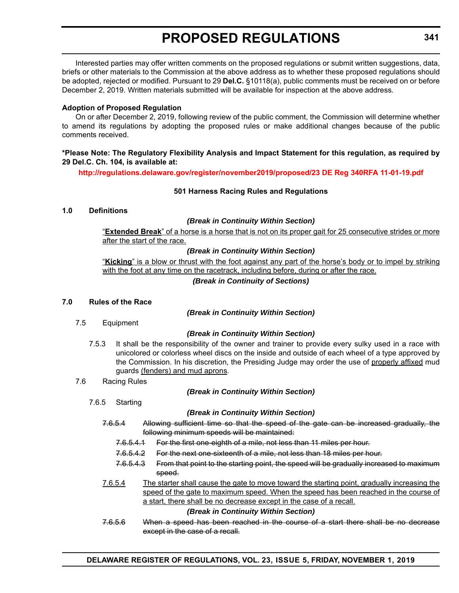Interested parties may offer written comments on the proposed regulations or submit written suggestions, data, briefs or other materials to the Commission at the above address as to whether these proposed regulations should be adopted, rejected or modified. Pursuant to 29 **Del.C.** §10118(a), public comments must be received on or before December 2, 2019. Written materials submitted will be available for inspection at the above address.

#### **Adoption of Proposed Regulation**

On or after December 2, 2019, following review of the public comment, the Commission will determine whether to amend its regulations by adopting the proposed rules or make additional changes because of the public comments received.

#### **\*Please Note: The Regulatory Flexibility Analysis and Impact Statement for this regulation, as required by 29 Del.C. Ch. 104, is available at:**

**<http://regulations.delaware.gov/register/november2019/proposed/23 DE Reg 340RFA 11-01-19.pdf>**

#### **501 Harness Racing Rules and Regulations**

#### **1.0 Definitions**

#### *(Break in Continuity Within Section)*

"**Extended Break**" of a horse is a horse that is not on its proper gait for 25 consecutive strides or more after the start of the race.

#### *(Break in Continuity Within Section)*

"**Kicking**" is a blow or thrust with the foot against any part of the horse's body or to impel by striking with the foot at any time on the racetrack, including before, during or after the race.

#### *(Break in Continuity of Sections)*

#### **7.0 Rules of the Race**

*(Break in Continuity Within Section)*

7.5 Equipment

#### *(Break in Continuity Within Section)*

- 7.5.3 It shall be the responsibility of the owner and trainer to provide every sulky used in a race with unicolored or colorless wheel discs on the inside and outside of each wheel of a type approved by the Commission. In his discretion, the Presiding Judge may order the use of properly affixed mud guards (fenders) and mud aprons.
- 7.6 Racing Rules

#### *(Break in Continuity Within Section)*

7.6.5 Starting

#### *(Break in Continuity Within Section)*

- 7.6.5.4 Allowing sufficient time so that the speed of the gate can be increased gradually, the following minimum speeds will be maintained:
	- 7.6.5.4.1 For the first one-eighth of a mile, not less than 11 miles per hour.
	- 7.6.5.4.2 For the next one-sixteenth of a mile, not less than 18 miles per hour.
	- 7.6.5.4.3 From that point to the starting point, the speed will be gradually increased to maximum speed.
- 7.6.5.4 The starter shall cause the gate to move toward the starting point, gradually increasing the speed of the gate to maximum speed. When the speed has been reached in the course of a start, there shall be no decrease except in the case of a recall.

#### *(Break in Continuity Within Section)*

7.6.5.6 When a speed has been reached in the course of a start there shall be no decrease except in the case of a recall.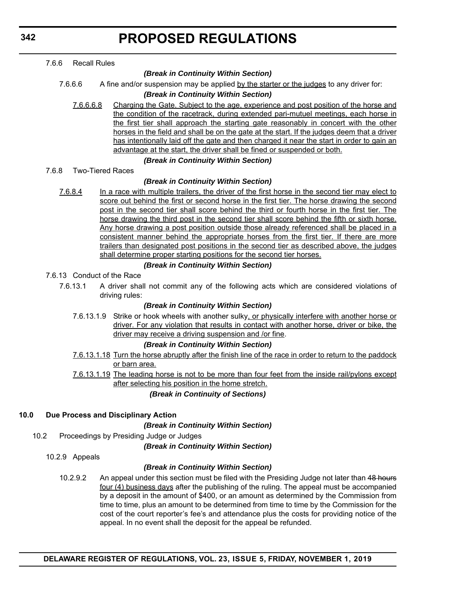**342**

|      | 7.6.6 | <b>Recall Rules</b> |                                                                                                                                                                                           |
|------|-------|---------------------|-------------------------------------------------------------------------------------------------------------------------------------------------------------------------------------------|
|      |       |                     | (Break in Continuity Within Section)                                                                                                                                                      |
|      |       | 7.6.6.6             | A fine and/or suspension may be applied by the starter or the judges to any driver for:                                                                                                   |
|      |       |                     | (Break in Continuity Within Section)                                                                                                                                                      |
|      |       | 7.6.6.6.8           | Charging the Gate. Subject to the age, experience and post position of the horse and                                                                                                      |
|      |       |                     | the condition of the racetrack, during extended pari-mutuel meetings, each horse in                                                                                                       |
|      |       |                     | the first tier shall approach the starting gate reasonably in concert with the other                                                                                                      |
|      |       |                     | horses in the field and shall be on the gate at the start. If the judges deem that a driver<br>has intentionally laid off the gate and then charged it near the start in order to gain an |
|      |       |                     | advantage at the start, the driver shall be fined or suspended or both.                                                                                                                   |
|      |       |                     | (Break in Continuity Within Section)                                                                                                                                                      |
|      | 7.6.8 |                     | <b>Two-Tiered Races</b>                                                                                                                                                                   |
|      |       |                     | (Break in Continuity Within Section)                                                                                                                                                      |
|      |       | 7.6.8.4             | In a race with multiple trailers, the driver of the first horse in the second tier may elect to                                                                                           |
|      |       |                     | score out behind the first or second horse in the first tier. The horse drawing the second                                                                                                |
|      |       |                     | post in the second tier shall score behind the third or fourth horse in the first tier. The                                                                                               |
|      |       |                     | horse drawing the third post in the second tier shall score behind the fifth or sixth horse.                                                                                              |
|      |       |                     | <u>Any horse drawing a post position outside those already referenced shall be placed in a</u>                                                                                            |
|      |       |                     | consistent manner behind the appropriate horses from the first tier. If there are more                                                                                                    |
|      |       |                     | trailers than designated post positions in the second tier as described above, the judges                                                                                                 |
|      |       |                     | shall determine proper starting positions for the second tier horses.                                                                                                                     |
|      |       |                     | (Break in Continuity Within Section)                                                                                                                                                      |
|      |       |                     | 7.6.13 Conduct of the Race                                                                                                                                                                |
|      |       | 7.6.13.1            | A driver shall not commit any of the following acts which are considered violations of<br>driving rules:                                                                                  |
|      |       |                     | (Break in Continuity Within Section)                                                                                                                                                      |
|      |       |                     | 7.6.13.1.9 Strike or hook wheels with another sulky, or physically interfere with another horse or                                                                                        |
|      |       |                     | driver. For any violation that results in contact with another horse, driver or bike, the                                                                                                 |
|      |       |                     | driver may receive a driving suspension and /or fine.                                                                                                                                     |
|      |       |                     | (Break in Continuity Within Section)                                                                                                                                                      |
|      |       |                     | 7.6.13.1.18 Turn the horse abruptly after the finish line of the race in order to return to the paddock                                                                                   |
|      |       |                     | <u>or barn area.</u>                                                                                                                                                                      |
|      |       |                     | 7.6.13.1.19 The leading horse is not to be more than four feet from the inside rail/pylons except                                                                                         |
|      |       |                     | after selecting his position in the home stretch.                                                                                                                                         |
|      |       |                     | (Break in Continuity of Sections)                                                                                                                                                         |
| 10.0 |       |                     | Due Process and Disciplinary Action                                                                                                                                                       |
|      |       |                     | (Break in Continuity Within Section)                                                                                                                                                      |
| 10.2 |       |                     | Proceedings by Presiding Judge or Judges                                                                                                                                                  |
|      |       |                     | (Break in Continuity Within Section)                                                                                                                                                      |
|      |       | 10.2.9 Appeals      |                                                                                                                                                                                           |
|      |       |                     | (Break in Continuity Within Section)                                                                                                                                                      |
|      |       |                     |                                                                                                                                                                                           |
|      |       | 10.2.9.2            | An appeal under this section must be filed with the Presiding Judge not later than 48 hours<br>four (4) business days after the publishing of the ruling. The appeal must be accompanied  |
|      |       |                     | by a deposit in the amount of \$400, or an amount as determined by the Commission from                                                                                                    |
|      |       |                     | time to time, plus an amount to be determined from time to time by the Commission for the                                                                                                 |
|      |       |                     |                                                                                                                                                                                           |

appeal. In no event shall the deposit for the appeal be refunded.

cost of the court reporter's fee's and attendance plus the costs for providing notice of the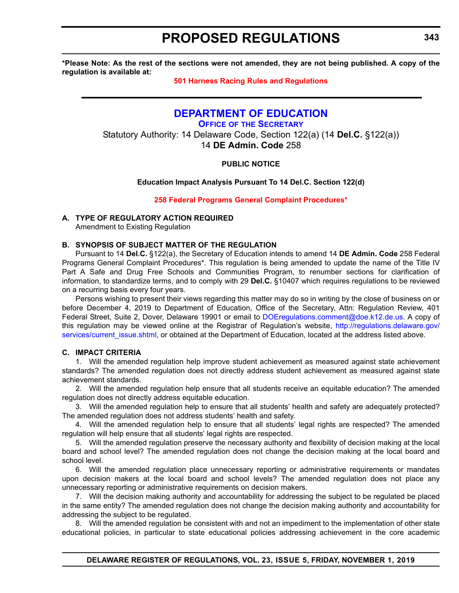<span id="page-12-0"></span>**\*Please Note: As the rest of the sections were not amended, they are not being published. A copy of the regulation is available at:**

#### **[501 Harness Racing Rules and Regulations](http://regulations.delaware.gov/register/november2019/proposed/23 DE Reg 340 11-01-19.htm)**

#### **[DEPARTMENT OF EDUCATION](https://www.doe.k12.de.us/)**

**OFFICE OF [THE SECRETARY](https://www.doe.k12.de.us/Page/11)**

Statutory Authority: 14 Delaware Code, Section 122(a) (14 **Del.C.** §122(a)) 14 **DE Admin. Code** 258

#### **PUBLIC NOTICE**

#### **Education Impact Analysis Pursuant To 14 Del.C. Section 122(d)**

#### **[258 Federal Programs General Complaint Procedures\\*](#page-3-0)**

#### **A. TYPE OF REGULATORY ACTION REQUIRED**

Amendment to Existing Regulation

#### **B. SYNOPSIS OF SUBJECT MATTER OF THE REGULATION**

Pursuant to 14 **Del.C.** §122(a), the Secretary of Education intends to amend 14 **DE Admin. Code** 258 Federal Programs General Complaint Procedures\*. This regulation is being amended to update the name of the Title IV Part A Safe and Drug Free Schools and Communities Program, to renumber sections for clarification of information, to standardize terms, and to comply with 29 **Del.C.** §10407 which requires regulations to be reviewed on a recurring basis every four years.

Persons wishing to present their views regarding this matter may do so in writing by the close of business on or before December 4, 2019 to Department of Education, Office of the Secretary, Attn: Regulation Review, 401 Federal Street, Suite 2, Dover, Delaware 19901 or email to [DOEregulations.comment@doe.k12.de.us.](mailto:DOEregulations.comment@doe.k12.de.us) A copy of this regulation may be viewed online at the Registrar of Regulation's website, [http://regulations.delaware.gov/](http://regulations.delaware.gov/services/current_issue.shtml) [services/current\\_issue.shtml,](http://regulations.delaware.gov/services/current_issue.shtml) or obtained at the Department of Education, located at the address listed above.

#### **C. IMPACT CRITERIA**

1. Will the amended regulation help improve student achievement as measured against state achievement standards? The amended regulation does not directly address student achievement as measured against state achievement standards.

2. Will the amended regulation help ensure that all students receive an equitable education? The amended regulation does not directly address equitable education.

3. Will the amended regulation help to ensure that all students' health and safety are adequately protected? The amended regulation does not address students' health and safety.

4. Will the amended regulation help to ensure that all students' legal rights are respected? The amended regulation will help ensure that all students' legal rights are respected.

5. Will the amended regulation preserve the necessary authority and flexibility of decision making at the local board and school level? The amended regulation does not change the decision making at the local board and school level.

6. Will the amended regulation place unnecessary reporting or administrative requirements or mandates upon decision makers at the local board and school levels? The amended regulation does not place any unnecessary reporting or administrative requirements on decision makers.

7. Will the decision making authority and accountability for addressing the subject to be regulated be placed in the same entity? The amended regulation does not change the decision making authority and accountability for addressing the subject to be regulated.

8. Will the amended regulation be consistent with and not an impediment to the implementation of other state educational policies, in particular to state educational policies addressing achievement in the core academic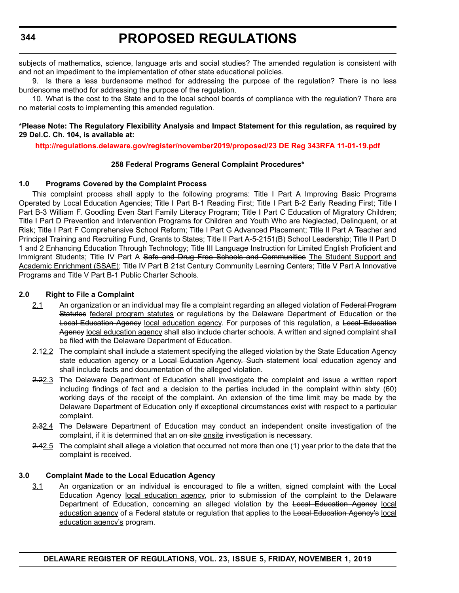subjects of mathematics, science, language arts and social studies? The amended regulation is consistent with and not an impediment to the implementation of other state educational policies.

9. Is there a less burdensome method for addressing the purpose of the regulation? There is no less burdensome method for addressing the purpose of the regulation.

10. What is the cost to the State and to the local school boards of compliance with the regulation? There are no material costs to implementing this amended regulation.

#### **\*Please Note: The Regulatory Flexibility Analysis and Impact Statement for this regulation, as required by 29 Del.C. Ch. 104, is available at:**

**<http://regulations.delaware.gov/register/november2019/proposed/23 DE Reg 343RFA 11-01-19.pdf>**

#### **258 Federal Programs General Complaint Procedures\***

#### **1.0 Programs Covered by the Complaint Process**

This complaint process shall apply to the following programs: Title I Part A Improving Basic Programs Operated by Local Education Agencies; Title I Part B-1 Reading First; Title I Part B-2 Early Reading First; Title I Part B-3 William F. Goodling Even Start Family Literacy Program; Title I Part C Education of Migratory Children; Title I Part D Prevention and Intervention Programs for Children and Youth Who are Neglected, Delinquent, or at Risk; Title I Part F Comprehensive School Reform; Title I Part G Advanced Placement; Title II Part A Teacher and Principal Training and Recruiting Fund, Grants to States; Title II Part A-5-2151(B) School Leadership; Title II Part D 1 and 2 Enhancing Education Through Technology; Title III Language Instruction for Limited English Proficient and Immigrant Students; Title IV Part A Safe and Drug Free Schools and Communities The Student Support and Academic Enrichment (SSAE); Title IV Part B 21st Century Community Learning Centers; Title V Part A Innovative Programs and Title V Part B-1 Public Charter Schools.

#### **2.0 Right to File a Complaint**

- 2.1 An organization or an individual may file a complaint regarding an alleged violation of Federal Program Statutes federal program statutes or regulations by the Delaware Department of Education or the Local Education Agency local education agency. For purposes of this regulation, a Local Education Agency local education agency shall also include charter schools. A written and signed complaint shall be filed with the Delaware Department of Education.
- 2.12.2 The complaint shall include a statement specifying the alleged violation by the State Education Agency state education agency or a Local Education Agency. Such statement local education agency and shall include facts and documentation of the alleged violation.
- 2.22.3 The Delaware Department of Education shall investigate the complaint and issue a written report including findings of fact and a decision to the parties included in the complaint within sixty (60) working days of the receipt of the complaint. An extension of the time limit may be made by the Delaware Department of Education only if exceptional circumstances exist with respect to a particular complaint.
- 2.32.4 The Delaware Department of Education may conduct an independent onsite investigation of the complaint, if it is determined that an on site onsite investigation is necessary.
- 2.42.5 The complaint shall allege a violation that occurred not more than one (1) year prior to the date that the complaint is received.

#### **3.0 Complaint Made to the Local Education Agency**

3.1 An organization or an individual is encouraged to file a written, signed complaint with the Local Education Agency local education agency, prior to submission of the complaint to the Delaware Department of Education, concerning an alleged violation by the Local Education Agency local education agency of a Federal statute or regulation that applies to the Local Education Agency's local education agency's program.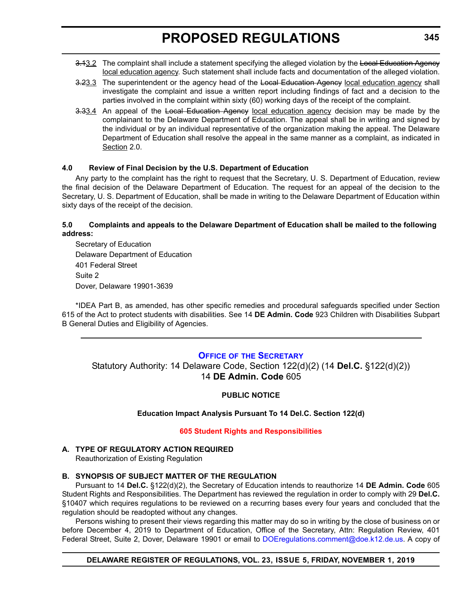- <span id="page-14-0"></span>3.13.2 The complaint shall include a statement specifying the alleged violation by the Local Education Agency local education agency. Such statement shall include facts and documentation of the alleged violation.
- 3.23.3 The superintendent or the agency head of the Local Education Agency local education agency shall investigate the complaint and issue a written report including findings of fact and a decision to the parties involved in the complaint within sixty (60) working days of the receipt of the complaint.
- 3.33.4 An appeal of the Local Education Agency local education agency decision may be made by the complainant to the Delaware Department of Education. The appeal shall be in writing and signed by the individual or by an individual representative of the organization making the appeal. The Delaware Department of Education shall resolve the appeal in the same manner as a complaint, as indicated in Section 2.0.

#### **4.0 Review of Final Decision by the U.S. Department of Education**

Any party to the complaint has the right to request that the Secretary, U. S. Department of Education, review the final decision of the Delaware Department of Education. The request for an appeal of the decision to the Secretary, U. S. Department of Education, shall be made in writing to the Delaware Department of Education within sixty days of the receipt of the decision.

#### **5.0 Complaints and appeals to the Delaware Department of Education shall be mailed to the following address:**

Secretary of Education Delaware Department of Education 401 Federal Street Suite 2 Dover, Delaware 19901-3639

\*IDEA Part B, as amended, has other specific remedies and procedural safeguards specified under Section 615 of the Act to protect students with disabilities. See 14 **DE Admin. Code** 923 Children with Disabilities Subpart B General Duties and Eligibility of Agencies.

#### **OFFICE OF [THE SECRETARY](https://www.doe.k12.de.us/Page/11)**

Statutory Authority: 14 Delaware Code, Section 122(d)(2) (14 **Del.C.** §122(d)(2)) 14 **DE Admin. Code** 605

#### **PUBLIC NOTICE**

#### **Education Impact Analysis Pursuant To 14 Del.C. Section 122(d)**

#### **[605 Student Rights and Responsibilities](#page-3-0)**

#### **A. TYPE OF REGULATORY ACTION REQUIRED**

Reauthorization of Existing Regulation

#### **B. SYNOPSIS OF SUBJECT MATTER OF THE REGULATION**

Pursuant to 14 **Del.C.** §122(d)(2), the Secretary of Education intends to reauthorize 14 **DE Admin. Code** 605 Student Rights and Responsibilities. The Department has reviewed the regulation in order to comply with 29 **Del.C.** §10407 which requires regulations to be reviewed on a recurring bases every four years and concluded that the regulation should be readopted without any changes.

Persons wishing to present their views regarding this matter may do so in writing by the close of business on or before December 4, 2019 to Department of Education, Office of the Secretary, Attn: Regulation Review, 401 Federal Street, Suite 2, Dover, Delaware 19901 or email to [DOEregulations.comment@doe.k12.de.us.](mailto:DOEregulations.comment@doe.k12.de.us) A copy of

#### **DELAWARE REGISTER OF REGULATIONS, VOL. 23, ISSUE 5, FRIDAY, NOVEMBER 1, 2019**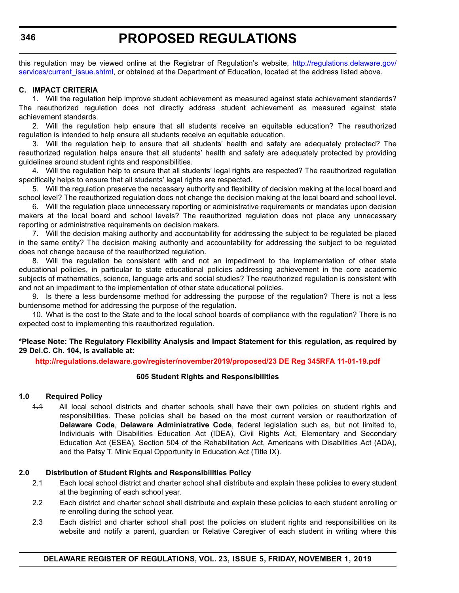this regulation may be viewed online at the Registrar of Regulation's website, [http://regulations.delaware.gov/](http://regulations.delaware.gov/services/current_issue.shtml) [services/current\\_issue.shtml](http://regulations.delaware.gov/services/current_issue.shtml), or obtained at the Department of Education, located at the address listed above.

#### **C. IMPACT CRITERIA**

1. Will the regulation help improve student achievement as measured against state achievement standards? The reauthorized regulation does not directly address student achievement as measured against state achievement standards.

2. Will the regulation help ensure that all students receive an equitable education? The reauthorized regulation is intended to help ensure all students receive an equitable education.

3. Will the regulation help to ensure that all students' health and safety are adequately protected? The reauthorized regulation helps ensure that all students' health and safety are adequately protected by providing guidelines around student rights and responsibilities.

4. Will the regulation help to ensure that all students' legal rights are respected? The reauthorized regulation specifically helps to ensure that all students' legal rights are respected.

5. Will the regulation preserve the necessary authority and flexibility of decision making at the local board and school level? The reauthorized regulation does not change the decision making at the local board and school level.

6. Will the regulation place unnecessary reporting or administrative requirements or mandates upon decision makers at the local board and school levels? The reauthorized regulation does not place any unnecessary reporting or administrative requirements on decision makers.

7. Will the decision making authority and accountability for addressing the subject to be regulated be placed in the same entity? The decision making authority and accountability for addressing the subject to be regulated does not change because of the reauthorized regulation.

8. Will the regulation be consistent with and not an impediment to the implementation of other state educational policies, in particular to state educational policies addressing achievement in the core academic subjects of mathematics, science, language arts and social studies? The reauthorized regulation is consistent with and not an impediment to the implementation of other state educational policies.

9. Is there a less burdensome method for addressing the purpose of the regulation? There is not a less burdensome method for addressing the purpose of the regulation.

10. What is the cost to the State and to the local school boards of compliance with the regulation? There is no expected cost to implementing this reauthorized regulation.

#### **\*Please Note: The Regulatory Flexibility Analysis and Impact Statement for this regulation, as required by 29 Del.C. Ch. 104, is available at:**

**<http://regulations.delaware.gov/register/november2019/proposed/23 DE Reg 345RFA 11-01-19.pdf>**

#### **605 Student Rights and Responsibilities**

#### **1.0 Required Policy**

1.1 All local school districts and charter schools shall have their own policies on student rights and responsibilities. These policies shall be based on the most current version or reauthorization of **Delaware Code**, **Delaware Administrative Code**, federal legislation such as, but not limited to, Individuals with Disabilities Education Act (IDEA), Civil Rights Act, Elementary and Secondary Education Act (ESEA), Section 504 of the Rehabilitation Act, Americans with Disabilities Act (ADA), and the Patsy T. Mink Equal Opportunity in Education Act (Title IX).

#### **2.0 Distribution of Student Rights and Responsibilities Policy**

- 2.1 Each local school district and charter school shall distribute and explain these policies to every student at the beginning of each school year.
- 2.2 Each district and charter school shall distribute and explain these policies to each student enrolling or re enrolling during the school year.
- 2.3 Each district and charter school shall post the policies on student rights and responsibilities on its website and notify a parent, guardian or Relative Caregiver of each student in writing where this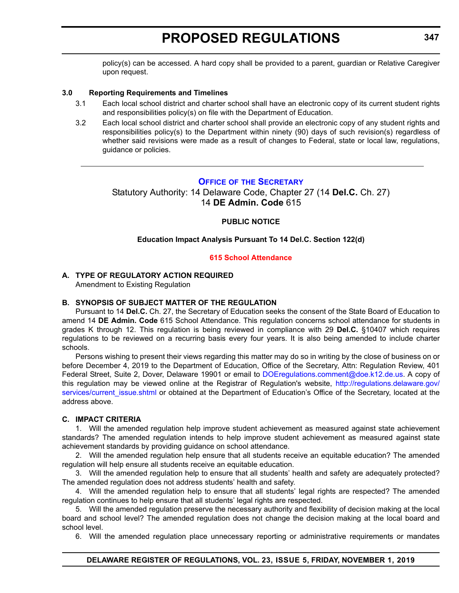<span id="page-16-0"></span>policy(s) can be accessed. A hard copy shall be provided to a parent, guardian or Relative Caregiver upon request.

#### **3.0 Reporting Requirements and Timelines**

- 3.1 Each local school district and charter school shall have an electronic copy of its current student rights and responsibilities policy(s) on file with the Department of Education.
- 3.2 Each local school district and charter school shall provide an electronic copy of any student rights and responsibilities policy(s) to the Department within ninety (90) days of such revision(s) regardless of whether said revisions were made as a result of changes to Federal, state or local law, regulations, guidance or policies.

#### **OFFICE OF [THE SECRETARY](https://www.doe.k12.de.us/Page/11)**

Statutory Authority: 14 Delaware Code, Chapter 27 (14 **Del.C.** Ch. 27) 14 **DE Admin. Code** 615

#### **PUBLIC NOTICE**

#### **Education Impact Analysis Pursuant To 14 Del.C. Section 122(d)**

#### **[615 School Attendance](#page-3-0)**

#### **A. TYPE OF REGULATORY ACTION REQUIRED** Amendment to Existing Regulation

#### **B. SYNOPSIS OF SUBJECT MATTER OF THE REGULATION**

Pursuant to 14 **Del.C.** Ch. 27, the Secretary of Education seeks the consent of the State Board of Education to amend 14 **DE Admin. Code** 615 School Attendance. This regulation concerns school attendance for students in grades K through 12. This regulation is being reviewed in compliance with 29 **Del.C.** §10407 which requires regulations to be reviewed on a recurring basis every four years. It is also being amended to include charter schools.

Persons wishing to present their views regarding this matter may do so in writing by the close of business on or before December 4, 2019 to the Department of Education, Office of the Secretary, Attn: Regulation Review, 401 Federal Street, Suite 2, Dover, Delaware 19901 or email to [DOEregulations.comment@doe.k12.de.us.](mailto:DOEregulations.comment@doe.k12.de.us) A copy of this regulation may be viewed online at the Registrar of Regulation's website, [http://regulations.delaware.gov/](http://regulations.delaware.gov/services/current_issue.shtml) services/current issue.shtml or obtained at the Department of Education's Office of the Secretary, located at the address above.

#### **C. IMPACT CRITERIA**

1. Will the amended regulation help improve student achievement as measured against state achievement standards? The amended regulation intends to help improve student achievement as measured against state achievement standards by providing guidance on school attendance.

2. Will the amended regulation help ensure that all students receive an equitable education? The amended regulation will help ensure all students receive an equitable education.

3. Will the amended regulation help to ensure that all students' health and safety are adequately protected? The amended regulation does not address students' health and safety.

4. Will the amended regulation help to ensure that all students' legal rights are respected? The amended regulation continues to help ensure that all students' legal rights are respected.

5. Will the amended regulation preserve the necessary authority and flexibility of decision making at the local board and school level? The amended regulation does not change the decision making at the local board and school level.

6. Will the amended regulation place unnecessary reporting or administrative requirements or mandates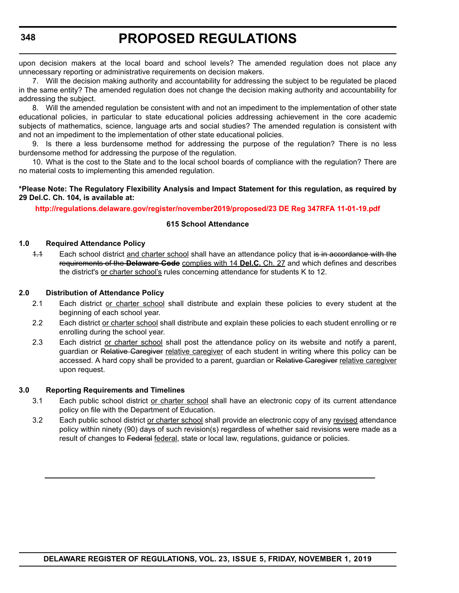upon decision makers at the local board and school levels? The amended regulation does not place any unnecessary reporting or administrative requirements on decision makers.

7. Will the decision making authority and accountability for addressing the subject to be regulated be placed in the same entity? The amended regulation does not change the decision making authority and accountability for addressing the subject.

8. Will the amended regulation be consistent with and not an impediment to the implementation of other state educational policies, in particular to state educational policies addressing achievement in the core academic subjects of mathematics, science, language arts and social studies? The amended regulation is consistent with and not an impediment to the implementation of other state educational policies.

9. Is there a less burdensome method for addressing the purpose of the regulation? There is no less burdensome method for addressing the purpose of the regulation.

10. What is the cost to the State and to the local school boards of compliance with the regulation? There are no material costs to implementing this amended regulation.

#### **\*Please Note: The Regulatory Flexibility Analysis and Impact Statement for this regulation, as required by 29 Del.C. Ch. 104, is available at:**

#### **<http://regulations.delaware.gov/register/november2019/proposed/23 DE Reg 347RFA 11-01-19.pdf>**

#### **615 School Attendance**

#### **1.0 Required Attendance Policy**

1.1 Each school district and charter school shall have an attendance policy that is in accordance with the requirements of the **Delaware Code** complies with 14 **Del.C.** Ch. 27 and which defines and describes the district's or charter school's rules concerning attendance for students K to 12.

#### **2.0 Distribution of Attendance Policy**

- 2.1 Each district or charter school shall distribute and explain these policies to every student at the beginning of each school year.
- 2.2 Each district or charter school shall distribute and explain these policies to each student enrolling or re enrolling during the school year.
- 2.3 Each district or charter school shall post the attendance policy on its website and notify a parent, guardian or Relative Caregiver relative caregiver of each student in writing where this policy can be accessed. A hard copy shall be provided to a parent, quardian or Relative Caregiver relative caregiver upon request.

#### **3.0 Reporting Requirements and Timelines**

- 3.1 Each public school district or charter school shall have an electronic copy of its current attendance policy on file with the Department of Education.
- 3.2 Each public school district or charter school shall provide an electronic copy of any revised attendance policy within ninety (90) days of such revision(s) regardless of whether said revisions were made as a result of changes to Federal federal, state or local law, regulations, guidance or policies.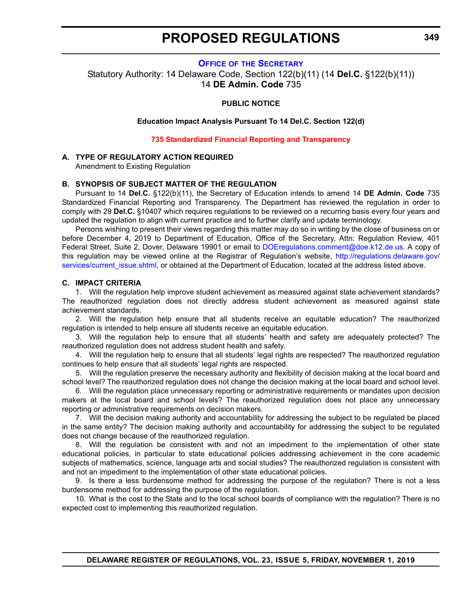#### **OFFICE OF [THE SECRETARY](https://www.doe.k12.de.us/Page/11)**

<span id="page-18-0"></span>Statutory Authority: 14 Delaware Code, Section 122(b)(11) (14 **Del.C.** §122(b)(11)) 14 **DE Admin. Code** 735

#### **PUBLIC NOTICE**

**Education Impact Analysis Pursuant To 14 Del.C. Section 122(d)**

**[735 Standardized Financial Reporting and Transparency](#page-3-0)**

#### **A. TYPE OF REGULATORY ACTION REQUIRED**

Amendment to Existing Regulation

#### **B. SYNOPSIS OF SUBJECT MATTER OF THE REGULATION**

Pursuant to 14 **Del.C.** §122(b)(11), the Secretary of Education intends to amend 14 **DE Admin. Code** 735 Standardized Financial Reporting and Transparency. The Department has reviewed the regulation in order to comply with 29 **Del.C.** §10407 which requires regulations to be reviewed on a recurring basis every four years and updated the regulation to align with current practice and to further clarify and update terminology.

Persons wishing to present their views regarding this matter may do so in writing by the close of business on or before December 4, 2019 to Department of Education, Office of the Secretary, Attn: Regulation Review, 401 Federal Street, Suite 2, Dover, Delaware 19901 or email to [DOEregulations.comment@doe.k12.de.us.](mailto:DOEregulations.comment@doe.k12.de.us) A copy of this regulation may be viewed online at the Registrar of Regulation's website, [http://regulations.delaware.gov/](http://regulations.delaware.gov/services/current_issue.shtml) [services/current\\_issue.shtml,](http://regulations.delaware.gov/services/current_issue.shtml) or obtained at the Department of Education, located at the address listed above.

#### **C. IMPACT CRITERIA**

1. Will the regulation help improve student achievement as measured against state achievement standards? The reauthorized regulation does not directly address student achievement as measured against state achievement standards.

2. Will the regulation help ensure that all students receive an equitable education? The reauthorized regulation is intended to help ensure all students receive an equitable education.

3. Will the regulation help to ensure that all students' health and safety are adequately protected? The reauthorized regulation does not address student health and safety.

4. Will the regulation help to ensure that all students' legal rights are respected? The reauthorized regulation continues to help ensure that all students' legal rights are respected.

5. Will the regulation preserve the necessary authority and flexibility of decision making at the local board and school level? The reauthorized regulation does not change the decision making at the local board and school level.

6. Will the regulation place unnecessary reporting or administrative requirements or mandates upon decision makers at the local board and school levels? The reauthorized regulation does not place any unnecessary reporting or administrative requirements on decision makers.

7. Will the decision making authority and accountability for addressing the subject to be regulated be placed in the same entity? The decision making authority and accountability for addressing the subject to be regulated does not change because of the reauthorized regulation.

8. Will the regulation be consistent with and not an impediment to the implementation of other state educational policies, in particular to state educational policies addressing achievement in the core academic subjects of mathematics, science, language arts and social studies? The reauthorized regulation is consistent with and not an impediment to the implementation of other state educational policies.

9. Is there a less burdensome method for addressing the purpose of the regulation? There is not a less burdensome method for addressing the purpose of the regulation.

10. What is the cost to the State and to the local school boards of compliance with the regulation? There is no expected cost to implementing this reauthorized regulation.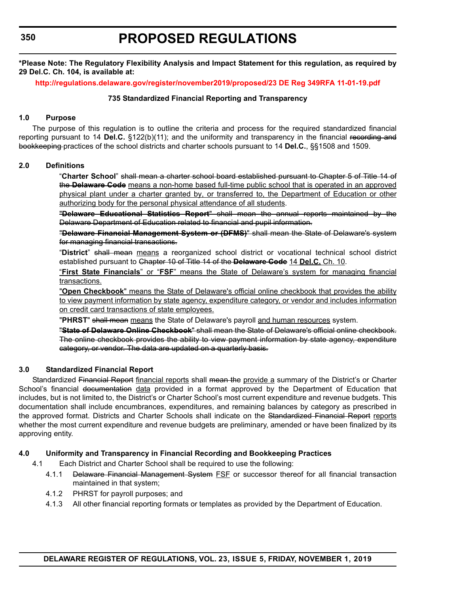**\*Please Note: The Regulatory Flexibility Analysis and Impact Statement for this regulation, as required by 29 Del.C. Ch. 104, is available at:**

**<http://regulations.delaware.gov/register/november2019/proposed/23 DE Reg 349RFA 11-01-19.pdf>**

#### **735 Standardized Financial Reporting and Transparency**

#### **1.0 Purpose**

The purpose of this regulation is to outline the criteria and process for the required standardized financial reporting pursuant to 14 **Del.C.** §122(b)(11); and the uniformity and transparency in the financial recording and bookkeeping practices of the school districts and charter schools pursuant to 14 **Del.C.**, §§1508 and 1509.

#### **2.0 Definitions**

"**Charter School**" shall mean a charter school board established pursuant to Chapter 5 of Title 14 of the **Delaware Code** means a non-home based full-time public school that is operated in an approved physical plant under a charter granted by, or transferred to, the Department of Education or other authorizing body for the personal physical attendance of all students.

"**Delaware Educational Statistics Report**" shall mean the annual reports maintained by the Delaware Department of Education related to financial and pupil information.

"**Delaware Financial Management System or (DFMS)**" shall mean the State of Delaware's system for managing financial transactions.

"**District**" shall mean means a reorganized school district or vocational technical school district established pursuant to Chapter 10 of Title 14 of the **Delaware Code** 14 **Del.C.** Ch. 10.

"**First State Financials**" or "**FSF**" means the State of Delaware's system for managing financial transactions.

"**Open Checkbook**" means the State of Delaware's official online checkbook that provides the ability to view payment information by state agency, expenditure category, or vendor and includes information on credit card transactions of state employees.

"**PHRST**" shall mean means the State of Delaware's payroll and human resources system.

"**State of Delaware Online Checkbook**" shall mean the State of Delaware's official online checkbook. The online checkbook provides the ability to view payment information by state agency, expenditure category, or vendor. The data are updated on a quarterly basis.

#### **3.0 Standardized Financial Report**

Standardized Financial Report financial reports shall mean the provide a summary of the District's or Charter School's financial documentation data provided in a format approved by the Department of Education that includes, but is not limited to, the District's or Charter School's most current expenditure and revenue budgets. This documentation shall include encumbrances, expenditures, and remaining balances by category as prescribed in the approved format. Districts and Charter Schools shall indicate on the Standardized Financial Report reports whether the most current expenditure and revenue budgets are preliminary, amended or have been finalized by its approving entity.

#### **4.0 Uniformity and Transparency in Financial Recording and Bookkeeping Practices**

- 4.1 Each District and Charter School shall be required to use the following:
	- 4.1.1 Delaware Financial Management System FSF or successor thereof for all financial transaction maintained in that system;
	- 4.1.2 PHRST for payroll purposes; and
	- 4.1.3 All other financial reporting formats or templates as provided by the Department of Education.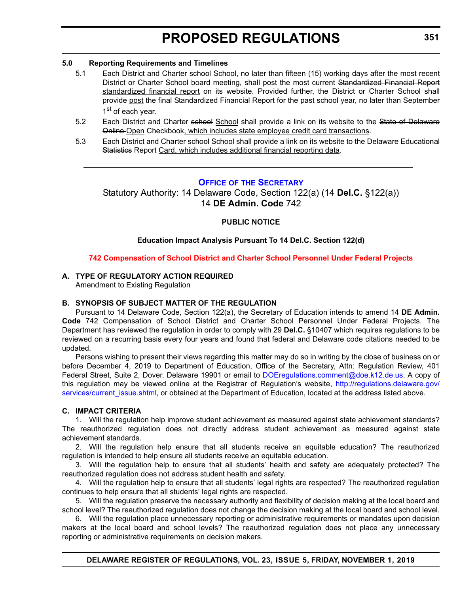#### <span id="page-20-0"></span>**5.0 Reporting Requirements and Timelines**

- 5.1 Each District and Charter school School, no later than fifteen (15) working days after the most recent District or Charter School board meeting, shall post the most current Standardized Financial Report standardized financial report on its website. Provided further, the District or Charter School shall provide post the final Standardized Financial Report for the past school year, no later than September 1st of each year.
- 5.2 Each District and Charter school School shall provide a link on its website to the State of Delaware Online Open Checkbook, which includes state employee credit card transactions.
- 5.3 Each District and Charter school School shall provide a link on its website to the Delaware Educational Statistics Report Card, which includes additional financial reporting data.

#### **OFFICE OF [THE SECRETARY](https://www.doe.k12.de.us/Page/11)**

Statutory Authority: 14 Delaware Code, Section 122(a) (14 **Del.C.** §122(a)) 14 **DE Admin. Code** 742

#### **PUBLIC NOTICE**

#### **Education Impact Analysis Pursuant To 14 Del.C. Section 122(d)**

#### **[742 Compensation of School District and Charter School Personnel Under Federal Projects](#page-3-0)**

#### **A. TYPE OF REGULATORY ACTION REQUIRED**

Amendment to Existing Regulation

#### **B. SYNOPSIS OF SUBJECT MATTER OF THE REGULATION**

Pursuant to 14 Delaware Code, Section 122(a), the Secretary of Education intends to amend 14 **DE Admin. Code** 742 Compensation of School District and Charter School Personnel Under Federal Projects. The Department has reviewed the regulation in order to comply with 29 **Del.C.** §10407 which requires regulations to be reviewed on a recurring basis every four years and found that federal and Delaware code citations needed to be updated.

Persons wishing to present their views regarding this matter may do so in writing by the close of business on or before December 4, 2019 to Department of Education, Office of the Secretary, Attn: Regulation Review, 401 Federal Street, Suite 2, Dover, Delaware 19901 or email to [DOEregulations.comment@doe.k12.de.us.](mailto:DOEregulations.comment@doe.k12.de.us) A copy of this regulation may be viewed online at the Registrar of Regulation's website, [http://regulations.delaware.gov/](http://regulations.delaware.gov/services/current_issue.shtml) [services/current\\_issue.shtml,](http://regulations.delaware.gov/services/current_issue.shtml) or obtained at the Department of Education, located at the address listed above.

#### **C. IMPACT CRITERIA**

1. Will the regulation help improve student achievement as measured against state achievement standards? The reauthorized regulation does not directly address student achievement as measured against state achievement standards.

2. Will the regulation help ensure that all students receive an equitable education? The reauthorized regulation is intended to help ensure all students receive an equitable education.

3. Will the regulation help to ensure that all students' health and safety are adequately protected? The reauthorized regulation does not address student health and safety.

4. Will the regulation help to ensure that all students' legal rights are respected? The reauthorized regulation continues to help ensure that all students' legal rights are respected.

5. Will the regulation preserve the necessary authority and flexibility of decision making at the local board and school level? The reauthorized regulation does not change the decision making at the local board and school level.

6. Will the regulation place unnecessary reporting or administrative requirements or mandates upon decision makers at the local board and school levels? The reauthorized regulation does not place any unnecessary reporting or administrative requirements on decision makers.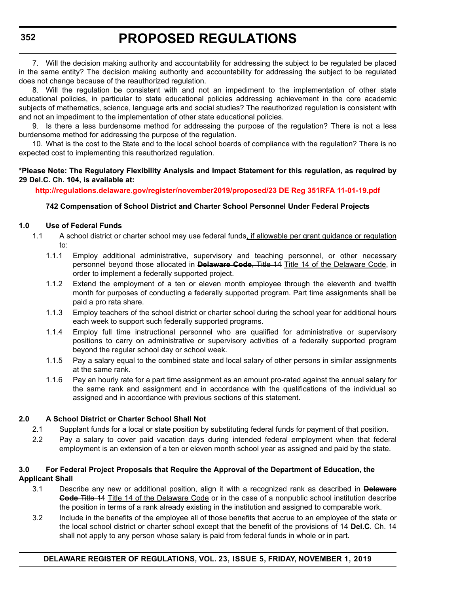7. Will the decision making authority and accountability for addressing the subject to be regulated be placed in the same entity? The decision making authority and accountability for addressing the subject to be regulated does not change because of the reauthorized regulation.

8. Will the regulation be consistent with and not an impediment to the implementation of other state educational policies, in particular to state educational policies addressing achievement in the core academic subjects of mathematics, science, language arts and social studies? The reauthorized regulation is consistent with and not an impediment to the implementation of other state educational policies.

9. Is there a less burdensome method for addressing the purpose of the regulation? There is not a less burdensome method for addressing the purpose of the regulation.

10. What is the cost to the State and to the local school boards of compliance with the regulation? There is no expected cost to implementing this reauthorized regulation.

#### **\*Please Note: The Regulatory Flexibility Analysis and Impact Statement for this regulation, as required by 29 Del.C. Ch. 104, is available at:**

**<http://regulations.delaware.gov/register/november2019/proposed/23 DE Reg 351RFA 11-01-19.pdf>**

#### **742 Compensation of School District and Charter School Personnel Under Federal Projects**

#### **1.0 Use of Federal Funds**

- 1.1 A school district or charter school may use federal funds, if allowable per grant guidance or regulation to:
	- 1.1.1 Employ additional administrative, supervisory and teaching personnel, or other necessary personnel beyond those allocated in **Delaware Code**, Title 14 Title 14 of the Delaware Code, in order to implement a federally supported project.
	- 1.1.2 Extend the employment of a ten or eleven month employee through the eleventh and twelfth month for purposes of conducting a federally supported program. Part time assignments shall be paid a pro rata share.
	- 1.1.3 Employ teachers of the school district or charter school during the school year for additional hours each week to support such federally supported programs.
	- 1.1.4 Employ full time instructional personnel who are qualified for administrative or supervisory positions to carry on administrative or supervisory activities of a federally supported program beyond the regular school day or school week.
	- 1.1.5 Pay a salary equal to the combined state and local salary of other persons in similar assignments at the same rank.
	- 1.1.6 Pay an hourly rate for a part time assignment as an amount pro-rated against the annual salary for the same rank and assignment and in accordance with the qualifications of the individual so assigned and in accordance with previous sections of this statement.

#### **2.0 A School District or Charter School Shall Not**

- 2.1 Supplant funds for a local or state position by substituting federal funds for payment of that position.
- 2.2 Pay a salary to cover paid vacation days during intended federal employment when that federal employment is an extension of a ten or eleven month school year as assigned and paid by the state.

#### **3.0 For Federal Project Proposals that Require the Approval of the Department of Education, the Applicant Shall**

- 3.1 Describe any new or additional position, align it with a recognized rank as described in **Delaware Code** Title 14 Title 14 of the Delaware Code or in the case of a nonpublic school institution describe the position in terms of a rank already existing in the institution and assigned to comparable work.
- 3.2 Include in the benefits of the employee all of those benefits that accrue to an employee of the state or the local school district or charter school except that the benefit of the provisions of 14 **Del.C**. Ch. 14 shall not apply to any person whose salary is paid from federal funds in whole or in part.

**DELAWARE REGISTER OF REGULATIONS, VOL. 23, ISSUE 5, FRIDAY, NOVEMBER 1, 2019**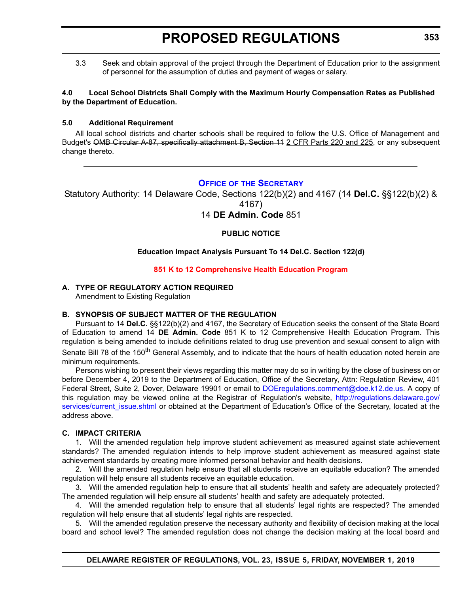<span id="page-22-0"></span>3.3 Seek and obtain approval of the project through the Department of Education prior to the assignment of personnel for the assumption of duties and payment of wages or salary.

#### **4.0 Local School Districts Shall Comply with the Maximum Hourly Compensation Rates as Published by the Department of Education.**

#### **5.0 Additional Requirement**

All local school districts and charter schools shall be required to follow the U.S. Office of Management and Budget's OMB Circular A-87, specifically attachment B, Section 11 2 CFR Parts 220 and 225, or any subsequent change thereto.

#### **OFFICE OF [THE SECRETARY](https://www.doe.k12.de.us/Page/11)**

Statutory Authority: 14 Delaware Code, Sections 122(b)(2) and 4167 (14 **Del.C.** §§122(b)(2) &

4167)

14 **DE Admin. Code** 851

#### **PUBLIC NOTICE**

#### **Education Impact Analysis Pursuant To 14 Del.C. Section 122(d)**

#### **[851 K to 12 Comprehensive Health Education Program](#page-3-0)**

#### **A. TYPE OF REGULATORY ACTION REQUIRED**

Amendment to Existing Regulation

#### **B. SYNOPSIS OF SUBJECT MATTER OF THE REGULATION**

Pursuant to 14 **Del.C.** §§122(b)(2) and 4167, the Secretary of Education seeks the consent of the State Board of Education to amend 14 **DE Admin. Code** 851 K to 12 Comprehensive Health Education Program. This regulation is being amended to include definitions related to drug use prevention and sexual consent to align with Senate Bill 78 of the 150<sup>th</sup> General Assembly, and to indicate that the hours of health education noted herein are minimum requirements.

Persons wishing to present their views regarding this matter may do so in writing by the close of business on or before December 4, 2019 to the Department of Education, Office of the Secretary, Attn: Regulation Review, 401 Federal Street, Suite 2, Dover, Delaware 19901 or email to [DOEregulations.comment@doe.k12.de.us.](mailto:DOEregulations.comment@doe.k12.de.us) A copy of this regulation may be viewed online at the Registrar of Regulation's website, [http://regulations.delaware.gov/](http://regulations.delaware.gov/services/current_issue.shtml) [services/current\\_issue.shtml](http://regulations.delaware.gov/services/current_issue.shtml) or obtained at the Department of Education's Office of the Secretary, located at the address above.

#### **C. IMPACT CRITERIA**

1. Will the amended regulation help improve student achievement as measured against state achievement standards? The amended regulation intends to help improve student achievement as measured against state achievement standards by creating more informed personal behavior and health decisions.

2. Will the amended regulation help ensure that all students receive an equitable education? The amended regulation will help ensure all students receive an equitable education.

3. Will the amended regulation help to ensure that all students' health and safety are adequately protected? The amended regulation will help ensure all students' health and safety are adequately protected.

4. Will the amended regulation help to ensure that all students' legal rights are respected? The amended regulation will help ensure that all students' legal rights are respected.

5. Will the amended regulation preserve the necessary authority and flexibility of decision making at the local board and school level? The amended regulation does not change the decision making at the local board and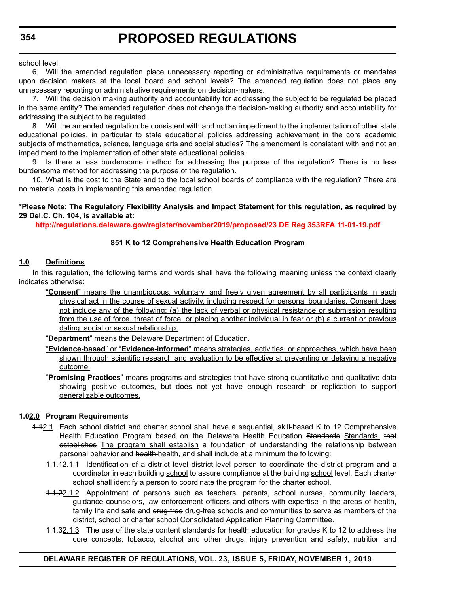school level.

6. Will the amended regulation place unnecessary reporting or administrative requirements or mandates upon decision makers at the local board and school levels? The amended regulation does not place any unnecessary reporting or administrative requirements on decision-makers.

7. Will the decision making authority and accountability for addressing the subject to be regulated be placed in the same entity? The amended regulation does not change the decision-making authority and accountability for addressing the subject to be regulated.

8. Will the amended regulation be consistent with and not an impediment to the implementation of other state educational policies, in particular to state educational policies addressing achievement in the core academic subjects of mathematics, science, language arts and social studies? The amendment is consistent with and not an impediment to the implementation of other state educational policies.

9. Is there a less burdensome method for addressing the purpose of the regulation? There is no less burdensome method for addressing the purpose of the regulation.

10. What is the cost to the State and to the local school boards of compliance with the regulation? There are no material costs in implementing this amended regulation.

#### **\*Please Note: The Regulatory Flexibility Analysis and Impact Statement for this regulation, as required by 29 Del.C. Ch. 104, is available at:**

**<http://regulations.delaware.gov/register/november2019/proposed/23 DE Reg 353RFA 11-01-19.pdf>**

#### **851 K to 12 Comprehensive Health Education Program**

#### **1.0 Definitions**

In this regulation, the following terms and words shall have the following meaning unless the context clearly indicates otherwise:

- "**Consent**" means the unambiguous, voluntary, and freely given agreement by all participants in each physical act in the course of sexual activity, including respect for personal boundaries. Consent does not include any of the following: (a) the lack of verbal or physical resistance or submission resulting from the use of force, threat of force, or placing another individual in fear or (b) a current or previous dating, social or sexual relationship.
- "**Department**" means the Delaware Department of Education.
- "**Evidence-based**" or "**Evidence-informed**" means strategies, activities, or approaches, which have been shown through scientific research and evaluation to be effective at preventing or delaying a negative outcome.
- "**Promising Practices**" means programs and strategies that have strong quantitative and qualitative data showing positive outcomes, but does not yet have enough research or replication to support generalizable outcomes.

#### **1.02.0 Program Requirements**

- 1.12.1 Each school district and charter school shall have a sequential, skill-based K to 12 Comprehensive Health Education Program based on the Delaware Health Education Standards Standards. that establishes The program shall establish a foundation of understanding the relationship between personal behavior and health health, and shall include at a minimum the following:
	- 1.1.12.1.1 Identification of a district level district-level person to coordinate the district program and a coordinator in each building school to assure compliance at the building school level. Each charter school shall identify a person to coordinate the program for the charter school.
	- 1.1.22.1.2 Appointment of persons such as teachers, parents, school nurses, community leaders, guidance counselors, law enforcement officers and others with expertise in the areas of health, family life and safe and drug free drug-free schools and communities to serve as members of the district, school or charter school Consolidated Application Planning Committee.
	- 1.1.32.1.3 The use of the state content standards for health education for grades K to 12 to address the core concepts: tobacco, alcohol and other drugs, injury prevention and safety, nutrition and

#### **DELAWARE REGISTER OF REGULATIONS, VOL. 23, ISSUE 5, FRIDAY, NOVEMBER 1, 2019**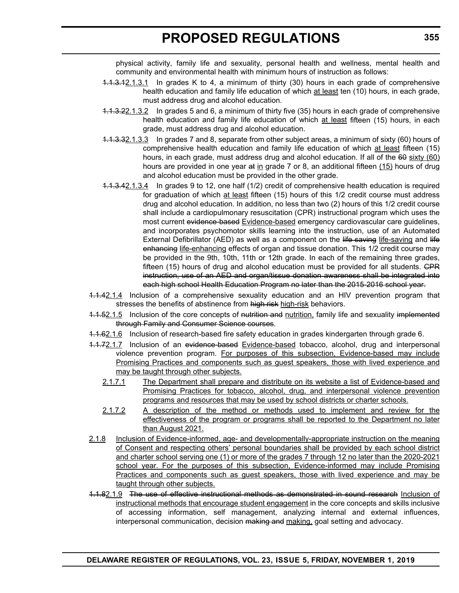physical activity, family life and sexuality, personal health and wellness, mental health and community and environmental health with minimum hours of instruction as follows:

- 4.1.3.12.1.3.1 In grades K to 4, a minimum of thirty (30) hours in each grade of comprehensive health education and family life education of which at least ten (10) hours, in each grade, must address drug and alcohol education.
- 1.1.3.22.1.3.2 In grades 5 and 6, a minimum of thirty five (35) hours in each grade of comprehensive health education and family life education of which at least fifteen (15) hours, in each grade, must address drug and alcohol education.
- 1.1.3.32.1.3.3 In grades 7 and 8, separate from other subject areas, a minimum of sixty (60) hours of comprehensive health education and family life education of which at least fifteen (15) hours, in each grade, must address drug and alcohol education. If all of the 60 sixty (60) hours are provided in one year at in grade 7 or 8, an additional fifteen (15) hours of drug and alcohol education must be provided in the other grade.
- 1.1.3.42.1.3.4 In grades 9 to 12, one half (1/2) credit of comprehensive health education is required for graduation of which at least fifteen (15) hours of this 1/2 credit course must address drug and alcohol education. In addition, no less than two (2) hours of this 1/2 credit course shall include a cardiopulmonary resuscitation (CPR) instructional program which uses the most current evidence-based Evidence-based emergency cardiovascular care guidelines, and incorporates psychomotor skills learning into the instruction, use of an Automated External Defibrillator (AED) as well as a component on the life-saving life-saving and life enhancing life-enhancing effects of organ and tissue donation. This 1/2 credit course may be provided in the 9th, 10th, 11th or 12th grade. In each of the remaining three grades, fifteen (15) hours of drug and alcohol education must be provided for all students. GPR instruction, use of an AED and organ/tissue donation awareness shall be integrated into each high school Health Education Program no later than the 2015-2016 school year.
- 1.1.42.1.4 Inclusion of a comprehensive sexuality education and an HIV prevention program that stresses the benefits of abstinence from high risk high-risk behaviors.
- 1.1.52.1.5 Inclusion of the core concepts of nutrition and nutrition, family life and sexuality implemented through Family and Consumer Science courses.
- 1.1.62.1.6 Inclusion of research-based fire safety education in grades kindergarten through grade 6.
- 1.1.72.1.7 Inclusion of an evidence-based Evidence-based tobacco, alcohol, drug and interpersonal violence prevention program. For purposes of this subsection, Evidence-based may include Promising Practices and components such as guest speakers, those with lived experience and may be taught through other subjects.
	- 2.1.7.1 The Department shall prepare and distribute on its website a list of Evidence-based and Promising Practices for tobacco, alcohol, drug, and interpersonal violence prevention programs and resources that may be used by school districts or charter schools.
	- 2.1.7.2 A description of the method or methods used to implement and review for the effectiveness of the program or programs shall be reported to the Department no later than August 2021.
- 2.1.8 Inclusion of Evidence-informed, age- and developmentally-appropriate instruction on the meaning of Consent and respecting others' personal boundaries shall be provided by each school district and charter school serving one (1) or more of the grades 7 through 12 no later than the 2020-2021 school year. For the purposes of this subsection, Evidence-informed may include Promising Practices and components such as guest speakers, those with lived experience and may be taught through other subjects.
- 1.1.82.1.9 The use of effective instructional methods as demonstrated in sound research Inclusion of instructional methods that encourage student engagement in the core concepts and skills inclusive of accessing information, self management, analyzing internal and external influences, interpersonal communication, decision making and making, goal setting and advocacy.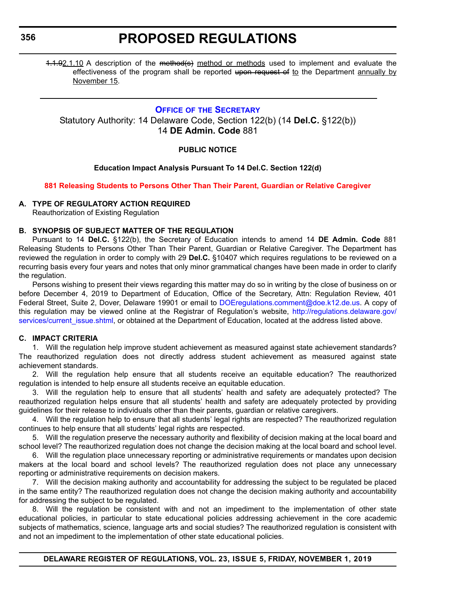<span id="page-25-0"></span>**356**

### **PROPOSED REGULATIONS**

1.1.92.1.10 A description of the method(s) method or methods used to implement and evaluate the effectiveness of the program shall be reported upon request of to the Department annually by November 15.

#### **OFFICE OF THE SECRETARY**

Statutory Authority: 14 Delaware Code, Section 122(b) (14 **Del.C.** §122(b)) 14 **DE Admin. Code** 881

#### **PUBLIC NOTICE**

#### **Education Impact Analysis Pursuant To 14 Del.C. Section 122(d)**

#### **[881 Releasing Students to Persons Other Than Their Parent, Guardian or Relative Caregiver](#page-3-0)**

#### **A. TYPE OF REGULATORY ACTION REQUIRED**

Reauthorization of Existing Regulation

#### **B. SYNOPSIS OF SUBJECT MATTER OF THE REGULATION**

Pursuant to 14 **Del.C.** §122(b), the Secretary of Education intends to amend 14 **DE Admin. Code** 881 Releasing Students to Persons Other Than Their Parent, Guardian or Relative Caregiver. The Department has reviewed the regulation in order to comply with 29 **Del.C.** §10407 which requires regulations to be reviewed on a recurring basis every four years and notes that only minor grammatical changes have been made in order to clarify the regulation.

Persons wishing to present their views regarding this matter may do so in writing by the close of business on or before December 4, 2019 to Department of Education, Office of the Secretary, Attn: Regulation Review, 401 Federal Street, Suite 2, Dover, Delaware 19901 or email to [DOEregulations.comment@doe.k12.de.us](mailto:DOEregulations.comment@doe.k12.de.us). A copy of this regulation may be viewed online at the Registrar of Regulation's website, [http://regulations.delaware.gov/](http://regulations.delaware.gov/services/current_issue.shtml) [services/current\\_issue.shtml](http://regulations.delaware.gov/services/current_issue.shtml), or obtained at the Department of Education, located at the address listed above.

#### **C. IMPACT CRITERIA**

1. Will the regulation help improve student achievement as measured against state achievement standards? The reauthorized regulation does not directly address student achievement as measured against state achievement standards.

2. Will the regulation help ensure that all students receive an equitable education? The reauthorized regulation is intended to help ensure all students receive an equitable education.

3. Will the regulation help to ensure that all students' health and safety are adequately protected? The reauthorized regulation helps ensure that all students' health and safety are adequately protected by providing guidelines for their release to individuals other than their parents, guardian or relative caregivers.

4. Will the regulation help to ensure that all students' legal rights are respected? The reauthorized regulation continues to help ensure that all students' legal rights are respected.

5. Will the regulation preserve the necessary authority and flexibility of decision making at the local board and school level? The reauthorized regulation does not change the decision making at the local board and school level.

6. Will the regulation place unnecessary reporting or administrative requirements or mandates upon decision makers at the local board and school levels? The reauthorized regulation does not place any unnecessary reporting or administrative requirements on decision makers.

7. Will the decision making authority and accountability for addressing the subject to be regulated be placed in the same entity? The reauthorized regulation does not change the decision making authority and accountability for addressing the subject to be regulated.

8. Will the regulation be consistent with and not an impediment to the implementation of other state educational policies, in particular to state educational policies addressing achievement in the core academic subjects of mathematics, science, language arts and social studies? The reauthorized regulation is consistent with and not an impediment to the implementation of other state educational policies.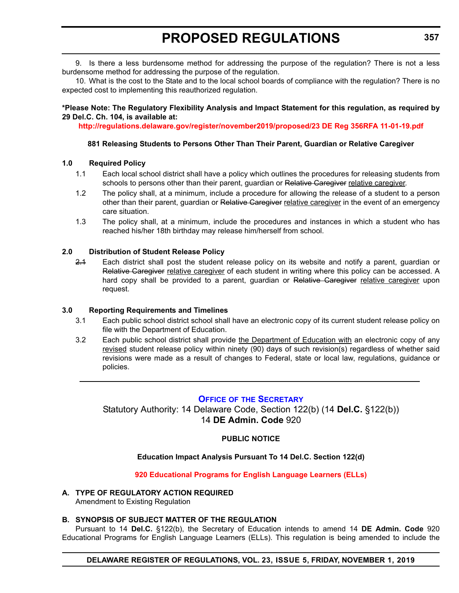<span id="page-26-0"></span>9. Is there a less burdensome method for addressing the purpose of the regulation? There is not a less burdensome method for addressing the purpose of the regulation.

10. What is the cost to the State and to the local school boards of compliance with the regulation? There is no expected cost to implementing this reauthorized regulation.

#### **\*Please Note: The Regulatory Flexibility Analysis and Impact Statement for this regulation, as required by 29 Del.C. Ch. 104, is available at:**

**<http://regulations.delaware.gov/register/november2019/proposed/23 DE Reg 356RFA 11-01-19.pdf>**

#### **881 Releasing Students to Persons Other Than Their Parent, Guardian or Relative Caregiver**

#### **1.0 Required Policy**

- 1.1 Each local school district shall have a policy which outlines the procedures for releasing students from schools to persons other than their parent, guardian or Relative Caregiver relative caregiver.
- 1.2 The policy shall, at a minimum, include a procedure for allowing the release of a student to a person other than their parent, guardian or Relative Caregiver relative caregiver in the event of an emergency care situation.
- 1.3 The policy shall, at a minimum, include the procedures and instances in which a student who has reached his/her 18th birthday may release him/herself from school.

#### **2.0 Distribution of Student Release Policy**

2.1 Each district shall post the student release policy on its website and notify a parent, guardian or Relative Caregiver relative caregiver of each student in writing where this policy can be accessed. A hard copy shall be provided to a parent, guardian or Relative Caregiver relative caregiver upon request.

#### **3.0 Reporting Requirements and Timelines**

- 3.1 Each public school district school shall have an electronic copy of its current student release policy on file with the Department of Education.
- 3.2 Each public school district shall provide the Department of Education with an electronic copy of any revised student release policy within ninety (90) days of such revision(s) regardless of whether said revisions were made as a result of changes to Federal, state or local law, regulations, guidance or policies.

#### **OFFICE OF [THE SECRETARY](https://www.doe.k12.de.us/Page/11)**

Statutory Authority: 14 Delaware Code, Section 122(b) (14 **Del.C.** §122(b)) 14 **DE Admin. Code** 920

#### **PUBLIC NOTICE**

#### **Education Impact Analysis Pursuant To 14 Del.C. Section 122(d)**

**[920 Educational Programs for English Language Learners \(ELLs\)](#page-3-0)**

#### **A. TYPE OF REGULATORY ACTION REQUIRED**

Amendment to Existing Regulation

#### **B. SYNOPSIS OF SUBJECT MATTER OF THE REGULATION**

Pursuant to 14 **Del.C.** §122(b), the Secretary of Education intends to amend 14 **DE Admin. Code** 920 Educational Programs for English Language Learners (ELLs). This regulation is being amended to include the

#### **DELAWARE REGISTER OF REGULATIONS, VOL. 23, ISSUE 5, FRIDAY, NOVEMBER 1, 2019**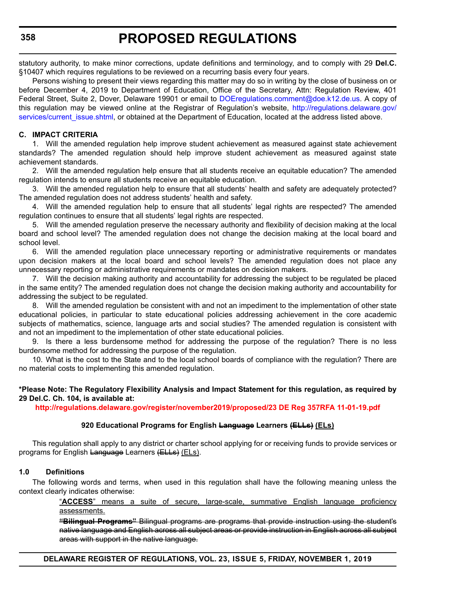statutory authority, to make minor corrections, update definitions and terminology, and to comply with 29 **Del.C.** §10407 which requires regulations to be reviewed on a recurring basis every four years.

Persons wishing to present their views regarding this matter may do so in writing by the close of business on or before December 4, 2019 to Department of Education, Office of the Secretary, Attn: Regulation Review, 401 Federal Street, Suite 2, Dover, Delaware 19901 or email to [DOEregulations.comment@doe.k12.de.us](mailto:DOEregulations.comment@doe.k12.de.us). A copy of this regulation may be viewed online at the Registrar of Regulation's website, [http://regulations.delaware.gov/](http://regulations.delaware.gov/services/current_issue.shtml) [services/current\\_issue.shtml](http://regulations.delaware.gov/services/current_issue.shtml), or obtained at the Department of Education, located at the address listed above.

#### **C. IMPACT CRITERIA**

1. Will the amended regulation help improve student achievement as measured against state achievement standards? The amended regulation should help improve student achievement as measured against state achievement standards.

2. Will the amended regulation help ensure that all students receive an equitable education? The amended regulation intends to ensure all students receive an equitable education.

3. Will the amended regulation help to ensure that all students' health and safety are adequately protected? The amended regulation does not address students' health and safety.

4. Will the amended regulation help to ensure that all students' legal rights are respected? The amended regulation continues to ensure that all students' legal rights are respected.

5. Will the amended regulation preserve the necessary authority and flexibility of decision making at the local board and school level? The amended regulation does not change the decision making at the local board and school level.

6. Will the amended regulation place unnecessary reporting or administrative requirements or mandates upon decision makers at the local board and school levels? The amended regulation does not place any unnecessary reporting or administrative requirements or mandates on decision makers.

7. Will the decision making authority and accountability for addressing the subject to be regulated be placed in the same entity? The amended regulation does not change the decision making authority and accountability for addressing the subject to be regulated.

8. Will the amended regulation be consistent with and not an impediment to the implementation of other state educational policies, in particular to state educational policies addressing achievement in the core academic subjects of mathematics, science, language arts and social studies? The amended regulation is consistent with and not an impediment to the implementation of other state educational policies.

9. Is there a less burdensome method for addressing the purpose of the regulation? There is no less burdensome method for addressing the purpose of the regulation.

10. What is the cost to the State and to the local school boards of compliance with the regulation? There are no material costs to implementing this amended regulation.

#### **\*Please Note: The Regulatory Flexibility Analysis and Impact Statement for this regulation, as required by 29 Del.C. Ch. 104, is available at:**

**<http://regulations.delaware.gov/register/november2019/proposed/23 DE Reg 357RFA 11-01-19.pdf>**

#### **920 Educational Programs for English Language Learners (ELLs) (ELs)**

This regulation shall apply to any district or charter school applying for or receiving funds to provide services or programs for English Language Learners (ELLs) (ELs).

#### **1.0 Definitions**

The following words and terms, when used in this regulation shall have the following meaning unless the context clearly indicates otherwise:

> "**ACCESS**" means a suite of secure, large-scale, summative English language proficiency assessments.

> **"Bilingual Programs"** Bilingual programs are programs that provide instruction using the student's native language and English across all subject areas or provide instruction in English across all subject areas with support in the native language.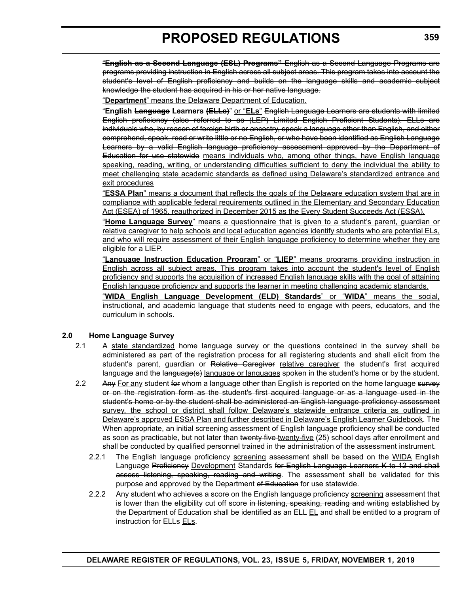"**English as a Second Language (ESL) Programs"** English as a Second Language Programs are programs providing instruction in English across all subject areas. This program takes into account the student's level of English proficiency and builds on the language skills and academic subject knowledge the student has acquired in his or her native language.

"**Department**" means the Delaware Department of Education.

"**English Language Learners (ELLs)**" or "**ELs**" English Language Learners are students with limited English proficiency (also referred to as (LEP) Limited English Proficient Students). ELLs are individuals who, by reason of foreign birth or ancestry, speak a language other than English, and either comprehend, speak, read or write little or no English, or who have been identified as English Language Learners by a valid English language proficiency assessment approved by the Department of Education for use statewide means individuals who, among other things, have English language speaking, reading, writing, or understanding difficulties sufficient to deny the individual the ability to meet challenging state academic standards as defined using Delaware's standardized entrance and exit procedures

"**ESSA Plan**" means a document that reflects the goals of the Delaware education system that are in compliance with applicable federal requirements outlined in the Elementary and Secondary Education Act (ESEA) of 1965, reauthorized in December 2015 as the Every Student Succeeds Act (ESSA).

"**Home Language Survey**" means a questionnaire that is given to a student's parent, guardian or relative caregiver to help schools and local education agencies identify students who are potential ELs, and who will require assessment of their English language proficiency to determine whether they are eligible for a LIEP.

"**Language Instruction Education Program**" or "**LIEP**" means programs providing instruction in English across all subject areas. This program takes into account the student's level of English proficiency and supports the acquisition of increased English language skills with the goal of attaining English language proficiency and supports the learner in meeting challenging academic standards.

"**WIDA English Language Development (ELD) Standards**" or "**WIDA**" means the social, instructional, and academic language that students need to engage with peers, educators, and the curriculum in schools.

#### **2.0 Home Language Survey**

- 2.1 A state standardized home language survey or the questions contained in the survey shall be administered as part of the registration process for all registering students and shall elicit from the student's parent, guardian or Relative Caregiver relative caregiver the student's first acquired language and the language(s) language or languages spoken in the student's home or by the student.
- 2.2 Any For any student for whom a language other than English is reported on the home language survey or on the registration form as the student's first acquired language or as a language used in the student's home or by the student shall be administered an English language proficiency assessment survey, the school or district shall follow Delaware's statewide entrance criteria as outlined in Delaware's approved ESSA Plan and further described in Delaware's English Learner Guidebook. The When appropriate, an initial screening assessment of English language proficiency shall be conducted as soon as practicable, but not later than twenty five-twenty-five (25) school days after enrollment and shall be conducted by qualified personnel trained in the administration of the assessment instrument.
	- 2.2.1 The English language proficiency screening assessment shall be based on the WIDA English Language Proficiency Development Standards for English Language Learners K to 12 and shall assess listening, speaking, reading and writing. The assessment shall be validated for this purpose and approved by the Department of Education for use statewide.
	- 2.2.2 Any student who achieves a score on the English language proficiency screening assessment that is lower than the eligibility cut off score in listening, speaking, reading and writing established by the Department of Education shall be identified as an ELL EL and shall be entitled to a program of instruction for **ELLs** ELs.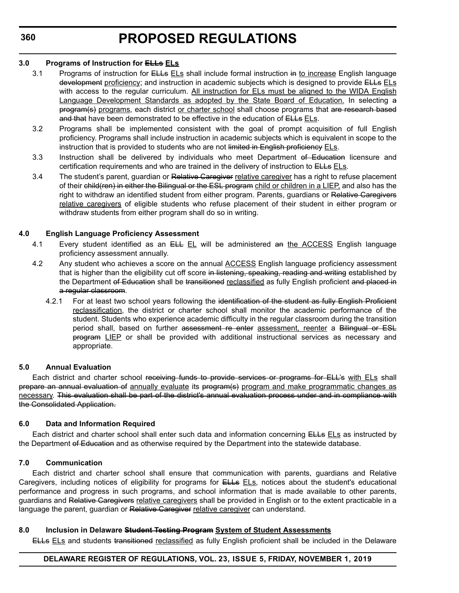#### **3.0 Programs of Instruction for ELLs ELs**

- 3.1 Programs of instruction for ELLs ELs shall include formal instruction in to increase English language development proficiency; and instruction in academic subjects which is designed to provide ELLs ELS with access to the regular curriculum. All instruction for ELs must be aligned to the WIDA English Language Development Standards as adopted by the State Board of Education. In selecting a program(s) programs, each district or charter school shall choose programs that are research based and that have been demonstrated to be effective in the education of **ELLs** ELs.
- 3.2 Programs shall be implemented consistent with the goal of prompt acquisition of full English proficiency. Programs shall include instruction in academic subjects which is equivalent in scope to the instruction that is provided to students who are not limited in English proficiency ELs.
- 3.3 Instruction shall be delivered by individuals who meet Department of Education licensure and certification requirements and who are trained in the delivery of instruction to ELLs ELs.
- 3.4 The student's parent, guardian or Relative Caregiver relative caregiver has a right to refuse placement of their ehild(ren) in either the Bilingual or the ESL program child or children in a LIEP, and also has the right to withdraw an identified student from either program. Parents, guardians or Relative Caregivers relative caregivers of eligible students who refuse placement of their student in either program or withdraw students from either program shall do so in writing.

#### **4.0 English Language Proficiency Assessment**

- 4.1 Every student identified as an ELL EL will be administered an the ACCESS English language proficiency assessment annually.
- 4.2 Any student who achieves a score on the annual **ACCESS** English language proficiency assessment that is higher than the eligibility cut off score in listening, speaking, reading and writing established by the Department of Education shall be transitioned reclassified as fully English proficient and placed in a regular classroom.
	- 4.2.1 For at least two school years following the identification of the student as fully English Proficient reclassification, the district or charter school shall monitor the academic performance of the student. Students who experience academic difficulty in the regular classroom during the transition period shall, based on further assessment re enter assessment, reenter a Bilingual or ESL program LIEP or shall be provided with additional instructional services as necessary and appropriate.

#### **5.0 Annual Evaluation**

Each district and charter school receiving funds to provide services or programs for ELL's with ELs shall prepare an annual evaluation of annually evaluate its program(s) program and make programmatic changes as necessary. This evaluation shall be part of the district's annual evaluation process under and in compliance with the Consolidated Application.

#### **6.0 Data and Information Required**

Each district and charter school shall enter such data and information concerning ELLs ELs as instructed by the Department of Education and as otherwise required by the Department into the statewide database.

#### **7.0 Communication**

Each district and charter school shall ensure that communication with parents, guardians and Relative Caregivers, including notices of eligibility for programs for **ELLs** ELS, notices about the student's educational performance and progress in such programs, and school information that is made available to other parents, guardians and Relative Caregivers relative caregivers shall be provided in English or to the extent practicable in a language the parent, guardian or Relative Caregiver relative caregiver can understand.

#### **8.0 Inclusion in Delaware Student Testing Program System of Student Assessments**

ELLs ELs and students transitioned reclassified as fully English proficient shall be included in the Delaware

#### **DELAWARE REGISTER OF REGULATIONS, VOL. 23, ISSUE 5, FRIDAY, NOVEMBER 1, 2019**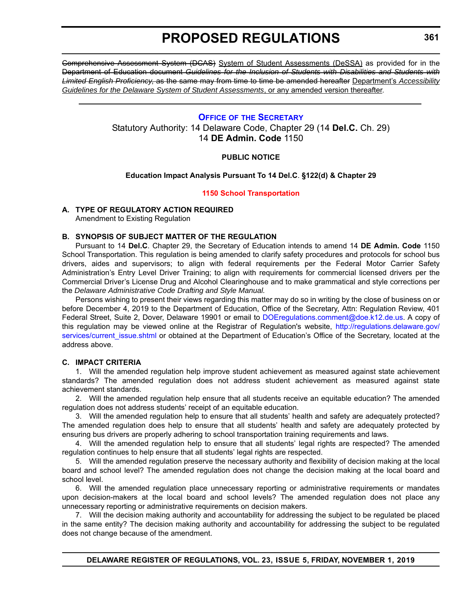<span id="page-30-0"></span>Comprehensive Assessment System (DCAS) System of Student Assessments (DeSSA) as provided for in the Department of Education document *Guidelines for the Inclusion of Students with Disabilities and Students with Limited English Proficiency*, as the same may from time to time be amended hereafter Department's *Accessibility Guidelines for the Delaware System of Student Assessments*, or any amended version thereafter.

#### **OFFICE OF [THE SECRETARY](https://www.doe.k12.de.us/Page/11)**

Statutory Authority: 14 Delaware Code, Chapter 29 (14 **Del.C.** Ch. 29) 14 **DE Admin. Code** 1150

#### **PUBLIC NOTICE**

#### **Education Impact Analysis Pursuant To 14 Del.C**. **§122(d) & Chapter 29**

#### **[1150 School Transportation](#page-3-0)**

#### **A. TYPE OF REGULATORY ACTION REQUIRED**

Amendment to Existing Regulation

#### **B. SYNOPSIS OF SUBJECT MATTER OF THE REGULATION**

Pursuant to 14 **Del.C**. Chapter 29, the Secretary of Education intends to amend 14 **DE Admin. Code** 1150 School Transportation. This regulation is being amended to clarify safety procedures and protocols for school bus drivers, aides and supervisors; to align with federal requirements per the Federal Motor Carrier Safety Administration's Entry Level Driver Training; to align with requirements for commercial licensed drivers per the Commercial Driver's License Drug and Alcohol Clearinghouse and to make grammatical and style corrections per the *Delaware Administrative Code Drafting and Style Manual.*

Persons wishing to present their views regarding this matter may do so in writing by the close of business on or before December 4, 2019 to the Department of Education, Office of the Secretary, Attn: Regulation Review, 401 Federal Street, Suite 2, Dover, Delaware 19901 or email to [DOEregulations.comment@doe.k12.de.us.](mailto:DOEregulations.comment@doe.k12.de.us) A copy of this regulation may be viewed online at the Registrar of Regulation's website, [http://regulations.delaware.gov/](http://regulations.delaware.gov/services/current_issue.shtml) [services/current\\_issue.shtml](http://regulations.delaware.gov/services/current_issue.shtml) or obtained at the Department of Education's Office of the Secretary, located at the address above.

#### **C. IMPACT CRITERIA**

1. Will the amended regulation help improve student achievement as measured against state achievement standards? The amended regulation does not address student achievement as measured against state achievement standards.

2. Will the amended regulation help ensure that all students receive an equitable education? The amended regulation does not address students' receipt of an equitable education.

3. Will the amended regulation help to ensure that all students' health and safety are adequately protected? The amended regulation does help to ensure that all students' health and safety are adequately protected by ensuring bus drivers are properly adhering to school transportation training requirements and laws.

4. Will the amended regulation help to ensure that all students' legal rights are respected? The amended regulation continues to help ensure that all students' legal rights are respected.

5. Will the amended regulation preserve the necessary authority and flexibility of decision making at the local board and school level? The amended regulation does not change the decision making at the local board and school level.

6. Will the amended regulation place unnecessary reporting or administrative requirements or mandates upon decision-makers at the local board and school levels? The amended regulation does not place any unnecessary reporting or administrative requirements on decision makers.

7. Will the decision making authority and accountability for addressing the subject to be regulated be placed in the same entity? The decision making authority and accountability for addressing the subject to be regulated does not change because of the amendment.

**DELAWARE REGISTER OF REGULATIONS, VOL. 23, ISSUE 5, FRIDAY, NOVEMBER 1, 2019**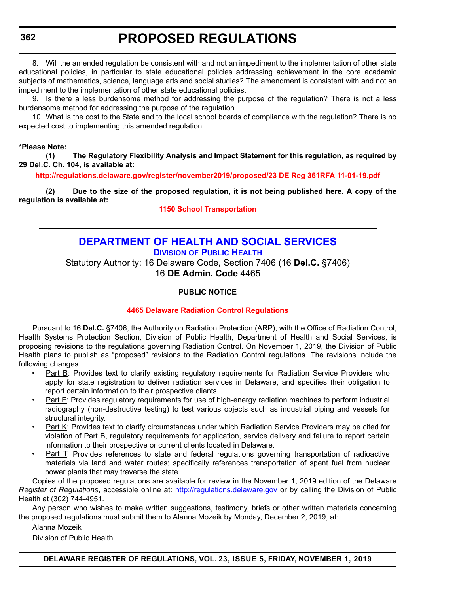<span id="page-31-0"></span>**362**

### **PROPOSED REGULATIONS**

8. Will the amended regulation be consistent with and not an impediment to the implementation of other state educational policies, in particular to state educational policies addressing achievement in the core academic subjects of mathematics, science, language arts and social studies? The amendment is consistent with and not an impediment to the implementation of other state educational policies.

9. Is there a less burdensome method for addressing the purpose of the regulation? There is not a less burdensome method for addressing the purpose of the regulation.

10. What is the cost to the State and to the local school boards of compliance with the regulation? There is no expected cost to implementing this amended regulation.

#### **\*Please Note:**

**(1) The Regulatory Flexibility Analysis and Impact Statement for this regulation, as required by 29 Del.C. Ch. 104, is available at:**

**<http://regulations.delaware.gov/register/november2019/proposed/23 DE Reg 361RFA 11-01-19.pdf>**

**(2) Due to the size of the proposed regulation, it is not being published here. A copy of the regulation is available at:**

**[1150 School Transportation](http://regulations.delaware.gov/register/november2019/proposed/23 DE Reg 361 11-01-19.htm)**

#### **[DEPARTMENT OF HEALTH AND SOCIAL SERVICES](https://www.dhss.delaware.gov/dhss/index.html) DIVISION [OF PUBLIC HEALTH](https://www.dhss.delaware.gov/dhss/dph/index.html)**

Statutory Authority: 16 Delaware Code, Section 7406 (16 **Del.C.** §7406) 16 **DE Admin. Code** 4465

#### **PUBLIC NOTICE**

#### **[4465 Delaware Radiation Control Regulations](#page-3-0)**

Pursuant to 16 **Del.C.** §7406, the Authority on Radiation Protection (ARP), with the Office of Radiation Control, Health Systems Protection Section, Division of Public Health, Department of Health and Social Services, is proposing revisions to the regulations governing Radiation Control. On November 1, 2019, the Division of Public Health plans to publish as "proposed" revisions to the Radiation Control regulations. The revisions include the following changes.

- Part B: Provides text to clarify existing regulatory requirements for Radiation Service Providers who apply for state registration to deliver radiation services in Delaware, and specifies their obligation to report certain information to their prospective clients.
- Part E: Provides regulatory requirements for use of high-energy radiation machines to perform industrial radiography (non-destructive testing) to test various objects such as industrial piping and vessels for structural integrity.
- Part K: Provides text to clarify circumstances under which Radiation Service Providers may be cited for violation of Part B, regulatory requirements for application, service delivery and failure to report certain information to their prospective or current clients located in Delaware.
- Part T: Provides references to state and federal regulations governing transportation of radioactive materials via land and water routes; specifically references transportation of spent fuel from nuclear power plants that may traverse the state.

Copies of the proposed regulations are available for review in the November 1, 2019 edition of the Delaware *Register of Regulations*, accessible online at: <http://regulations.delaware.gov> or by calling the Division of Public Health at (302) 744-4951.

Any person who wishes to make written suggestions, testimony, briefs or other written materials concerning the proposed regulations must submit them to Alanna Mozeik by Monday, December 2, 2019, at:

Alanna Mozeik

Division of Public Health

**DELAWARE REGISTER OF REGULATIONS, VOL. 23, ISSUE 5, FRIDAY, NOVEMBER 1, 2019**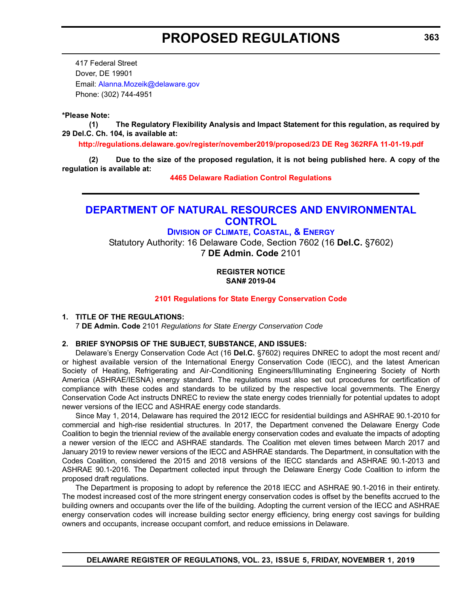<span id="page-32-0"></span>417 Federal Street Dover, DE 19901 Email: [Alanna.Mozeik@delaware.gov](mailto:Alanna.Mozeik@delaware.gov) Phone: (302) 744-4951

#### **\*Please Note:**

**(1) The Regulatory Flexibility Analysis and Impact Statement for this regulation, as required by 29 Del.C. Ch. 104, is available at:**

**<http://regulations.delaware.gov/register/november2019/proposed/23 DE Reg 362RFA 11-01-19.pdf>**

**(2) Due to the size of the proposed regulation, it is not being published here. A copy of the regulation is available at:**

**[4465 Delaware Radiation Control Regulations](http://regulations.delaware.gov/register/november2019/proposed/23 DE Reg 362 11-01-19.htm)**

#### **[DEPARTMENT OF NATURAL RESOURCES AND ENVIRONMENTAL](https://dnrec.alpha.delaware.gov/)  CONTROL**

#### **DIVISION [OF CLIMATE, COASTAL, & ENERGY](https://dnrec.alpha.delaware.gov/climate-coastal-energy/)**

Statutory Authority: 16 Delaware Code, Section 7602 (16 **Del.C.** §7602) 7 **DE Admin. Code** 2101

> **REGISTER NOTICE SAN# 2019-04**

#### **[2101 Regulations for State Energy Conservation Code](#page-3-0)**

#### **1. TITLE OF THE REGULATIONS:** 7 **DE Admin. Code** 2101 *Regulations for State Energy Conservation Code*

#### **2. BRIEF SYNOPSIS OF THE SUBJECT, SUBSTANCE, AND ISSUES:**

Delaware's Energy Conservation Code Act (16 **Del.C.** §7602) requires DNREC to adopt the most recent and/ or highest available version of the International Energy Conservation Code (IECC), and the latest American Society of Heating, Refrigerating and Air-Conditioning Engineers/Illuminating Engineering Society of North America (ASHRAE/IESNA) energy standard. The regulations must also set out procedures for certification of compliance with these codes and standards to be utilized by the respective local governments. The Energy Conservation Code Act instructs DNREC to review the state energy codes triennially for potential updates to adopt newer versions of the IECC and ASHRAE energy code standards.

Since May 1, 2014, Delaware has required the 2012 IECC for residential buildings and ASHRAE 90.1-2010 for commercial and high-rise residential structures. In 2017, the Department convened the Delaware Energy Code Coalition to begin the triennial review of the available energy conservation codes and evaluate the impacts of adopting a newer version of the IECC and ASHRAE standards. The Coalition met eleven times between March 2017 and January 2019 to review newer versions of the IECC and ASHRAE standards. The Department, in consultation with the Codes Coalition, considered the 2015 and 2018 versions of the IECC standards and ASHRAE 90.1-2013 and ASHRAE 90.1-2016. The Department collected input through the Delaware Energy Code Coalition to inform the proposed draft regulations.

The Department is proposing to adopt by reference the 2018 IECC and ASHRAE 90.1-2016 in their entirety. The modest increased cost of the more stringent energy conservation codes is offset by the benefits accrued to the building owners and occupants over the life of the building. Adopting the current version of the IECC and ASHRAE energy conservation codes will increase building sector energy efficiency, bring energy cost savings for building owners and occupants, increase occupant comfort, and reduce emissions in Delaware.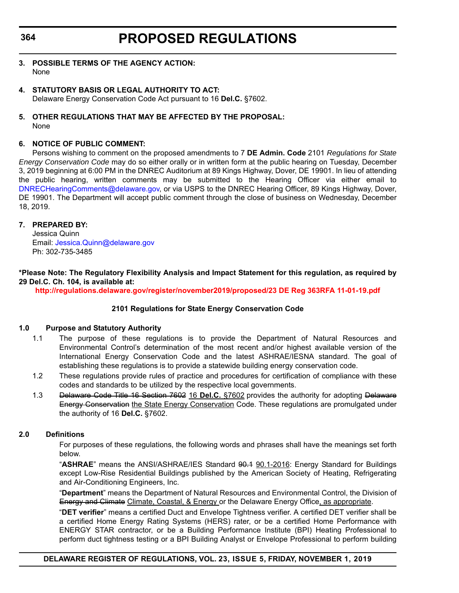#### **364**

### **PROPOSED REGULATIONS**

- **3. POSSIBLE TERMS OF THE AGENCY ACTION:** None
- **4. STATUTORY BASIS OR LEGAL AUTHORITY TO ACT:** Delaware Energy Conservation Code Act pursuant to 16 **Del.C.** §7602.

#### **5. OTHER REGULATIONS THAT MAY BE AFFECTED BY THE PROPOSAL:** None

#### **6. NOTICE OF PUBLIC COMMENT:**

Persons wishing to comment on the proposed amendments to 7 **DE Admin. Code** 2101 *Regulations for State Energy Conservation Code* may do so either orally or in written form at the public hearing on Tuesday, December 3, 2019 beginning at 6:00 PM in the DNREC Auditorium at 89 Kings Highway, Dover, DE 19901. In lieu of attending the public hearing, written comments may be submitted to the Hearing Officer via either email to [DNRECHearingComments@delaware.gov,](mailto:DNRECHearingComments@delaware.gov) or via USPS to the DNREC Hearing Officer, 89 Kings Highway, Dover, DE 19901. The Department will accept public comment through the close of business on Wednesday, December 18, 2019.

#### **7. PREPARED BY:**

Jessica Quinn Email: [Jessica.Quinn@delaware.gov](mailto:Jessica.Quinn@delaware.gov) Ph: 302-735-3485

**\*Please Note: The Regulatory Flexibility Analysis and Impact Statement for this regulation, as required by 29 Del.C. Ch. 104, is available at:**

**<http://regulations.delaware.gov/register/november2019/proposed/23 DE Reg 363RFA 11-01-19.pdf>**

#### **2101 Regulations for State Energy Conservation Code**

#### **1.0 Purpose and Statutory Authority**

- 1.1 The purpose of these regulations is to provide the Department of Natural Resources and Environmental Control's determination of the most recent and/or highest available version of the International Energy Conservation Code and the latest ASHRAE/IESNA standard. The goal of establishing these regulations is to provide a statewide building energy conservation code.
- 1.2 These regulations provide rules of practice and procedures for certification of compliance with these codes and standards to be utilized by the respective local governments.
- 1.3 Delaware Code Title 16 Section 7602 16 **Del.C.** §7602 provides the authority for adopting Delaware Energy Conservation the State Energy Conservation Code. These regulations are promulgated under the authority of 16 **Del.C.** §7602.

#### **2.0 Definitions**

For purposes of these regulations, the following words and phrases shall have the meanings set forth below.

"ASHRAE" means the ANSI/ASHRAE/IES Standard 90.1 90.1-2016: Energy Standard for Buildings except Low-Rise Residential Buildings published by the American Society of Heating, Refrigerating and Air-Conditioning Engineers, Inc.

"**Department**" means the Department of Natural Resources and Environmental Control, the Division of Energy and Climate Climate, Coastal, & Energy or the Delaware Energy Office, as appropriate.

"**DET verifier**" means a certified Duct and Envelope Tightness verifier. A certified DET verifier shall be a certified Home Energy Rating Systems (HERS) rater, or be a certified Home Performance with ENERGY STAR contractor, or be a Building Performance Institute (BPI) Heating Professional to perform duct tightness testing or a BPI Building Analyst or Envelope Professional to perform building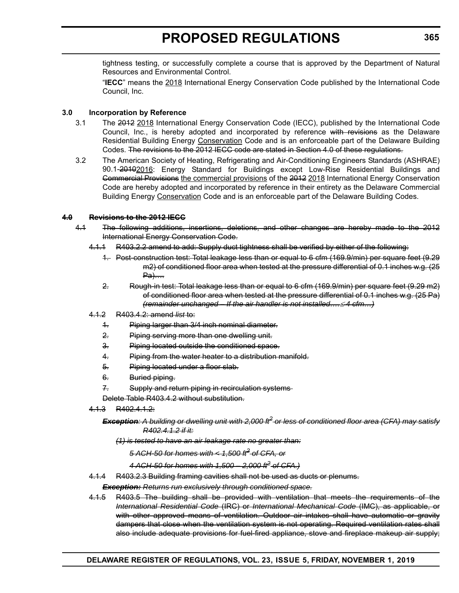tightness testing, or successfully complete a course that is approved by the Department of Natural Resources and Environmental Control.

"**IECC**" means the 2018 International Energy Conservation Code published by the International Code Council, Inc.

#### **3.0 Incorporation by Reference**

- 3.1 The 2012 2018 International Energy Conservation Code (IECC), published by the International Code Council, Inc., is hereby adopted and incorporated by reference with revisions as the Delaware Residential Building Energy Conservation Code and is an enforceable part of the Delaware Building Codes. The revisions to the 2012 IECC code are stated in Section 4.0 of these regulations.
- 3.2 The American Society of Heating, Refrigerating and Air-Conditioning Engineers Standards (ASHRAE) 90.1-20102016: Energy Standard for Buildings except Low-Rise Residential Buildings and Commercial Provisions the commercial provisions of the 2012 2018 International Energy Conservation Code are hereby adopted and incorporated by reference in their entirety as the Delaware Commercial Building Energy Conservation Code and is an enforceable part of the Delaware Building Codes.

#### **4.0 Revisions to the 2012 IECC**

- 4.1 The following additions, insertions, deletions, and other changes are hereby made to the 2012 International Energy Conservation Code.
	- 4.1.1 R403.2.2 amend to add: Supply duct tightness shall be verified by either of the following:
		- 1. Post-construction test: Total leakage less than or equal to 6 cfm (169.9/min) per square feet (9.29 m2) of conditioned floor area when tested at the pressure differential of 0.1 inches w.g. (25 Pa)….
		- 2. Rough-in test: Total leakage less than or equal to 6 cfm (169.9/min) per square feet (9.29 m2) of conditioned floor area when tested at the pressure differential of 0.1 inches w.g. (25 Pa) *(remainder unchanged – If the air handler is not installed…. 4 cfm…)*
	- 4.1.2 R403.4.2: amend *list* to:
		- 1. Piping larger than 3/4 inch nominal diameter.
		- 2. Piping serving more than one dwelling unit.
		- 3. Piping located outside the conditioned space.
		- 4. Piping from the water heater to a distribution manifold.
		- 5. Piping located under a floor slab.
		- 6. Buried piping.
		- 7. Supply and return piping in recirculation systems-

Delete Table R403.4.2 without substitution.

4.1.3 R402.4.1.2:

#### *Exception: A building or dwelling unit with 2,000 ft2 or less of conditioned floor area (CFA) may satisfy R402.4.1.2 if it:*

*(1) is tested to have an air leakage rate no greater than:*

*5 ACH-50 for homes with < 1,500 ft2 of CFA, or*

*4 ACH-50 for homes with 1,500 – 2,000 ft2 of CFA.)*

4.1.4 R403.2.3 Building framing cavities shall not be used as ducts or plenums.

*Exception: Returns run exclusively through conditioned space.*

4.1.5 R403.5 The building shall be provided with ventilation that meets the requirements of the *International Residential Code* (IRC) or *International Mechanical Code* (IMC), as applicable, or with other approved means of ventilation. Outdoor air intakes shall have automatic or gravity dampers that close when the ventilation system is not operating. Required ventilation rates shall also include adequate provisions for fuel-fired appliance, stove and fireplace makeup air supply;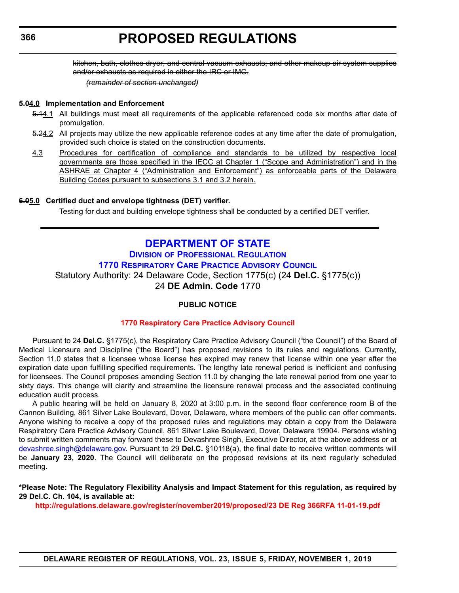<span id="page-35-0"></span>kitchen, bath, clothes dryer, and central vacuum exhausts; and other makeup air system supplies and/or exhausts as required in either the IRC or IMC.

*(remainder of section unchanged)*

#### **5.04.0 Implementation and Enforcement**

- 5.14.1 All buildings must meet all requirements of the applicable referenced code six months after date of promulgation.
- 5.24.2 All projects may utilize the new applicable reference codes at any time after the date of promulgation, provided such choice is stated on the construction documents.
- 4.3 Procedures for certification of compliance and standards to be utilized by respective local governments are those specified in the IECC at Chapter 1 ("Scope and Administration") and in the ASHRAE at Chapter 4 ("Administration and Enforcement") as enforceable parts of the Delaware Building Codes pursuant to subsections 3.1 and 3.2 herein.

#### **6.05.0 Certified duct and envelope tightness (DET) verifier.**

Testing for duct and building envelope tightness shall be conducted by a certified DET verifier.

### **[DEPARTMENT OF STATE](https://sos.delaware.gov/)**

**DIVISION [OF PROFESSIONAL REGULATION](https://dpr.delaware.gov/) [1770 RESPIRATORY CARE PRACTICE ADVISORY COUNCIL](https://dpr.delaware.gov/boards/medicalpractice/)** Statutory Authority: 24 Delaware Code, Section 1775(c) (24 **Del.C.** §1775(c)) 24 **DE Admin. Code** 1770

#### **PUBLIC NOTICE**

#### **[1770 Respiratory Care Practice Advisory Council](#page-3-0)**

Pursuant to 24 **Del.C.** §1775(c), the Respiratory Care Practice Advisory Council ("the Council") of the Board of Medical Licensure and Discipline ("the Board") has proposed revisions to its rules and regulations. Currently, Section 11.0 states that a licensee whose license has expired may renew that license within one year after the expiration date upon fulfilling specified requirements. The lengthy late renewal period is inefficient and confusing for licensees. The Council proposes amending Section 11.0 by changing the late renewal period from one year to sixty days. This change will clarify and streamline the licensure renewal process and the associated continuing education audit process.

A public hearing will be held on January 8, 2020 at 3:00 p.m. in the second floor conference room B of the Cannon Building, 861 Silver Lake Boulevard, Dover, Delaware, where members of the public can offer comments. Anyone wishing to receive a copy of the proposed rules and regulations may obtain a copy from the Delaware Respiratory Care Practice Advisory Council, 861 Silver Lake Boulevard, Dover, Delaware 19904. Persons wishing to submit written comments may forward these to Devashree Singh, Executive Director, at the above address or at [devashree.singh@delaware.gov.](mailto:devashree.singh@delaware.gov) Pursuant to 29 **Del.C.** §10118(a), the final date to receive written comments will be **January 23, 2020**. The Council will deliberate on the proposed revisions at its next regularly scheduled meeting.

**\*Please Note: The Regulatory Flexibility Analysis and Impact Statement for this regulation, as required by 29 Del.C. Ch. 104, is available at:**

**<http://regulations.delaware.gov/register/november2019/proposed/23 DE Reg 366RFA 11-01-19.pdf>**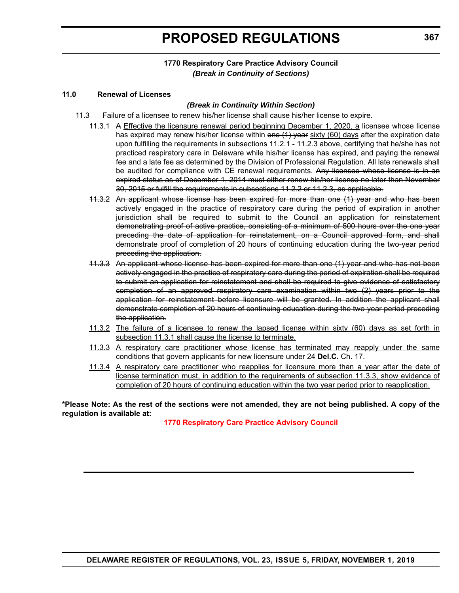# **PROPOSED REGULATIONS**

## **11.0 Renewal of Licenses**

# *(Break in Continuity Within Section)*

- 11.3 Failure of a licensee to renew his/her license shall cause his/her license to expire.
	- 11.3.1 A Effective the licensure renewal period beginning December 1, 2020, a licensee whose license has expired may renew his/her license within one (1) year sixty (60) days after the expiration date upon fulfilling the requirements in subsections 11.2.1 - 11.2.3 above, certifying that he/she has not practiced respiratory care in Delaware while his/her license has expired, and paying the renewal fee and a late fee as determined by the Division of Professional Regulation. All late renewals shall be audited for compliance with CE renewal requirements. Any licensee whose license is in an expired status as of December 1, 2014 must either renew his/her license no later than November 30, 2015 or fulfill the requirements in subsections 11.2.2 or 11.2.3, as applicable.
	- 11.3.2 An applicant whose license has been expired for more than one (1) year and who has been actively engaged in the practice of respiratory care during the period of expiration in another jurisdiction shall be required to submit to the Council an application for reinstatement demonstrating proof of active practice, consisting of a minimum of 500 hours over the one year preceding the date of application for reinstatement, on a Council approved form, and shall demonstrate proof of completion of 20 hours of continuing education during the two-year period preceding the application.
	- 11.3.3 An applicant whose license has been expired for more than one (1) year and who has not been actively engaged in the practice of respiratory care during the period of expiration shall be required to submit an application for reinstatement and shall be required to give evidence of satisfactory completion of an approved respiratory care examination within two (2) years prior to the application for reinstatement before licensure will be granted. In addition the applicant shall demonstrate completion of 20 hours of continuing education during the two-year period preceding the application.
	- 11.3.2 The failure of a licensee to renew the lapsed license within sixty (60) days as set forth in subsection 11.3.1 shall cause the license to terminate.
	- 11.3.3 A respiratory care practitioner whose license has terminated may reapply under the same conditions that govern applicants for new licensure under 24 **Del.C.** Ch. 17.
	- 11.3.4 A respiratory care practitioner who reapplies for licensure more than a year after the date of license termination must, in addition to the requirements of subsection 11.3.3, show evidence of completion of 20 hours of continuing education within the two year period prior to reapplication.

**\*Please Note: As the rest of the sections were not amended, they are not being published. A copy of the regulation is available at:**

**[1770 Respiratory Care Practice Advisory Council](http://regulations.delaware.gov/register/november2019/proposed/23 DE Reg 366 11-01-19.htm)**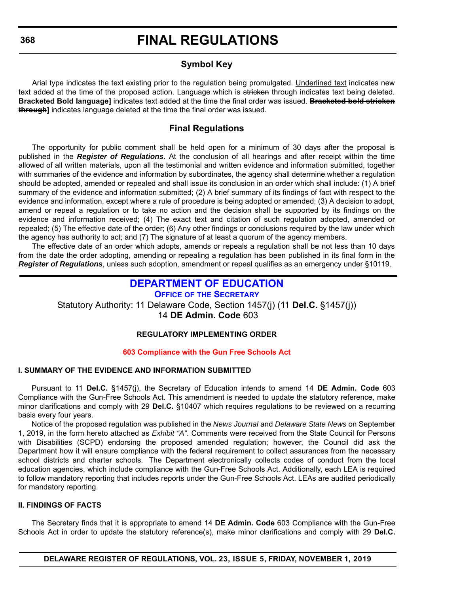# **Symbol Key**

Arial type indicates the text existing prior to the regulation being promulgated. Underlined text indicates new text added at the time of the proposed action. Language which is stricken through indicates text being deleted. **Bracketed Bold language]** indicates text added at the time the final order was issued. **Bracketed bold stricken through]** indicates language deleted at the time the final order was issued.

# **Final Regulations**

The opportunity for public comment shall be held open for a minimum of 30 days after the proposal is published in the *Register of Regulations*. At the conclusion of all hearings and after receipt within the time allowed of all written materials, upon all the testimonial and written evidence and information submitted, together with summaries of the evidence and information by subordinates, the agency shall determine whether a regulation should be adopted, amended or repealed and shall issue its conclusion in an order which shall include: (1) A brief summary of the evidence and information submitted; (2) A brief summary of its findings of fact with respect to the evidence and information, except where a rule of procedure is being adopted or amended; (3) A decision to adopt, amend or repeal a regulation or to take no action and the decision shall be supported by its findings on the evidence and information received; (4) The exact text and citation of such regulation adopted, amended or repealed; (5) The effective date of the order; (6) Any other findings or conclusions required by the law under which the agency has authority to act; and (7) The signature of at least a quorum of the agency members.

The effective date of an order which adopts, amends or repeals a regulation shall be not less than 10 days from the date the order adopting, amending or repealing a regulation has been published in its final form in the *Register of Regulations*, unless such adoption, amendment or repeal qualifies as an emergency under §10119.

# **[DEPARTMENT OF EDUCATION](https://www.doe.k12.de.us/)**

**OFFICE OF [THE SECRETARY](https://www.doe.k12.de.us/Page/11)** Statutory Authority: 11 Delaware Code, Section 1457(j) (11 **Del.C.** §1457(j)) 14 **DE Admin. Code** 603

# **REGULATORY IMPLEMENTING ORDER**

# **[603 Compliance with the Gun Free Schools Act](#page-3-0)**

# **I. SUMMARY OF THE EVIDENCE AND INFORMATION SUBMITTED**

Pursuant to 11 **Del.C.** §1457(j), the Secretary of Education intends to amend 14 **DE Admin. Code** 603 Compliance with the Gun-Free Schools Act. This amendment is needed to update the statutory reference, make minor clarifications and comply with 29 **Del.C.** §10407 which requires regulations to be reviewed on a recurring basis every four years.

Notice of the proposed regulation was published in the *News Journal* and *Delaware State News* on September 1, 2019, in the form hereto attached as *Exhibit "A"*. Comments were received from the State Council for Persons with Disabilities (SCPD) endorsing the proposed amended regulation; however, the Council did ask the Department how it will ensure compliance with the federal requirement to collect assurances from the necessary school districts and charter schools. The Department electronically collects codes of conduct from the local education agencies, which include compliance with the Gun-Free Schools Act. Additionally, each LEA is required to follow mandatory reporting that includes reports under the Gun-Free Schools Act. LEAs are audited periodically for mandatory reporting.

# **II. FINDINGS OF FACTS**

The Secretary finds that it is appropriate to amend 14 **DE Admin. Code** 603 Compliance with the Gun-Free Schools Act in order to update the statutory reference(s), make minor clarifications and comply with 29 **Del.C.**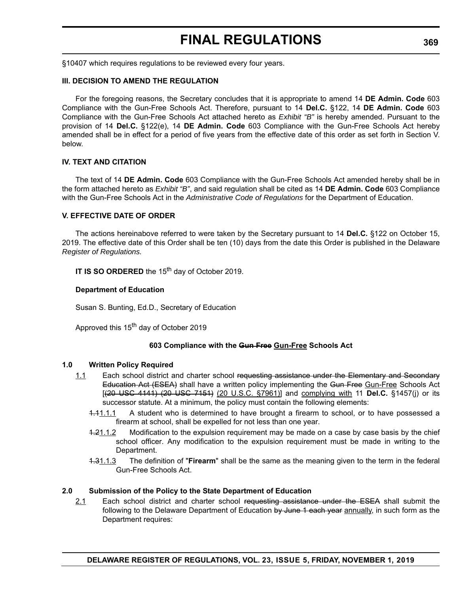§10407 which requires regulations to be reviewed every four years.

#### **III. DECISION TO AMEND THE REGULATION**

For the foregoing reasons, the Secretary concludes that it is appropriate to amend 14 **DE Admin. Code** 603 Compliance with the Gun-Free Schools Act. Therefore, pursuant to 14 **Del.C.** §122, 14 **DE Admin. Code** 603 Compliance with the Gun-Free Schools Act attached hereto as *Exhibit "B"* is hereby amended. Pursuant to the provision of 14 **Del.C.** §122(e), 14 **DE Admin. Code** 603 Compliance with the Gun-Free Schools Act hereby amended shall be in effect for a period of five years from the effective date of this order as set forth in Section V. below.

### **IV. TEXT AND CITATION**

The text of 14 **DE Admin. Code** 603 Compliance with the Gun-Free Schools Act amended hereby shall be in the form attached hereto as *Exhibit "B"*, and said regulation shall be cited as 14 **DE Admin. Code** 603 Compliance with the Gun-Free Schools Act in the *Administrative Code of Regulations* for the Department of Education.

#### **V. EFFECTIVE DATE OF ORDER**

The actions hereinabove referred to were taken by the Secretary pursuant to 14 **Del.C.** §122 on October 15, 2019. The effective date of this Order shall be ten (10) days from the date this Order is published in the Delaware *Register of Regulations.*

**IT IS SO ORDERED** the 15<sup>th</sup> day of October 2019.

#### **Department of Education**

Susan S. Bunting, Ed.D., Secretary of Education

Approved this 15<sup>th</sup> day of October 2019

#### **603 Compliance with the Gun Free Gun-Free Schools Act**

#### **1.0 Written Policy Required**

- 1.1 Each school district and charter school requesting assistance under the Elementary and Secondary Education Act (ESEA) shall have a written policy implementing the Gun-Free Gun-Free Schools Act [(20 USC 4141) (20 USC 7151) (20 U.S.C. §7961)] and complying with 11 **Del.C.** §1457(j) or its successor statute. At a minimum, the policy must contain the following elements:
	- 1.11.1.1 A student who is determined to have brought a firearm to school, or to have possessed a firearm at school, shall be expelled for not less than one year.
	- 1.21.1.2 Modification to the expulsion requirement may be made on a case by case basis by the chief school officer. Any modification to the expulsion requirement must be made in writing to the Department.
	- 1.31.1.3 The definition of "**Firearm**" shall be the same as the meaning given to the term in the federal Gun-Free Schools Act.

#### **2.0 Submission of the Policy to the State Department of Education**

2.1 Each school district and charter school requesting assistance under the ESEA shall submit the following to the Delaware Department of Education by June 1 each year annually, in such form as the Department requires: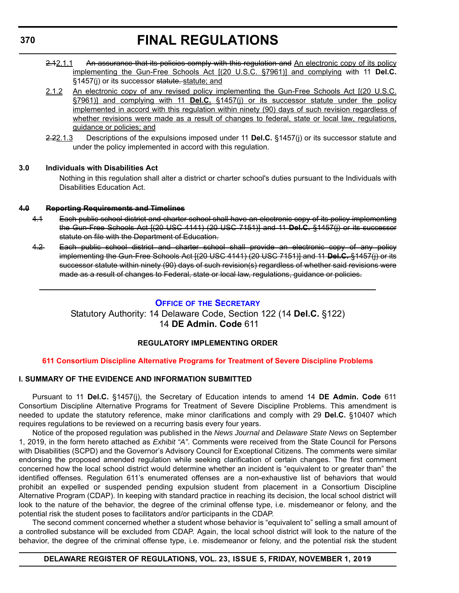- 2.12.1.1 An assurance that its policies comply with this regulation and An electronic copy of its policy implementing the Gun-Free Schools Act [(20 U.S.C. §7961)] and complying with 11 **Del.C.** §1457(j) or its successor statute. statute; and
- 2.1.2 An electronic copy of any revised policy implementing the Gun-Free Schools Act [(20 U.S.C. §7961)] and complying with 11 **Del.C.** §1457(j) or its successor statute under the policy implemented in accord with this regulation within ninety (90) days of such revision regardless of whether revisions were made as a result of changes to federal, state or local law, regulations, guidance or policies; and
- 2.22.1.3 Descriptions of the expulsions imposed under 11 **Del.C.** §1457(j) or its successor statute and under the policy implemented in accord with this regulation.

### **3.0 Individuals with Disabilities Act**

Nothing in this regulation shall alter a district or charter school's duties pursuant to the Individuals with Disabilities Education Act.

### **4.0 Reporting Requirements and Timelines**

- 4.1 Each public school district and charter school shall have an electronic copy of its policy implementing the Gun-Free Schools Act [(20 USC 4141) (20 USC 7151)] and 11 **Del.C.** §1457(j) or its successor statute on file with the Department of Education.
- 4.2 Each public school district and charter school shall provide an electronic copy of any policy implementing the Gun-Free Schools Act [(20 USC 4141) (20 USC 7151)] and 11 **Del.C.** §1457(j) or its successor statute within ninety (90) days of such revision(s) regardless of whether said revisions were made as a result of changes to Federal, state or local law, regulations, guidance or policies.

# **OFFICE OF [THE SECRETARY](https://www.doe.k12.de.us/Page/11)**

Statutory Authority: 14 Delaware Code, Section 122 (14 **Del.C.** §122) 14 **DE Admin. Code** 611

# **REGULATORY IMPLEMENTING ORDER**

# **[611 Consortium Discipline Alternative Programs for Treatment of Severe Discipline Problems](#page-3-0)**

# **I. SUMMARY OF THE EVIDENCE AND INFORMATION SUBMITTED**

Pursuant to 11 **Del.C.** §1457(j), the Secretary of Education intends to amend 14 **DE Admin. Code** 611 Consortium Discipline Alternative Programs for Treatment of Severe Discipline Problems. This amendment is needed to update the statutory reference, make minor clarifications and comply with 29 **Del.C.** §10407 which requires regulations to be reviewed on a recurring basis every four years.

Notice of the proposed regulation was published in the *News Journal* and *Delaware State News* on September 1, 2019, in the form hereto attached as *Exhibit "A"*. Comments were received from the State Council for Persons with Disabilities (SCPD) and the Governor's Advisory Council for Exceptional Citizens. The comments were similar endorsing the proposed amended regulation while seeking clarification of certain changes. The first comment concerned how the local school district would determine whether an incident is "equivalent to or greater than" the identified offenses. Regulation 611's enumerated offenses are a non-exhaustive list of behaviors that would prohibit an expelled or suspended pending expulsion student from placement in a Consortium Discipline Alternative Program (CDAP). In keeping with standard practice in reaching its decision, the local school district will look to the nature of the behavior, the degree of the criminal offense type, i.e. misdemeanor or felony, and the potential risk the student poses to facilitators and/or participants in the CDAP.

The second comment concerned whether a student whose behavior is "equivalent to" selling a small amount of a controlled substance will be excluded from CDAP. Again, the local school district will look to the nature of the behavior, the degree of the criminal offense type, i.e. misdemeanor or felony, and the potential risk the student

#### **DELAWARE REGISTER OF REGULATIONS, VOL. 23, ISSUE 5, FRIDAY, NOVEMBER 1, 2019**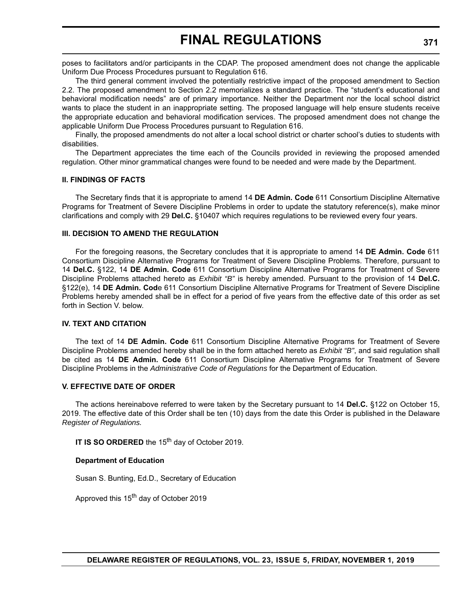poses to facilitators and/or participants in the CDAP. The proposed amendment does not change the applicable Uniform Due Process Procedures pursuant to Regulation 616.

The third general comment involved the potentially restrictive impact of the proposed amendment to Section 2.2. The proposed amendment to Section 2.2 memorializes a standard practice. The "student's educational and behavioral modification needs" are of primary importance. Neither the Department nor the local school district wants to place the student in an inappropriate setting. The proposed language will help ensure students receive the appropriate education and behavioral modification services. The proposed amendment does not change the applicable Uniform Due Process Procedures pursuant to Regulation 616.

Finally, the proposed amendments do not alter a local school district or charter school's duties to students with disabilities.

The Department appreciates the time each of the Councils provided in reviewing the proposed amended regulation. Other minor grammatical changes were found to be needed and were made by the Department.

### **II. FINDINGS OF FACTS**

The Secretary finds that it is appropriate to amend 14 **DE Admin. Code** 611 Consortium Discipline Alternative Programs for Treatment of Severe Discipline Problems in order to update the statutory reference(s), make minor clarifications and comply with 29 **Del.C.** §10407 which requires regulations to be reviewed every four years.

#### **III. DECISION TO AMEND THE REGULATION**

For the foregoing reasons, the Secretary concludes that it is appropriate to amend 14 **DE Admin. Code** 611 Consortium Discipline Alternative Programs for Treatment of Severe Discipline Problems. Therefore, pursuant to 14 **Del.C.** §122, 14 **DE Admin. Code** 611 Consortium Discipline Alternative Programs for Treatment of Severe Discipline Problems attached hereto as *Exhibit "B"* is hereby amended. Pursuant to the provision of 14 **Del.C.** §122(e), 14 **DE Admin. Cod**e 611 Consortium Discipline Alternative Programs for Treatment of Severe Discipline Problems hereby amended shall be in effect for a period of five years from the effective date of this order as set forth in Section V. below.

## **IV. TEXT AND CITATION**

The text of 14 **DE Admin. Code** 611 Consortium Discipline Alternative Programs for Treatment of Severe Discipline Problems amended hereby shall be in the form attached hereto as *Exhibit "B"*, and said regulation shall be cited as 14 **DE Admin. Code** 611 Consortium Discipline Alternative Programs for Treatment of Severe Discipline Problems in the *Administrative Code of Regulations* for the Department of Education.

#### **V. EFFECTIVE DATE OF ORDER**

The actions hereinabove referred to were taken by the Secretary pursuant to 14 **Del.C.** §122 on October 15, 2019. The effective date of this Order shall be ten (10) days from the date this Order is published in the Delaware *Register of Regulations.*

**IT IS SO ORDERED** the 15<sup>th</sup> day of October 2019.

#### **Department of Education**

Susan S. Bunting, Ed.D., Secretary of Education

Approved this 15<sup>th</sup> day of October 2019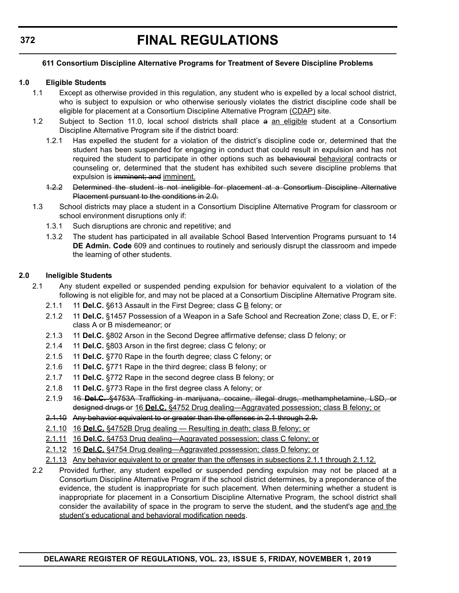# **611 Consortium Discipline Alternative Programs for Treatment of Severe Discipline Problems**

# **1.0 Eligible Students**

- 1.1 Except as otherwise provided in this regulation, any student who is expelled by a local school district, who is subject to expulsion or who otherwise seriously violates the district discipline code shall be eligible for placement at a Consortium Discipline Alternative Program (CDAP) site.
- 1.2 Subject to Section 11.0, local school districts shall place a an eligible student at a Consortium Discipline Alternative Program site if the district board:
	- 1.2.1 Has expelled the student for a violation of the district's discipline code or, determined that the student has been suspended for engaging in conduct that could result in expulsion and has not required the student to participate in other options such as behavioural behavioral contracts or counseling or, determined that the student has exhibited such severe discipline problems that expulsion is imminent; and imminent.
	- 1.2.2 Determined the student is not ineligible for placement at a Consortium Discipline Alternative Placement pursuant to the conditions in 2.0.
- 1.3 School districts may place a student in a Consortium Discipline Alternative Program for classroom or school environment disruptions only if:
	- 1.3.1 Such disruptions are chronic and repetitive; and
	- 1.3.2 The student has participated in all available School Based Intervention Programs pursuant to 14 **DE Admin. Code** 609 and continues to routinely and seriously disrupt the classroom and impede the learning of other students.

# **2.0 Ineligible Students**

- 2.1 Any student expelled or suspended pending expulsion for behavior equivalent to a violation of the following is not eligible for, and may not be placed at a Consortium Discipline Alternative Program site.
	- 2.1.1 11 **Del.C.** §613 Assault in the First Degree; class G B felony; or
	- 2.1.2 11 **Del.C.** §1457 Possession of a Weapon in a Safe School and Recreation Zone; class D, E, or F: class A or B misdemeanor; or
	- 2.1.3 11 **Del.C.** §802 Arson in the Second Degree affirmative defense; class D felony; or
	- 2.1.4 11 **Del.C.** §803 Arson in the first degree; class C felony; or
	- 2.1.5 11 **Del.C.** §770 Rape in the fourth degree; class C felony; or
	- 2.1.6 11 **Del.C.** §771 Rape in the third degree; class B felony; or
	- 2.1.7 11 **Del.C.** §772 Rape in the second degree class B felony; or
	- 2.1.8 11 **Del.C.** §773 Rape in the first degree class A felony; or
	- 2.1.9 16 **Del.C.** §4753A Trafficking in marijuana, cocaine, illegal drugs, methamphetamine, LSD, or designed drugs or 16 **Del.C.** §4752 Drug dealing—Aggravated possession; class B felony; or
	- 2.1.10 Any behavior equivalent to or greater than the offenses in 2.1 through 2.9.
	- 2.1.10 16 **Del.C.** §4752B Drug dealing Resulting in death; class B felony; or
	- 2.1.11 16 **Del.C.** §4753 Drug dealing—Aggravated possession; class C felony; or
	- 2.1.12 16 **Del.C.** §4754 Drug dealing—Aggravated possession; class D felony; or
	- 2.1.13 Any behavior equivalent to or greater than the offenses in subsections 2.1.1 through 2.1.12.
- 2.2 Provided further, any student expelled or suspended pending expulsion may not be placed at a Consortium Discipline Alternative Program if the school district determines, by a preponderance of the evidence, the student is inappropriate for such placement. When determining whether a student is inappropriate for placement in a Consortium Discipline Alternative Program, the school district shall consider the availability of space in the program to serve the student, and the student's age and the student's educational and behavioral modification needs.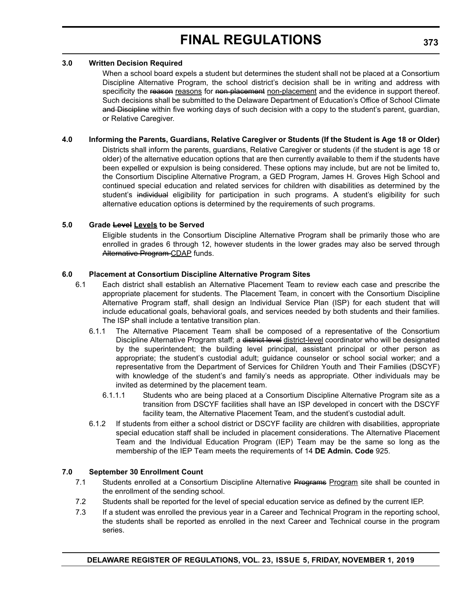### **3.0 Written Decision Required**

When a school board expels a student but determines the student shall not be placed at a Consortium Discipline Alternative Program, the school district's decision shall be in writing and address with specificity the reason reasons for non placement non-placement and the evidence in support thereof. Such decisions shall be submitted to the Delaware Department of Education's Office of School Climate and Discipline within five working days of such decision with a copy to the student's parent, guardian, or Relative Caregiver.

# **4.0 Informing the Parents, Guardians, Relative Caregiver or Students (If the Student is Age 18 or Older)**

Districts shall inform the parents, guardians, Relative Caregiver or students (if the student is age 18 or older) of the alternative education options that are then currently available to them if the students have been expelled or expulsion is being considered. These options may include, but are not be limited to, the Consortium Discipline Alternative Program, a GED Program, James H. Groves High School and continued special education and related services for children with disabilities as determined by the student's individual eligibility for participation in such programs. A student's eligibility for such alternative education options is determined by the requirements of such programs.

# **5.0 Grade Level Levels to be Served**

Eligible students in the Consortium Discipline Alternative Program shall be primarily those who are enrolled in grades 6 through 12, however students in the lower grades may also be served through Alternative Program CDAP funds.

# **6.0 Placement at Consortium Discipline Alternative Program Sites**

- 6.1 Each district shall establish an Alternative Placement Team to review each case and prescribe the appropriate placement for students. The Placement Team, in concert with the Consortium Discipline Alternative Program staff, shall design an Individual Service Plan (ISP) for each student that will include educational goals, behavioral goals, and services needed by both students and their families. The ISP shall include a tentative transition plan.
	- 6.1.1 The Alternative Placement Team shall be composed of a representative of the Consortium Discipline Alternative Program staff; a district level district-level coordinator who will be designated by the superintendent; the building level principal, assistant principal or other person as appropriate; the student's custodial adult; guidance counselor or school social worker; and a representative from the Department of Services for Children Youth and Their Families (DSCYF) with knowledge of the student's and family's needs as appropriate. Other individuals may be invited as determined by the placement team.
		- 6.1.1.1 Students who are being placed at a Consortium Discipline Alternative Program site as a transition from DSCYF facilities shall have an ISP developed in concert with the DSCYF facility team, the Alternative Placement Team, and the student's custodial adult.
	- 6.1.2 If students from either a school district or DSCYF facility are children with disabilities, appropriate special education staff shall be included in placement considerations. The Alternative Placement Team and the Individual Education Program (IEP) Team may be the same so long as the membership of the IEP Team meets the requirements of 14 **DE Admin. Code** 925.

# **7.0 September 30 Enrollment Count**

- 7.1 Students enrolled at a Consortium Discipline Alternative Programs Program site shall be counted in the enrollment of the sending school.
- 7.2 Students shall be reported for the level of special education service as defined by the current IEP.
- 7.3 If a student was enrolled the previous year in a Career and Technical Program in the reporting school, the students shall be reported as enrolled in the next Career and Technical course in the program series.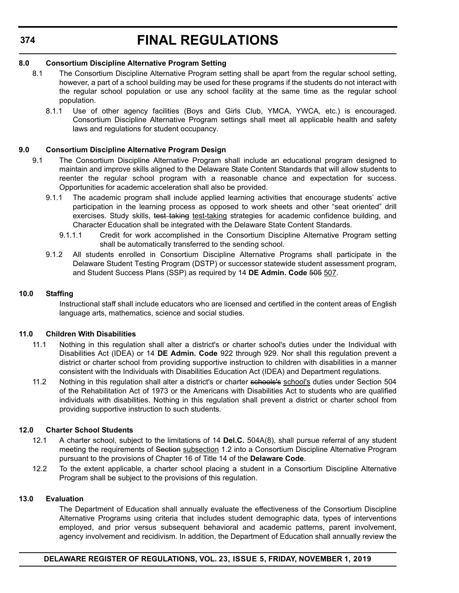# **8.0 Consortium Discipline Alternative Program Setting**

- 8.1 The Consortium Discipline Alternative Program setting shall be apart from the regular school setting, however, a part of a school building may be used for these programs if the students do not interact with the regular school population or use any school facility at the same time as the regular school population.
	- 8.1.1 Use of other agency facilities (Boys and Girls Club, YMCA, YWCA, etc.) is encouraged. Consortium Discipline Alternative Program settings shall meet all applicable health and safety laws and regulations for student occupancy.

# **9.0 Consortium Discipline Alternative Program Design**

- 9.1 The Consortium Discipline Alternative Program shall include an educational program designed to maintain and improve skills aligned to the Delaware State Content Standards that will allow students to reenter the regular school program with a reasonable chance and expectation for success. Opportunities for academic acceleration shall also be provided.
	- 9.1.1 The academic program shall include applied learning activities that encourage students' active participation in the learning process as opposed to work sheets and other "seat oriented" drill exercises. Study skills, test taking test-taking strategies for academic confidence building, and Character Education shall be integrated with the Delaware State Content Standards.
		- 9.1.1.1 Credit for work accomplished in the Consortium Discipline Alternative Program setting shall be automatically transferred to the sending school.
	- 9.1.2 All students enrolled in Consortium Discipline Alternative Programs shall participate in the Delaware Student Testing Program (DSTP) or successor statewide student assessment program, and Student Success Plans (SSP) as required by 14 **DE Admin. Code** 505 507.

# **10.0 Staffing**

Instructional staff shall include educators who are licensed and certified in the content areas of English language arts, mathematics, science and social studies.

# **11.0 Children With Disabilities**

- 11.1 Nothing in this regulation shall alter a district's or charter school's duties under the Individual with Disabilities Act (IDEA) or 14 **DE Admin. Code** 922 through 929. Nor shall this regulation prevent a district or charter school from providing supportive instruction to children with disabilities in a manner consistent with the Individuals with Disabilities Education Act (IDEA) and Department regulations.
- 11.2 Nothing in this regulation shall alter a district's or charter schools's school's duties under Section 504 of the Rehabilitation Act of 1973 or the Americans with Disabilities Act to students who are qualified individuals with disabilities. Nothing in this regulation shall prevent a district or charter school from providing supportive instruction to such students.

# **12.0 Charter School Students**

- 12.1 A charter school, subject to the limitations of 14 **Del.C.** 504A(8), shall pursue referral of any student meeting the requirements of Section subsection 1.2 into a Consortium Discipline Alternative Program pursuant to the provisions of Chapter 16 of Title 14 of the **Delaware Code**.
- 12.2 To the extent applicable, a charter school placing a student in a Consortium Discipline Alternative Program shall be subject to the provisions of this regulation.

### **13.0 Evaluation**

The Department of Education shall annually evaluate the effectiveness of the Consortium Discipline Alternative Programs using criteria that includes student demographic data, types of interventions employed, and prior versus subsequent behavioral and academic patterns, parent involvement, agency involvement and recidivism. In addition, the Department of Education shall annually review the

# **DELAWARE REGISTER OF REGULATIONS, VOL. 23, ISSUE 5, FRIDAY, NOVEMBER 1, 2019**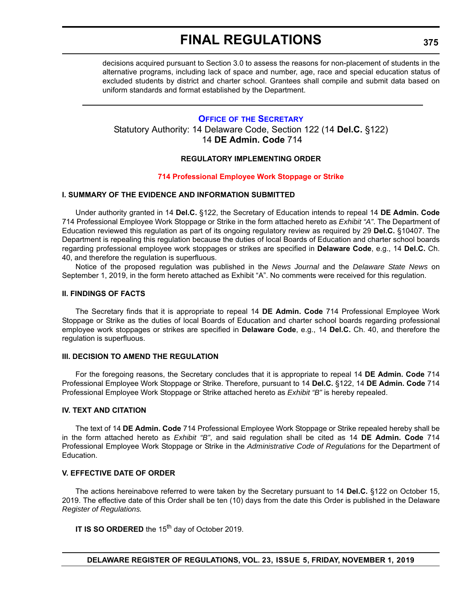decisions acquired pursuant to Section 3.0 to assess the reasons for non-placement of students in the alternative programs, including lack of space and number, age, race and special education status of excluded students by district and charter school. Grantees shall compile and submit data based on uniform standards and format established by the Department.

# **OFFICE OF [THE SECRETARY](https://www.doe.k12.de.us/Page/11)**

Statutory Authority: 14 Delaware Code, Section 122 (14 **Del.C.** §122) 14 **DE Admin. Code** 714

# **REGULATORY IMPLEMENTING ORDER**

#### **[714 Professional Employee Work Stoppage or Strike](#page-3-0)**

## **I. SUMMARY OF THE EVIDENCE AND INFORMATION SUBMITTED**

Under authority granted in 14 **Del.C.** §122, the Secretary of Education intends to repeal 14 **DE Admin. Code** 714 Professional Employee Work Stoppage or Strike in the form attached hereto as *Exhibit "A"*. The Department of Education reviewed this regulation as part of its ongoing regulatory review as required by 29 **Del.C.** §10407. The Department is repealing this regulation because the duties of local Boards of Education and charter school boards regarding professional employee work stoppages or strikes are specified in **Delaware Code**, e.g., 14 **Del.C.** Ch. 40, and therefore the regulation is superfluous.

Notice of the proposed regulation was published in the *News Journal* and the *Delaware State News* on September 1, 2019, in the form hereto attached as Exhibit "A". No comments were received for this regulation.

## **II. FINDINGS OF FACTS**

The Secretary finds that it is appropriate to repeal 14 **DE Admin. Code** 714 Professional Employee Work Stoppage or Strike as the duties of local Boards of Education and charter school boards regarding professional employee work stoppages or strikes are specified in **Delaware Code**, e.g., 14 **Del.C.** Ch. 40, and therefore the regulation is superfluous.

#### **III. DECISION TO AMEND THE REGULATION**

For the foregoing reasons, the Secretary concludes that it is appropriate to repeal 14 **DE Admin. Code** 714 Professional Employee Work Stoppage or Strike. Therefore, pursuant to 14 **Del.C.** §122, 14 **DE Admin. Code** 714 Professional Employee Work Stoppage or Strike attached hereto as *Exhibit "B"* is hereby repealed.

#### **IV. TEXT AND CITATION**

The text of 14 **DE Admin. Code** 714 Professional Employee Work Stoppage or Strike repealed hereby shall be in the form attached hereto as *Exhibit "B"*, and said regulation shall be cited as 14 **DE Admin. Code** 714 Professional Employee Work Stoppage or Strike in the *Administrative Code of Regulations* for the Department of Education.

# **V. EFFECTIVE DATE OF ORDER**

The actions hereinabove referred to were taken by the Secretary pursuant to 14 **Del.C.** §122 on October 15, 2019. The effective date of this Order shall be ten (10) days from the date this Order is published in the Delaware *Register of Regulations.*

**IT IS SO ORDERED** the 15<sup>th</sup> day of October 2019.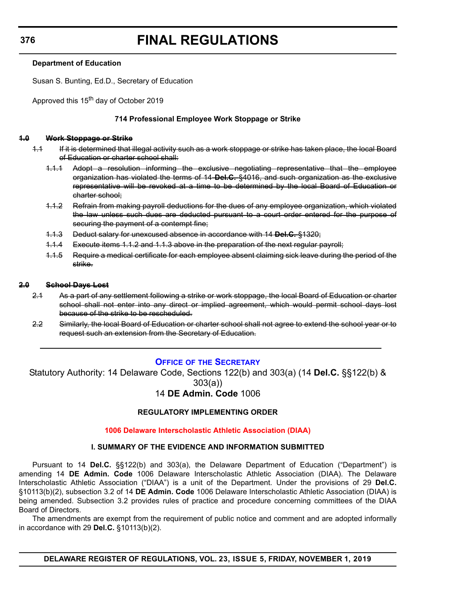# **Department of Education**

Susan S. Bunting, Ed.D., Secretary of Education

Approved this 15<sup>th</sup> day of October 2019

## **714 Professional Employee Work Stoppage or Strike**

### **1.0 Work Stoppage or Strike**

- 1.1 If it is determined that illegal activity such as a work stoppage or strike has taken place, the local Board of Education or charter school shall:
	- 1.1.1 Adopt a resolution informing the exclusive negotiating representative that the employee organization has violated the terms of 14 **Del.C.** §4016, and such organization as the exclusive representative will be revoked at a time to be determined by the local Board of Education or charter school;
	- 1.1.2 Refrain from making payroll deductions for the dues of any employee organization, which violated the law unless such dues are deducted pursuant to a court order entered for the purpose of securing the payment of a contempt fine;
	- 1.1.3 Deduct salary for unexcused absence in accordance with 14 **Del.C.** §1320;
	- 1.1.4 Execute items 1.1.2 and 1.1.3 above in the preparation of the next regular payroll;
	- 1.1.5 Require a medical certificate for each employee absent claiming sick leave during the period of the strike.

#### **2.0 School Days Lost**

- 2.1 As a part of any settlement following a strike or work stoppage, the local Board of Education or charter school shall not enter into any direct or implied agreement, which would permit school days lost because of the strike to be rescheduled.
- 2.2 Similarly, the local Board of Education or charter school shall not agree to extend the school year or to request such an extension from the Secretary of Education.

# **OFFICE OF [THE SECRETARY](https://www.doe.k12.de.us/Page/11)**

Statutory Authority: 14 Delaware Code, Sections 122(b) and 303(a) (14 **Del.C.** §§122(b) & 303(a))

# 14 **DE Admin. Code** 1006

# **REGULATORY IMPLEMENTING ORDER**

#### **[1006 Delaware Interscholastic Athletic Association \(DIAA\)](#page-3-0)**

# **I. SUMMARY OF THE EVIDENCE AND INFORMATION SUBMITTED**

Pursuant to 14 **Del.C.** §§122(b) and 303(a), the Delaware Department of Education ("Department") is amending 14 **DE Admin. Code** 1006 Delaware Interscholastic Athletic Association (DIAA). The Delaware Interscholastic Athletic Association ("DIAA") is a unit of the Department. Under the provisions of 29 **Del.C.** §10113(b)(2), subsection 3.2 of 14 **DE Admin. Code** 1006 Delaware Interscholastic Athletic Association (DIAA) is being amended. Subsection 3.2 provides rules of practice and procedure concerning committees of the DIAA Board of Directors.

The amendments are exempt from the requirement of public notice and comment and are adopted informally in accordance with 29 **Del.C.** §10113(b)(2).

**DELAWARE REGISTER OF REGULATIONS, VOL. 23, ISSUE 5, FRIDAY, NOVEMBER 1, 2019**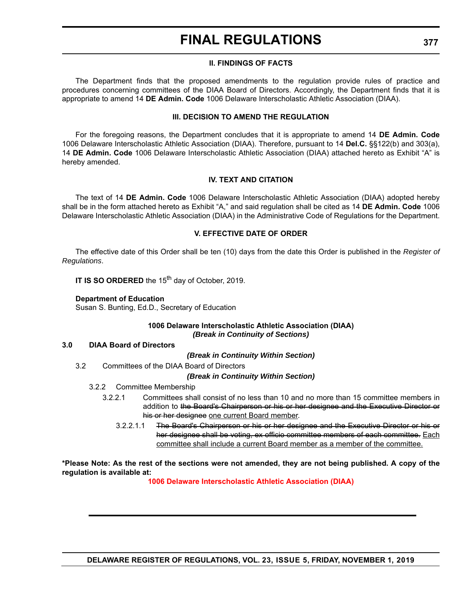## **II. FINDINGS OF FACTS**

The Department finds that the proposed amendments to the regulation provide rules of practice and procedures concerning committees of the DIAA Board of Directors. Accordingly, the Department finds that it is appropriate to amend 14 **DE Admin. Code** 1006 Delaware Interscholastic Athletic Association (DIAA).

### **III. DECISION TO AMEND THE REGULATION**

For the foregoing reasons, the Department concludes that it is appropriate to amend 14 **DE Admin. Code** 1006 Delaware Interscholastic Athletic Association (DIAA). Therefore, pursuant to 14 **Del.C.** §§122(b) and 303(a), 14 **DE Admin. Code** 1006 Delaware Interscholastic Athletic Association (DIAA) attached hereto as Exhibit "A" is hereby amended.

### **IV. TEXT AND CITATION**

The text of 14 **DE Admin. Code** 1006 Delaware Interscholastic Athletic Association (DIAA) adopted hereby shall be in the form attached hereto as Exhibit "A," and said regulation shall be cited as 14 **DE Admin. Code** 1006 Delaware Interscholastic Athletic Association (DIAA) in the Administrative Code of Regulations for the Department.

### **V. EFFECTIVE DATE OF ORDER**

The effective date of this Order shall be ten (10) days from the date this Order is published in the *Register of Regulations*.

**IT IS SO ORDERED** the 15<sup>th</sup> day of October, 2019.

### **Department of Education**

Susan S. Bunting, Ed.D., Secretary of Education

#### **1006 Delaware Interscholastic Athletic Association (DIAA)** *(Break in Continuity of Sections)*

#### **3.0 DIAA Board of Directors**

*(Break in Continuity Within Section)*

3.2 Committees of the DIAA Board of Directors

#### *(Break in Continuity Within Section)*

- 3.2.2 Committee Membership
	- 3.2.2.1 Committees shall consist of no less than 10 and no more than 15 committee members in addition to the Board's Chairperson or his or her designee and the Executive Director or his or her designee one current Board member.
		- 3.2.2.1.1 The Board's Chairperson or his or her designee and the Executive Director or his or her designee shall be voting, ex officio committee members of each committee. Each committee shall include a current Board member as a member of the committee.

### **\*Please Note: As the rest of the sections were not amended, they are not being published. A copy of the regulation is available at:**

**[1006 Delaware Interscholastic Athletic Association \(DIAA\)](http://regulations.delaware.gov/register/november2019/final/23 DE Reg 376 11-01-19.htm)**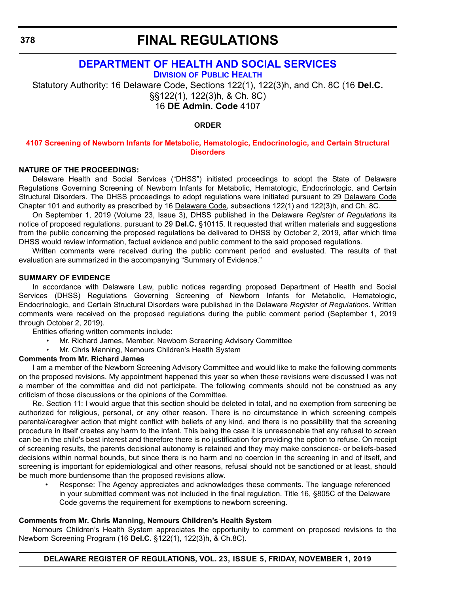# **[DEPARTMENT OF HEALTH AND SOCIAL SERVICES](https://www.dhss.delaware.gov/dhss/index.html)**

**DIVISION [OF PUBLIC HEALTH](https://www.dhss.delaware.gov/dhss/dph/index.html)**

Statutory Authority: 16 Delaware Code, Sections 122(1), 122(3)h, and Ch. 8C (16 **Del.C.**  §§122(1), 122(3)h, & Ch. 8C) 16 **DE Admin. Code** 4107

# **ORDER**

### **[4107 Screening of Newborn Infants for Metabolic, Hematologic, Endocrinologic, and Certain Structural](#page-3-0)  Disorders**

### **NATURE OF THE PROCEEDINGS:**

Delaware Health and Social Services ("DHSS") initiated proceedings to adopt the State of Delaware Regulations Governing Screening of Newborn Infants for Metabolic, Hematologic, Endocrinologic, and Certain Structural Disorders. The DHSS proceedings to adopt regulations were initiated pursuant to 29 Delaware Code Chapter 101 and authority as prescribed by 16 Delaware Code, subsections 122(1) and 122(3)h, and Ch. 8C.

On September 1, 2019 (Volume 23, Issue 3), DHSS published in the Delaware *Register of Regulations* its notice of proposed regulations, pursuant to 29 **Del.C.** §10115. It requested that written materials and suggestions from the public concerning the proposed regulations be delivered to DHSS by October 2, 2019, after which time DHSS would review information, factual evidence and public comment to the said proposed regulations.

Written comments were received during the public comment period and evaluated. The results of that evaluation are summarized in the accompanying "Summary of Evidence."

### **SUMMARY OF EVIDENCE**

In accordance with Delaware Law, public notices regarding proposed Department of Health and Social Services (DHSS) Regulations Governing Screening of Newborn Infants for Metabolic, Hematologic, Endocrinologic, and Certain Structural Disorders were published in the Delaware *Register of Regulations*. Written comments were received on the proposed regulations during the public comment period (September 1, 2019 through October 2, 2019).

Entities offering written comments include:

- Mr. Richard James, Member, Newborn Screening Advisory Committee
- Mr. Chris Manning, Nemours Children's Health System

# **Comments from Mr. Richard James**

I am a member of the Newborn Screening Advisory Committee and would like to make the following comments on the proposed revisions. My appointment happened this year so when these revisions were discussed I was not a member of the committee and did not participate. The following comments should not be construed as any criticism of those discussions or the opinions of the Committee.

Re. Section 11: I would argue that this section should be deleted in total, and no exemption from screening be authorized for religious, personal, or any other reason. There is no circumstance in which screening compels parental/caregiver action that might conflict with beliefs of any kind, and there is no possibility that the screening procedure in itself creates any harm to the infant. This being the case it is unreasonable that any refusal to screen can be in the child's best interest and therefore there is no justification for providing the option to refuse. On receipt of screening results, the parents decisional autonomy is retained and they may make conscience- or beliefs-based decisions within normal bounds, but since there is no harm and no coercion in the screening in and of itself, and screening is important for epidemiological and other reasons, refusal should not be sanctioned or at least, should be much more burdensome than the proposed revisions allow.

Response: The Agency appreciates and acknowledges these comments. The language referenced in your submitted comment was not included in the final regulation. Title 16, §805C of the Delaware Code governs the requirement for exemptions to newborn screening.

#### **Comments from Mr. Chris Manning, Nemours Children's Health System**

Nemours Children's Health System appreciates the opportunity to comment on proposed revisions to the Newborn Screening Program (16 **Del.C.** §122(1), 122(3)h, & Ch.8C).

#### **DELAWARE REGISTER OF REGULATIONS, VOL. 23, ISSUE 5, FRIDAY, NOVEMBER 1, 2019**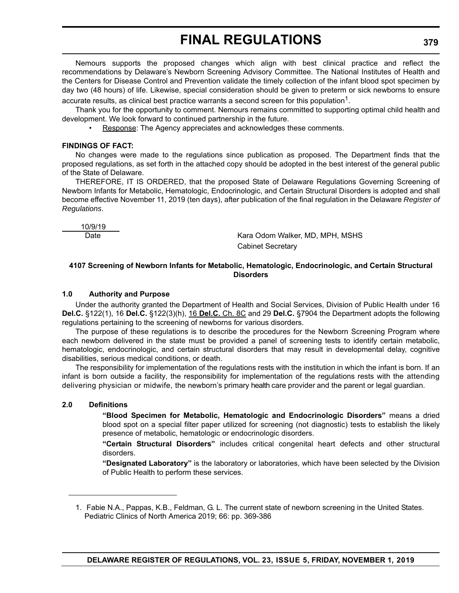Nemours supports the proposed changes which align with best clinical practice and reflect the recommendations by Delaware's Newborn Screening Advisory Committee. The National Institutes of Health and the Centers for Disease Control and Prevention validate the timely collection of the infant blood spot specimen by day two (48 hours) of life. Likewise, special consideration should be given to preterm or sick newborns to ensure accurate results, as clinical best practice warrants a second screen for this population<sup>1</sup>.

Thank you for the opportunity to comment. Nemours remains committed to supporting optimal child health and development. We look forward to continued partnership in the future.

• Response: The Agency appreciates and acknowledges these comments.

#### **FINDINGS OF FACT:**

No changes were made to the regulations since publication as proposed. The Department finds that the proposed regulations, as set forth in the attached copy should be adopted in the best interest of the general public of the State of Delaware.

THEREFORE, IT IS ORDERED, that the proposed State of Delaware Regulations Governing Screening of Newborn Infants for Metabolic, Hematologic, Endocrinologic, and Certain Structural Disorders is adopted and shall become effective November 11, 2019 (ten days), after publication of the final regulation in the Delaware *Register of Regulations*.

10/9/19

Date **Kara Odom Walker, MD, MPH, MSHS** Cabinet Secretary

## **4107 Screening of Newborn Infants for Metabolic, Hematologic, Endocrinologic, and Certain Structural Disorders**

### **1.0 Authority and Purpose**

Under the authority granted the Department of Health and Social Services, Division of Public Health under 16 **Del.C.** §122(1), 16 **Del.C.** §122(3)(h), 16 **Del.C.** Ch. 8C and 29 **Del.C.** §7904 the Department adopts the following regulations pertaining to the screening of newborns for various disorders.

The purpose of these regulations is to describe the procedures for the Newborn Screening Program where each newborn delivered in the state must be provided a panel of screening tests to identify certain metabolic, hematologic, endocrinologic, and certain structural disorders that may result in developmental delay, cognitive disabilities, serious medical conditions, or death.

The responsibility for implementation of the regulations rests with the institution in which the infant is born. If an infant is born outside a facility, the responsibility for implementation of the regulations rests with the attending delivering physician or midwife, the newborn's primary health care provider and the parent or legal guardian.

#### **2.0 Definitions**

**"Blood Specimen for Metabolic, Hematologic and Endocrinologic Disorders"** means a dried blood spot on a special filter paper utilized for screening (not diagnostic) tests to establish the likely presence of metabolic, hematologic or endocrinologic disorders.

**"Certain Structural Disorders"** includes critical congenital heart defects and other structural disorders.

**"Designated Laboratory"** is the laboratory or laboratories, which have been selected by the Division of Public Health to perform these services.

<sup>1.</sup> Fabie N.A., Pappas, K.B., Feldman, G. L. The current state of newborn screening in the United States. Pediatric Clinics of North America 2019; 66: pp. 369-386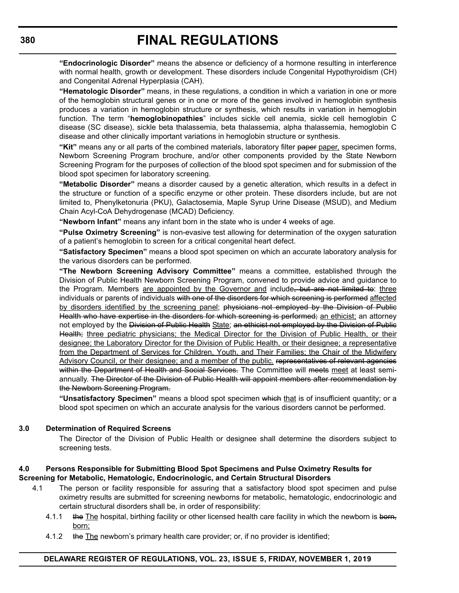**"Endocrinologic Disorder"** means the absence or deficiency of a hormone resulting in interference with normal health, growth or development. These disorders include Congenital Hypothyroidism (CH) and Congenital Adrenal Hyperplasia (CAH).

**"Hematologic Disorder"** means, in these regulations, a condition in which a variation in one or more of the hemoglobin structural genes or in one or more of the genes involved in hemoglobin synthesis produces a variation in hemoglobin structure or synthesis, which results in variation in hemoglobin function. The term "**hemoglobinopathies**" includes sickle cell anemia, sickle cell hemoglobin C disease (SC disease), sickle beta thalassemia, beta thalassemia, alpha thalassemia, hemoglobin C disease and other clinically important variations in hemoglobin structure or synthesis.

"Kit" means any or all parts of the combined materials, laboratory filter paper paper, specimen forms, Newborn Screening Program brochure, and/or other components provided by the State Newborn Screening Program for the purposes of collection of the blood spot specimen and for submission of the blood spot specimen for laboratory screening.

**"Metabolic Disorder"** means a disorder caused by a genetic alteration, which results in a defect in the structure or function of a specific enzyme or other protein. These disorders include, but are not limited to, Phenylketonuria (PKU), Galactosemia, Maple Syrup Urine Disease (MSUD), and Medium Chain Acyl-CoA Dehydrogenase (MCAD) Deficiency.

**"Newborn Infant"** means any infant born in the state who is under 4 weeks of age.

**"Pulse Oximetry Screening"** is non-evasive test allowing for determination of the oxygen saturation of a patient's hemoglobin to screen for a critical congenital heart defect.

**"Satisfactory Specimen"** means a blood spot specimen on which an accurate laboratory analysis for the various disorders can be performed.

**"The Newborn Screening Advisory Committee"** means a committee, established through the Division of Public Health Newborn Screening Program, convened to provide advice and guidance to the Program. Members are appointed by the Governor and include, but are not limited to: three individuals or parents of individuals with one of the disorders for which screening is performed affected by disorders identified by the screening panel; physicians not employed by the Division of Public Health who have expertise in the disorders for which screening is performed; an ethicist; an attorney not employed by the Division of Public Health State; an ethicist not employed by the Division of Public Health; three pediatric physicians; the Medical Director for the Division of Public Health, or their designee; the Laboratory Director for the Division of Public Health, or their designee; a representative from the Department of Services for Children, Youth, and Their Families; the Chair of the Midwifery Advisory Council, or their designee; and a member of the public. representatives of relevant agencies within the Department of Health and Social Services. The Committee will meets meet at least semiannually. The Director of the Division of Public Health will appoint members after recommendation by the Newborn Screening Program.

**"Unsatisfactory Specimen"** means a blood spot specimen which that is of insufficient quantity; or a blood spot specimen on which an accurate analysis for the various disorders cannot be performed.

# **3.0 Determination of Required Screens**

The Director of the Division of Public Health or designee shall determine the disorders subject to screening tests.

# **4.0 Persons Responsible for Submitting Blood Spot Specimens and Pulse Oximetry Results for Screening for Metabolic, Hematologic, Endocrinologic, and Certain Structural Disorders**

- 4.1 The person or facility responsible for assuring that a satisfactory blood spot specimen and pulse oximetry results are submitted for screening newborns for metabolic, hematologic, endocrinologic and certain structural disorders shall be, in order of responsibility:
	- 4.1.1 the The hospital, birthing facility or other licensed health care facility in which the newborn is born, born;
	- 4.1.2 the The newborn's primary health care provider; or, if no provider is identified;

# **DELAWARE REGISTER OF REGULATIONS, VOL. 23, ISSUE 5, FRIDAY, NOVEMBER 1, 2019**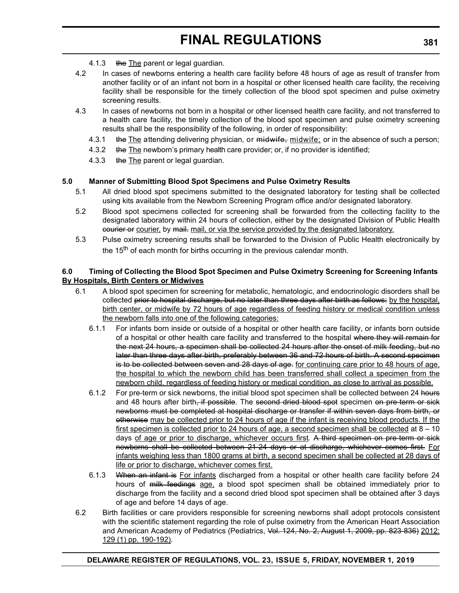- 4.1.3 the The parent or legal guardian.
- 4.2 In cases of newborns entering a health care facility before 48 hours of age as result of transfer from another facility or of an infant not born in a hospital or other licensed health care facility, the receiving facility shall be responsible for the timely collection of the blood spot specimen and pulse oximetry screening results.
- 4.3 In cases of newborns not born in a hospital or other licensed health care facility, and not transferred to a health care facility, the timely collection of the blood spot specimen and pulse oximetry screening results shall be the responsibility of the following, in order of responsibility:
	- 4.3.1 the The attending delivering physician, or midwife, midwife; or in the absence of such a person;
	- 4.3.2 the The newborn's primary health care provider; or, if no provider is identified;
	- 4.3.3 the The parent or legal guardian.

# **5.0 Manner of Submitting Blood Spot Specimens and Pulse Oximetry Results**

- 5.1 All dried blood spot specimens submitted to the designated laboratory for testing shall be collected using kits available from the Newborn Screening Program office and/or designated laboratory.
- 5.2 Blood spot specimens collected for screening shall be forwarded from the collecting facility to the designated laboratory within 24 hours of collection, either by the designated Division of Public Health courier or courier, by mail. mail, or via the service provided by the designated laboratory.
- 5.3 Pulse oximetry screening results shall be forwarded to the Division of Public Health electronically by the 15<sup>th</sup> of each month for births occurring in the previous calendar month.

# **6.0 Timing of Collecting the Blood Spot Specimen and Pulse Oximetry Screening for Screening Infants By Hospitals, Birth Centers or Midwives**

- 6.1 A blood spot specimen for screening for metabolic, hematologic, and endocrinologic disorders shall be collected prior to hospital discharge, but no later than three days after birth as follows: by the hospital, birth center, or midwife by 72 hours of age regardless of feeding history or medical condition unless the newborn falls into one of the following categories:
	- 6.1.1 For infants born inside or outside of a hospital or other health care facility, or infants born outside of a hospital or other health care facility and transferred to the hospital where they will remain for the next 24 hours, a specimen shall be collected 24 hours after the onset of milk feeding, but no later than three days after birth, preferably between 36 and 72 hours of birth. A second specimen is to be collected between seven and 28 days of age. for continuing care prior to 48 hours of age, the hospital to which the newborn child has been transferred shall collect a specimen from the newborn child, regardless of feeding history or medical condition, as close to arrival as possible.
	- 6.1.2 For pre-term or sick newborns, the initial blood spot specimen shall be collected between 24 hours and 48 hours after birth, if possible. The second dried blood spot specimen on pre-term or sick newborns must be completed at hospital discharge or transfer if within seven days from birth, or otherwise may be collected prior to 24 hours of age if the infant is receiving blood products. If the first specimen is collected prior to 24 hours of age, a second specimen shall be collected at 8 – 10 days of age or prior to discharge, whichever occurs first*.* A third specimen on pre-term or sick newborns shall be collected between 21-24 days or at discharge, whichever comes first. For infants weighing less than 1800 grams at birth, a second specimen shall be collected at 28 days of life or prior to discharge, whichever comes first.
	- 6.1.3 When an infant is For infants discharged from a hospital or other health care facility before 24 hours of milk feedings age, a blood spot specimen shall be obtained immediately prior to discharge from the facility and a second dried blood spot specimen shall be obtained after 3 days of age and before 14 days of age.
- 6.2 Birth facilities or care providers responsible for screening newborns shall adopt protocols consistent with the scientific statement regarding the role of pulse oximetry from the American Heart Association and American Academy of Pediatrics (Pediatrics, Vol. 124, No. 2, August 1, 2009, pp. 823-836) 2012: 129 (1) pp. 190-192).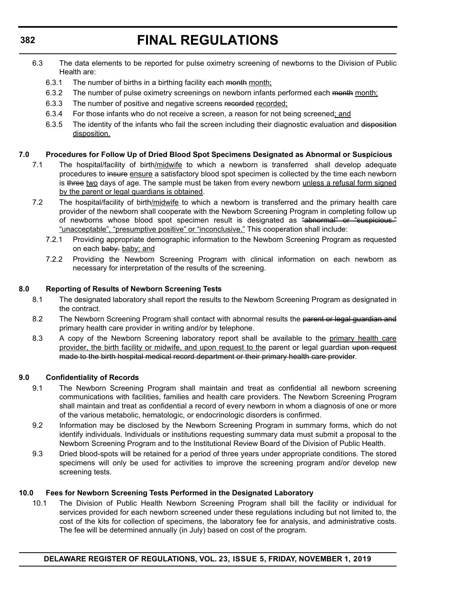- 6.3 The data elements to be reported for pulse oximetry screening of newborns to the Division of Public Health are:
	- 6.3.1 The number of births in a birthing facility each month month;
	- 6.3.2 The number of pulse oximetry screenings on newborn infants performed each month month;
	- 6.3.3 The number of positive and negative screens recorded recorded;
	- 6.3.4 For those infants who do not receive a screen, a reason for not being screened; and
	- 6.3.5 The identity of the infants who fail the screen including their diagnostic evaluation and disposition disposition.

# **7.0 Procedures for Follow Up of Dried Blood Spot Specimens Designated as Abnormal or Suspicious**

- 7.1 The hospital/facility of birth/midwife to which a newborn is transferred shall develop adequate procedures to insure ensure a satisfactory blood spot specimen is collected by the time each newborn is three two days of age. The sample must be taken from every newborn unless a refusal form signed by the parent or legal guardians is obtained.
- 7.2 The hospital/facility of birth/midwife to which a newborn is transferred and the primary health care provider of the newborn shall cooperate with the Newborn Screening Program in completing follow up of newborns whose blood spot specimen result is designated as "abnormal" or "suspicious." "unacceptable", "presumptive positive" or "inconclusive." This cooperation shall include:
	- 7.2.1 Providing appropriate demographic information to the Newborn Screening Program as requested on each baby. baby; and
	- 7.2.2 Providing the Newborn Screening Program with clinical information on each newborn as necessary for interpretation of the results of the screening.

# **8.0 Reporting of Results of Newborn Screening Tests**

- 8.1 The designated laboratory shall report the results to the Newborn Screening Program as designated in the contract.
- 8.2 The Newborn Screening Program shall contact with abnormal results the parent or legal guardian and primary health care provider in writing and/or by telephone.
- 8.3 A copy of the Newborn Screening laboratory report shall be available to the primary health care provider, the birth facility or midwife, and upon request to the parent or legal guardian upon request made to the birth hospital medical record department or their primary health care provider.

# **9.0 Confidentiality of Records**

- 9.1 The Newborn Screening Program shall maintain and treat as confidential all newborn screening communications with facilities, families and health care providers. The Newborn Screening Program shall maintain and treat as confidential a record of every newborn in whom a diagnosis of one or more of the various metabolic, hematologic, or endocrinologic disorders is confirmed.
- 9.2 Information may be disclosed by the Newborn Screening Program in summary forms, which do not identify individuals. Individuals or institutions requesting summary data must submit a proposal to the Newborn Screening Program and to the Institutional Review Board of the Division of Public Health.
- 9.3 Dried blood-spots will be retained for a period of three years under appropriate conditions. The stored specimens will only be used for activities to improve the screening program and/or develop new screening tests.

# **10.0 Fees for Newborn Screening Tests Performed in the Designated Laboratory**

10.1 The Division of Public Health Newborn Screening Program shall bill the facility or individual for services provided for each newborn screened under these regulations including but not limited to, the cost of the kits for collection of specimens, the laboratory fee for analysis, and administrative costs. The fee will be determined annually (in July) based on cost of the program.

# **DELAWARE REGISTER OF REGULATIONS, VOL. 23, ISSUE 5, FRIDAY, NOVEMBER 1, 2019**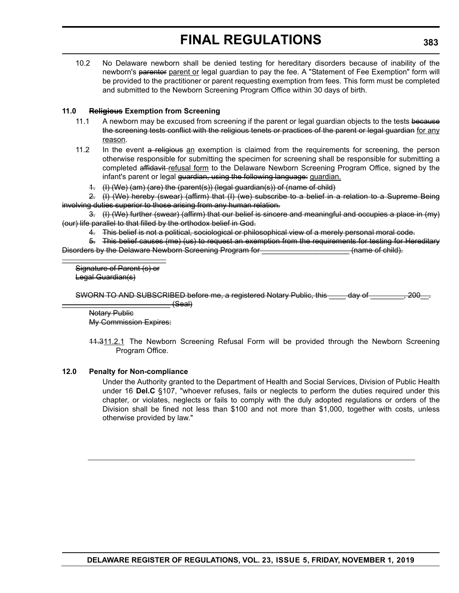10.2 No Delaware newborn shall be denied testing for hereditary disorders because of inability of the newborn's parentor parent or legal guardian to pay the fee. A "Statement of Fee Exemption" form will be provided to the practitioner or parent requesting exemption from fees. This form must be completed and submitted to the Newborn Screening Program Office within 30 days of birth.

# **11.0 Religious Exemption from Screening**

- 11.1 A newborn may be excused from screening if the parent or legal guardian objects to the tests because the screening tests conflict with the religious tenets or practices of the parent or legal guardian for any reason.
- 11.2 In the event a religious an exemption is claimed from the requirements for screening, the person otherwise responsible for submitting the specimen for screening shall be responsible for submitting a completed affidavit-refusal form to the Delaware Newborn Screening Program Office, signed by the infant's parent or legal guardian, using the following language: guardian.
	- 1. (I) (We) (am) (are) the (parent(s)) (legal guardian(s)) of (name of child)

2. (I) (We) hereby (swear) (affirm) that (I) (we) subscribe to a belief in a relation to a Supreme Being involving duties superior to those arising from any human relation.

3. (I) (We) further (swear) (affirm) that our belief is sincere and meaningful and occupies a place in (my) (our) life parallel to that filled by the orthodox belief in God.

4. This belief is not a political, sociological or philosophical view of a merely personal moral code.

5. This belief causes (me) (us) to request an exemption from the requirements for testing for Hereditary Disorders by the Delaware Newborn Screening Program for \_\_\_\_\_\_\_\_\_\_\_\_\_\_\_\_\_\_\_\_\_ (name of child).

Signature of Parent (s) or Legal Guardian(s)

\_\_\_\_\_\_\_\_\_\_\_\_\_\_\_\_\_\_\_\_\_\_\_\_\_

SWORN TO AND SUBSCRIBED before me, a registered Notary Public, this \_\_\_\_\_ day of \_\_\_\_\_\_\_\_, 200

 $(Seal)$ Notary Public My Commission Expires:

11.311.2.1 The Newborn Screening Refusal Form will be provided through the Newborn Screening Program Office.

# **12.0 Penalty for Non-compliance**

Under the Authority granted to the Department of Health and Social Services, Division of Public Health under 16 **Del.C** §107, "whoever refuses, fails or neglects to perform the duties required under this chapter, or violates, neglects or fails to comply with the duly adopted regulations or orders of the Division shall be fined not less than \$100 and not more than \$1,000, together with costs, unless otherwise provided by law."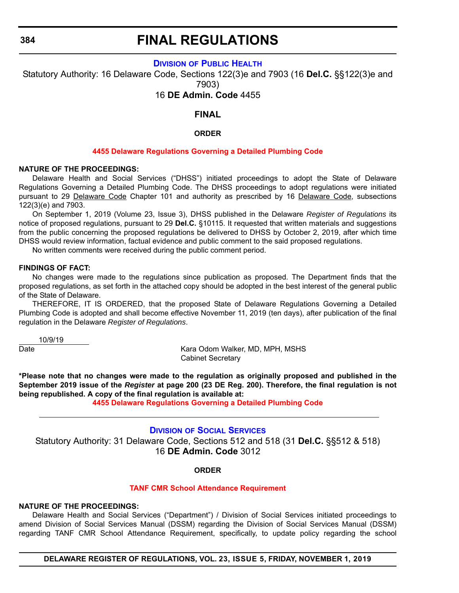**384**

# **FINAL REGULATIONS**

# **DIVISION [OF PUBLIC HEALTH](https://www.dhss.delaware.gov/dhss/dph/index.html)**

Statutory Authority: 16 Delaware Code, Sections 122(3)e and 7903 (16 **Del.C.** §§122(3)e and 7903)

16 **DE Admin. Code** 4455

# **FINAL**

## **ORDER**

### **[4455 Delaware Regulations Governing a Detailed Plumbing Code](#page-3-0)**

## **NATURE OF THE PROCEEDINGS:**

Delaware Health and Social Services ("DHSS") initiated proceedings to adopt the State of Delaware Regulations Governing a Detailed Plumbing Code. The DHSS proceedings to adopt regulations were initiated pursuant to 29 Delaware Code Chapter 101 and authority as prescribed by 16 Delaware Code, subsections 122(3)(e) and 7903.

On September 1, 2019 (Volume 23, Issue 3), DHSS published in the Delaware *Register of Regulations* its notice of proposed regulations, pursuant to 29 **Del.C.** §10115. It requested that written materials and suggestions from the public concerning the proposed regulations be delivered to DHSS by October 2, 2019, after which time DHSS would review information, factual evidence and public comment to the said proposed regulations.

No written comments were received during the public comment period.

#### **FINDINGS OF FACT:**

No changes were made to the regulations since publication as proposed. The Department finds that the proposed regulations, as set forth in the attached copy should be adopted in the best interest of the general public of the State of Delaware.

THEREFORE, IT IS ORDERED, that the proposed State of Delaware Regulations Governing a Detailed Plumbing Code is adopted and shall become effective November 11, 2019 (ten days), after publication of the final regulation in the Delaware *Register of Regulations*.

10/9/19

Date **Caracter Community Community** Caracter Maria Odom Walker, MD, MPH, MSHS Cabinet Secretary

**\*Please note that no changes were made to the regulation as originally proposed and published in the September 2019 issue of the** *Register* **at page 200 (23 DE Reg. 200). Therefore, the final regulation is not being republished. A copy of the final regulation is available at:**

**[4455 Delaware Regulations Governing a Detailed Plumbing Code](http://regulations.delaware.gov/register/november2019/final/23 DE Reg 384 11-01-19.htm)**

# **DIVISION [OF SOCIAL SERVICES](https://www.dhss.delaware.gov/dhss/dss/)**

Statutory Authority: 31 Delaware Code, Sections 512 and 518 (31 **Del.C.** §§512 & 518) 16 **DE Admin. Code** 3012

## **ORDER**

#### **[TANF CMR School Attendance Requirement](#page-3-0)**

#### **NATURE OF THE PROCEEDINGS:**

Delaware Health and Social Services ("Department") / Division of Social Services initiated proceedings to amend Division of Social Services Manual (DSSM) regarding the Division of Social Services Manual (DSSM) regarding TANF CMR School Attendance Requirement, specifically, to update policy regarding the school

**DELAWARE REGISTER OF REGULATIONS, VOL. 23, ISSUE 5, FRIDAY, NOVEMBER 1, 2019**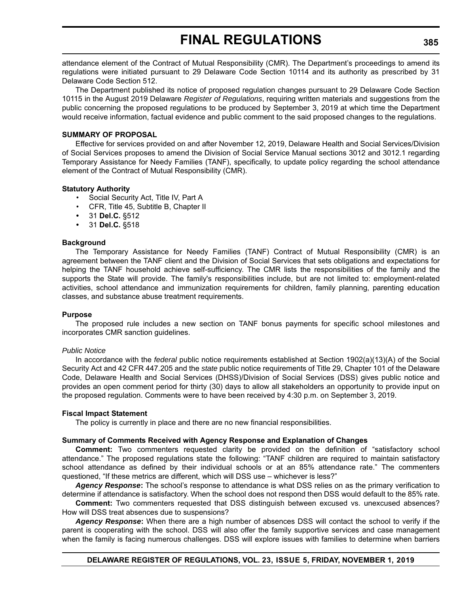attendance element of the Contract of Mutual Responsibility (CMR). The Department's proceedings to amend its regulations were initiated pursuant to 29 Delaware Code Section 10114 and its authority as prescribed by 31 Delaware Code Section 512.

The Department published its notice of proposed regulation changes pursuant to 29 Delaware Code Section 10115 in the August 2019 Delaware *Register of Regulations*, requiring written materials and suggestions from the public concerning the proposed regulations to be produced by September 3, 2019 at which time the Department would receive information, factual evidence and public comment to the said proposed changes to the regulations.

#### **SUMMARY OF PROPOSAL**

Effective for services provided on and after November 12, 2019, Delaware Health and Social Services/Division of Social Services proposes to amend the Division of Social Service Manual sections 3012 and 3012.1 regarding Temporary Assistance for Needy Families (TANF), specifically, to update policy regarding the school attendance element of the Contract of Mutual Responsibility (CMR).

#### **Statutory Authority**

- Social Security Act, Title IV, Part A
- CFR, Title 45, Subtitle B, Chapter II
- **•** 31 **Del.C.** §512
- **•** 31 **Del.C.** §518

#### **Background**

The Temporary Assistance for Needy Families (TANF) Contract of Mutual Responsibility (CMR) is an agreement between the TANF client and the Division of Social Services that sets obligations and expectations for helping the TANF household achieve self-sufficiency. The CMR lists the responsibilities of the family and the supports the State will provide. The family's responsibilities include, but are not limited to: employment-related activities, school attendance and immunization requirements for children, family planning, parenting education classes, and substance abuse treatment requirements.

#### **Purpose**

The proposed rule includes a new section on TANF bonus payments for specific school milestones and incorporates CMR sanction guidelines.

#### *Public Notice*

In accordance with the *federal* public notice requirements established at Section 1902(a)(13)(A) of the Social Security Act and 42 CFR 447.205 and the *state* public notice requirements of Title 29, Chapter 101 of the Delaware Code, Delaware Health and Social Services (DHSS)/Division of Social Services (DSS) gives public notice and provides an open comment period for thirty (30) days to allow all stakeholders an opportunity to provide input on the proposed regulation. Comments were to have been received by 4:30 p.m. on September 3, 2019.

#### **Fiscal Impact Statement**

The policy is currently in place and there are no new financial responsibilities.

#### **Summary of Comments Received with Agency Response and Explanation of Changes**

**Comment:** Two commenters requested clarity be provided on the definition of "satisfactory school attendance." The proposed regulations state the following: "TANF children are required to maintain satisfactory school attendance as defined by their individual schools or at an 85% attendance rate." The commenters questioned, "If these metrics are different, which will DSS use – whichever is less?"

*Agency Response***:** The school's response to attendance is what DSS relies on as the primary verification to determine if attendance is satisfactory. When the school does not respond then DSS would default to the 85% rate.

**Comment:** Two commenters requested that DSS distinguish between excused vs. unexcused absences? How will DSS treat absences due to suspensions?

*Agency Response***:** When there are a high number of absences DSS will contact the school to verify if the parent is cooperating with the school. DSS will also offer the family supportive services and case management when the family is facing numerous challenges. DSS will explore issues with families to determine when barriers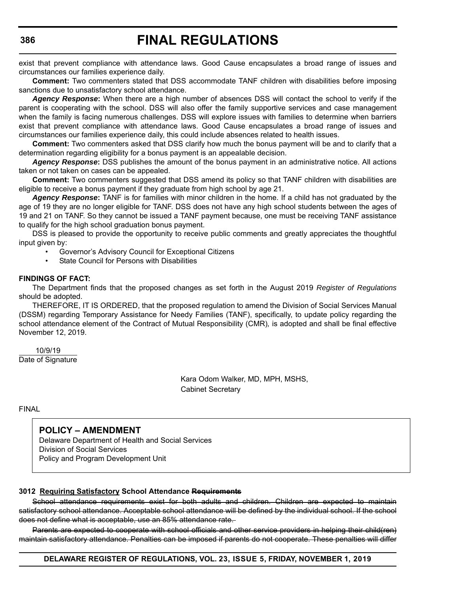exist that prevent compliance with attendance laws. Good Cause encapsulates a broad range of issues and circumstances our families experience daily.

**Comment:** Two commenters stated that DSS accommodate TANF children with disabilities before imposing sanctions due to unsatisfactory school attendance.

*Agency Response***:** When there are a high number of absences DSS will contact the school to verify if the parent is cooperating with the school. DSS will also offer the family supportive services and case management when the family is facing numerous challenges. DSS will explore issues with families to determine when barriers exist that prevent compliance with attendance laws. Good Cause encapsulates a broad range of issues and circumstances our families experience daily, this could include absences related to health issues.

**Comment:** Two commenters asked that DSS clarify how much the bonus payment will be and to clarify that a determination regarding eligibility for a bonus payment is an appealable decision.

*Agency Response***:** DSS publishes the amount of the bonus payment in an administrative notice. All actions taken or not taken on cases can be appealed.

**Comment:** Two commenters suggested that DSS amend its policy so that TANF children with disabilities are eligible to receive a bonus payment if they graduate from high school by age 21.

*Agency Response***:** TANF is for families with minor children in the home. If a child has not graduated by the age of 19 they are no longer eligible for TANF. DSS does not have any high school students between the ages of 19 and 21 on TANF. So they cannot be issued a TANF payment because, one must be receiving TANF assistance to qualify for the high school graduation bonus payment.

DSS is pleased to provide the opportunity to receive public comments and greatly appreciates the thoughtful input given by:

- Governor's Advisory Council for Exceptional Citizens
- State Council for Persons with Disabilities

#### **FINDINGS OF FACT:**

The Department finds that the proposed changes as set forth in the August 2019 *Register of Regulations* should be adopted.

THEREFORE, IT IS ORDERED, that the proposed regulation to amend the Division of Social Services Manual (DSSM) regarding Temporary Assistance for Needy Families (TANF), specifically, to update policy regarding the school attendance element of the Contract of Mutual Responsibility (CMR)*,* is adopted and shall be final effective November 12, 2019.

 10/9/19 Date of Signature

> Kara Odom Walker, MD, MPH, MSHS, Cabinet Secretary

FINAL

# **POLICY – AMENDMENT**

Delaware Department of Health and Social Services Division of Social Services Policy and Program Development Unit

#### **3012 Requiring Satisfactory School Attendance Requirements**

School attendance requirements exist for both adults and children. Children are expected to maintain satisfactory school attendance. Acceptable school attendance will be defined by the individual school. If the school does not define what is acceptable, use an 85% attendance rate.

Parents are expected to cooperate with school officials and other service providers in helping their child(ren) maintain satisfactory attendance. Penalties can be imposed if parents do not cooperate. These penalties will differ

**DELAWARE REGISTER OF REGULATIONS, VOL. 23, ISSUE 5, FRIDAY, NOVEMBER 1, 2019**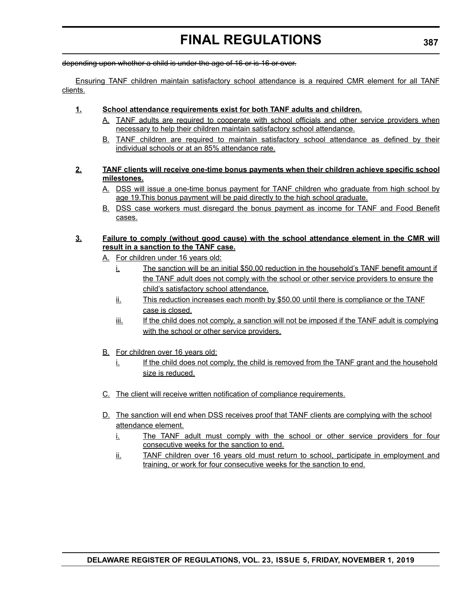depending upon whether a child is under the age of 16 or is 16 or over.

Ensuring TANF children maintain satisfactory school attendance is a required CMR element for all TANF clients.

# **1. School attendance requirements exist for both TANF adults and children.**

- A. TANF adults are required to cooperate with school officials and other service providers when necessary to help their children maintain satisfactory school attendance.
- B. TANF children are required to maintain satisfactory school attendance as defined by their individual schools or at an 85% attendance rate.

# **2. TANF clients will receive one-time bonus payments when their children achieve specific school milestones.**

- A. DSS will issue a one-time bonus payment for TANF children who graduate from high school by age 19. This bonus payment will be paid directly to the high school graduate.
- B. DSS case workers must disregard the bonus payment as income for TANF and Food Benefit cases.

# **3. Failure to comply (without good cause) with the school attendance element in the CMR will result in a sanction to the TANF case.**

- A. For children under 16 years old:
	- i. The sanction will be an initial \$50.00 reduction in the household's TANF benefit amount if the TANF adult does not comply with the school or other service providers to ensure the child's satisfactory school attendance.
	- ii. This reduction increases each month by \$50.00 until there is compliance or the TANF case is closed.
	- iii. If the child does not comply, a sanction will not be imposed if the TANF adult is complying with the school or other service providers.
- B. For children over 16 years old:
	- $i.$  If the child does not comply, the child is removed from the TANF grant and the household size is reduced.
- C. The client will receive written notification of compliance requirements.
- D. The sanction will end when DSS receives proof that TANF clients are complying with the school attendance element.
	- i. The TANF adult must comply with the school or other service providers for four consecutive weeks for the sanction to end.
	- ii. TANF children over 16 years old must return to school, participate in employment and training, or work for four consecutive weeks for the sanction to end.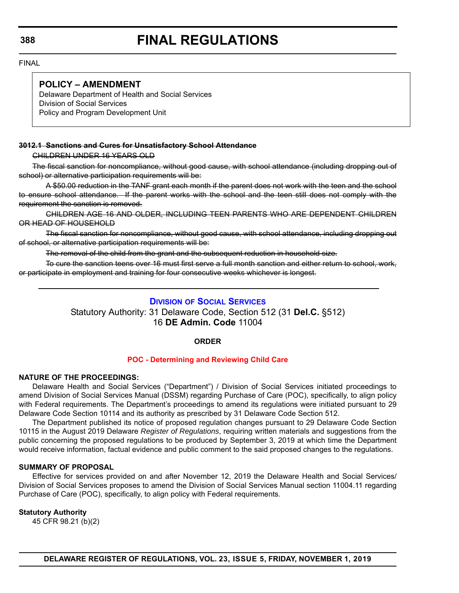FINAL

# **POLICY – AMENDMENT**

Delaware Department of Health and Social Services Division of Social Services Policy and Program Development Unit

# **3012.1 Sanctions and Cures for Unsatisfactory School Attendance**

CHILDREN UNDER 16 YEARS OLD

The fiscal sanction for noncompliance, without good cause, with school attendance (including dropping out of school) or alternative participation requirements will be:

A \$50.00 reduction in the TANF grant each month if the parent does not work with the teen and the school to ensure school attendance. If the parent works with the school and the teen still does not comply with the requirement the sanction is removed.

CHILDREN AGE 16 AND OLDER, INCLUDING TEEN PARENTS WHO ARE DEPENDENT CHILDREN OR HEAD OF HOUSEHOLD

The fiscal sanction for noncompliance, without good cause, with school attendance, including dropping out of school, or alternative participation requirements will be:

The removal of the child from the grant and the subsequent reduction in household size.

To cure the sanction teens over 16 must first serve a full month sanction and either return to school, work, or participate in employment and training for four consecutive weeks whichever is longest.

# **DIVISION [OF SOCIAL SERVICES](https://www.dhss.delaware.gov/dhss/dss/)**

Statutory Authority: 31 Delaware Code, Section 512 (31 **Del.C.** §512) 16 **DE Admin. Code** 11004

# **ORDER**

#### **[POC - Determining and Reviewing Child Care](#page-3-0)**

#### **NATURE OF THE PROCEEDINGS:**

Delaware Health and Social Services ("Department") / Division of Social Services initiated proceedings to amend Division of Social Services Manual (DSSM) regarding Purchase of Care (POC), specifically, to align policy with Federal requirements. The Department's proceedings to amend its regulations were initiated pursuant to 29 Delaware Code Section 10114 and its authority as prescribed by 31 Delaware Code Section 512.

The Department published its notice of proposed regulation changes pursuant to 29 Delaware Code Section 10115 in the August 2019 Delaware *Register of Regulations*, requiring written materials and suggestions from the public concerning the proposed regulations to be produced by September 3, 2019 at which time the Department would receive information, factual evidence and public comment to the said proposed changes to the regulations.

#### **SUMMARY OF PROPOSAL**

Effective for services provided on and after November 12, 2019 the Delaware Health and Social Services/ Division of Social Services proposes to amend the Division of Social Services Manual section 11004.11 regarding Purchase of Care (POC), specifically, to align policy with Federal requirements.

# **Statutory Authority**

45 CFR 98.21 (b)(2)

**DELAWARE REGISTER OF REGULATIONS, VOL. 23, ISSUE 5, FRIDAY, NOVEMBER 1, 2019**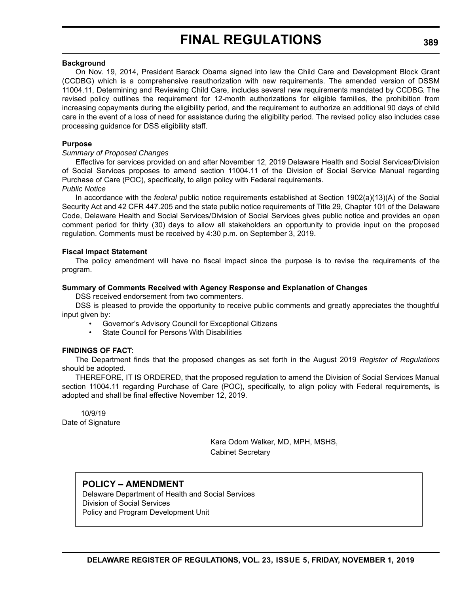#### **Background**

On Nov. 19, 2014, President Barack Obama signed into law the Child Care and Development Block Grant (CCDBG) which is a comprehensive reauthorization with new requirements. The amended version of DSSM 11004.11, Determining and Reviewing Child Care, includes several new requirements mandated by CCDBG. The revised policy outlines the requirement for 12-month authorizations for eligible families, the prohibition from increasing copayments during the eligibility period, and the requirement to authorize an additional 90 days of child care in the event of a loss of need for assistance during the eligibility period. The revised policy also includes case processing guidance for DSS eligibility staff.

#### **Purpose**

#### *Summary of Proposed Changes*

Effective for services provided on and after November 12, 2019 Delaware Health and Social Services/Division of Social Services proposes to amend section 11004.11 of the Division of Social Service Manual regarding Purchase of Care (POC), specifically, to align policy with Federal requirements. *Public Notice*

In accordance with the *federal* public notice requirements established at Section 1902(a)(13)(A) of the Social Security Act and 42 CFR 447.205 and the state public notice requirements of Title 29, Chapter 101 of the Delaware Code, Delaware Health and Social Services/Division of Social Services gives public notice and provides an open comment period for thirty (30) days to allow all stakeholders an opportunity to provide input on the proposed regulation. Comments must be received by 4:30 p.m. on September 3, 2019.

#### **Fiscal Impact Statement**

The policy amendment will have no fiscal impact since the purpose is to revise the requirements of the program.

#### **Summary of Comments Received with Agency Response and Explanation of Changes**

DSS received endorsement from two commenters.

DSS is pleased to provide the opportunity to receive public comments and greatly appreciates the thoughtful input given by:

- Governor's Advisory Council for Exceptional Citizens
- State Council for Persons With Disabilities

# **FINDINGS OF FACT:**

The Department finds that the proposed changes as set forth in the August 2019 *Register of Regulations* should be adopted.

THEREFORE, IT IS ORDERED, that the proposed regulation to amend the Division of Social Services Manual section 11004.11 regarding Purchase of Care (POC), specifically, to align policy with Federal requirements*,* is adopted and shall be final effective November 12, 2019.

 10/9/19 Date of Signature

> Kara Odom Walker, MD, MPH, MSHS, Cabinet Secretary

**POLICY – AMENDMENT** Delaware Department of Health and Social Services Division of Social Services Policy and Program Development Unit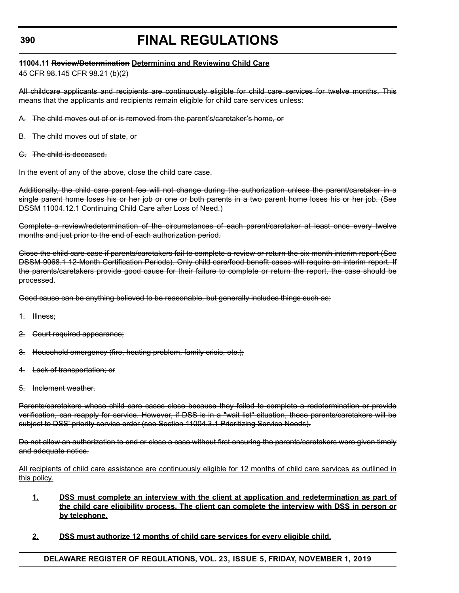# **11004.11 Review/Determination Determining and Reviewing Child Care**

45 CFR 98.145 CFR 98.21 (b)(2)

All childcare applicants and recipients are continuously eligible for child care services for twelve months. This means that the applicants and recipients remain eligible for child care services unless:

- A. The child moves out of or is removed from the parent's/caretaker's home, or
- B. The child moves out of state, or
- C. The child is deceased.

In the event of any of the above, close the child care case.

Additionally, the child care parent fee will not change during the authorization unless the parent/caretaker in a single parent home loses his or her job or one or both parents in a two parent home loses his or her job. (See DSSM 11004.12.1 Continuing Child Care after Loss of Need.)

Complete a review/redetermination of the circumstances of each parent/caretaker at least once every twelve months and just prior to the end of each authorization period.

Close the child care case if parents/caretakers fail to complete a review or return the six month interim report (See DSSM 9068.1 12-Month Certification Periods). Only child care/food benefit cases will require an interim report. If the parents/caretakers provide good cause for their failure to complete or return the report, the case should be processed.

Good cause can be anything believed to be reasonable, but generally includes things such as:

- 1. Illness;
- 2. Court required appearance;
- 3. Household emergency (fire, heating problem, family crisis, etc.);
- 4. Lack of transportation; or
- 5. Inclement weather.

Parents/caretakers whose child care cases close because they failed to complete a redetermination or provide verification, can reapply for service. However, if DSS is in a "wait list" situation, these parents/caretakers will be subject to DSS' priority service order (see Section 11004.3.1 Prioritizing Service Needs).

Do not allow an authorization to end or close a case without first ensuring the parents/caretakers were given timely and adequate notice.

All recipients of child care assistance are continuously eligible for 12 months of child care services as outlined in this policy.

- **1. DSS must complete an interview with the client at application and redetermination as part of the child care eligibility process. The client can complete the interview with DSS in person or by telephone.**
- **2. DSS must authorize 12 months of child care services for every eligible child.**

**DELAWARE REGISTER OF REGULATIONS, VOL. 23, ISSUE 5, FRIDAY, NOVEMBER 1, 2019**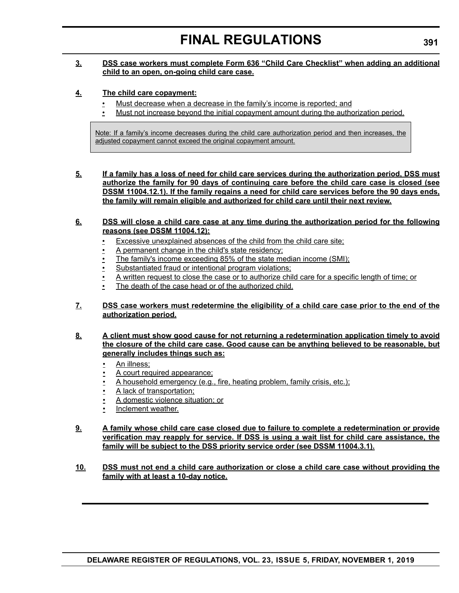# **3. DSS case workers must complete Form 636 "Child Care Checklist" when adding an additional child to an open, on-going child care case.**

# **4. The child care copayment:**

- Must decrease when a decrease in the family's income is reported; and
- Must not increase beyond the initial copayment amount during the authorization period.

Note: If a family's income decreases during the child care authorization period and then increases, the adjusted copayment cannot exceed the original copayment amount.

**5. If a family has a loss of need for child care services during the authorization period, DSS must authorize the family for 90 days of continuing care before the child care case is closed (see DSSM 11004.12.1). If the family regains a need for child care services before the 90 days ends, the family will remain eligible and authorized for child care until their next review.**

### **6. DSS will close a child care case at any time during the authorization period for the following reasons (see DSSM 11004.12):**

- Excessive unexplained absences of the child from the child care site;
- A permanent change in the child's state residency;
- The family's income exceeding 85% of the state median income (SMI);
- Substantiated fraud or intentional program violations;
- A written request to close the case or to authorize child care for a specific length of time; or
- The death of the case head or of the authorized child.

# **7. DSS case workers must redetermine the eligibility of a child care case prior to the end of the authorization period.**

# **8. A client must show good cause for not returning a redetermination application timely to avoid the closure of the child care case. Good cause can be anything believed to be reasonable, but generally includes things such as:**

- An illness;
- A court required appearance;
- A household emergency (e.g., fire, heating problem, family crisis, etc.);
- A lack of transportation;
- A domestic violence situation; or
- Inclement weather.

## **9. A family whose child care case closed due to failure to complete a redetermination or provide verification may reapply for service. If DSS is using a wait list for child care assistance, the family will be subject to the DSS priority service order (see DSSM 11004.3.1).**

### **10. DSS must not end a child care authorization or close a child care case without providing the family with at least a 10-day notice.**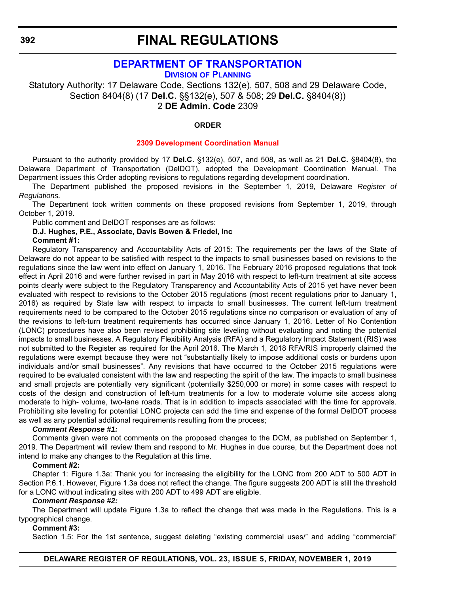# **[DEPARTMENT OF TRANSPORTATION](https://www.deldot.gov/index.shtml )**

**DIVISION [OF PLANNING](https://www.deldot.gov/About/divisions/index.shtml )**

Statutory Authority: 17 Delaware Code, Sections 132(e), 507, 508 and 29 Delaware Code, Section 8404(8) (17 **Del.C.** §§132(e), 507 & 508; 29 **Del.C.** §8404(8)) 2 **DE Admin. Code** 2309

# **ORDER**

#### **[2309 Development Coordination Manual](#page-4-0)**

Pursuant to the authority provided by 17 **Del.C.** §132(e), 507, and 508, as well as 21 **Del.C.** §8404(8), the Delaware Department of Transportation (DelDOT), adopted the Development Coordination Manual. The Department issues this Order adopting revisions to regulations regarding development coordination.

The Department published the proposed revisions in the September 1, 2019, Delaware *Register of Regulations.*

The Department took written comments on these proposed revisions from September 1, 2019, through October 1, 2019.

Public comment and DelDOT responses are as follows:

# **D.J. Hughes, P.E., Associate, Davis Bowen & Friedel, Inc**

#### **Comment #1:**

Regulatory Transparency and Accountability Acts of 2015: The requirements per the laws of the State of Delaware do not appear to be satisfied with respect to the impacts to small businesses based on revisions to the regulations since the law went into effect on January 1, 2016. The February 2016 proposed regulations that took effect in April 2016 and were further revised in part in May 2016 with respect to left-turn treatment at site access points clearly were subject to the Regulatory Transparency and Accountability Acts of 2015 yet have never been evaluated with respect to revisions to the October 2015 regulations (most recent regulations prior to January 1, 2016) as required by State law with respect to impacts to small businesses. The current left-turn treatment requirements need to be compared to the October 2015 regulations since no comparison or evaluation of any of the revisions to left-turn treatment requirements has occurred since January 1, 2016. Letter of No Contention (LONC) procedures have also been revised prohibiting site leveling without evaluating and noting the potential impacts to small businesses. A Regulatory Flexibility Analysis (RFA) and a Regulatory Impact Statement (RIS) was not submitted to the Register as required for the April 2016. The March 1, 2018 RFA/RIS improperly claimed the regulations were exempt because they were not "substantially likely to impose additional costs or burdens upon individuals and/or small businesses". Any revisions that have occurred to the October 2015 regulations were required to be evaluated consistent with the law and respecting the spirit of the law. The impacts to small business and small projects are potentially very significant (potentially \$250,000 or more) in some cases with respect to costs of the design and construction of left-turn treatments for a low to moderate volume site access along moderate to high- volume, two-lane roads. That is in addition to impacts associated with the time for approvals. Prohibiting site leveling for potential LONC projects can add the time and expense of the formal DelDOT process as well as any potential additional requirements resulting from the process;

# *Comment Response #1:*

Comments given were not comments on the proposed changes to the DCM, as published on September 1, 2019. The Department will review them and respond to Mr. Hughes in due course, but the Department does not intend to make any changes to the Regulation at this time.

# **Comment #2:**

Chapter 1: Figure 1.3a: Thank you for increasing the eligibility for the LONC from 200 ADT to 500 ADT in Section P.6.1. However, Figure 1.3a does not reflect the change. The figure suggests 200 ADT is still the threshold for a LONC without indicating sites with 200 ADT to 499 ADT are eligible.

#### *Comment Response #2:*

The Department will update Figure 1.3a to reflect the change that was made in the Regulations. This is a typographical change.

### **Comment #3:**

Section 1.5: For the 1st sentence, suggest deleting "existing commercial uses/" and adding "commercial"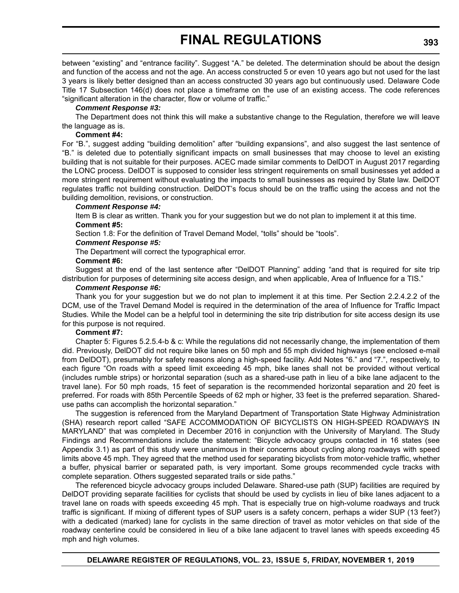between "existing" and "entrance facility". Suggest "A." be deleted. The determination should be about the design and function of the access and not the age. An access constructed 5 or even 10 years ago but not used for the last 3 years is likely better designed than an access constructed 30 years ago but continuously used. Delaware Code Title 17 Subsection 146(d) does not place a timeframe on the use of an existing access. The code references "significant alteration in the character, flow or volume of traffic."

### *Comment Response #3:*

The Department does not think this will make a substantive change to the Regulation, therefore we will leave the language as is.

### **Comment #4:**

For "B.", suggest adding "building demolition" after "building expansions", and also suggest the last sentence of "B." is deleted due to potentially significant impacts on small businesses that may choose to level an existing building that is not suitable for their purposes. ACEC made similar comments to DelDOT in August 2017 regarding the LONC process. DelDOT is supposed to consider less stringent requirements on small businesses yet added a more stringent requirement without evaluating the impacts to small businesses as required by State law. DelDOT regulates traffic not building construction. DelDOT's focus should be on the traffic using the access and not the building demolition, revisions, or construction.

### *Comment Response #4:*

Item B is clear as written. Thank you for your suggestion but we do not plan to implement it at this time. **Comment #5:**

Section 1.8: For the definition of Travel Demand Model, "tolls" should be "tools".

### *Comment Response #5:*

The Department will correct the typographical error.

#### **Comment #6:**

Suggest at the end of the last sentence after "DelDOT Planning" adding "and that is required for site trip distribution for purposes of determining site access design, and when applicable, Area of Influence for a TIS."

### *Comment Response #6:*

Thank you for your suggestion but we do not plan to implement it at this time. Per Section 2.2.4.2.2 of the DCM, use of the Travel Demand Model is required in the determination of the area of Influence for Traffic Impact Studies. While the Model can be a helpful tool in determining the site trip distribution for site access design its use for this purpose is not required.

#### **Comment #7:**

Chapter 5: Figures 5.2.5.4-b & c: While the regulations did not necessarily change, the implementation of them did. Previously, DelDOT did not require bike lanes on 50 mph and 55 mph divided highways (see enclosed e-mail from DelDOT), presumably for safety reasons along a high-speed facility. Add Notes "6." and "7.", respectively, to each figure "On roads with a speed limit exceeding 45 mph, bike lanes shall not be provided without vertical (includes rumble strips) or horizontal separation (such as a shared-use path in lieu of a bike lane adjacent to the travel lane). For 50 mph roads, 15 feet of separation is the recommended horizontal separation and 20 feet is preferred. For roads with 85th Percentile Speeds of 62 mph or higher, 33 feet is the preferred separation. Shareduse paths can accomplish the horizontal separation."

The suggestion is referenced from the Maryland Department of Transportation State Highway Administration (SHA) research report called "SAFE ACCOMMODATION OF BICYCLISTS ON HIGH-SPEED ROADWAYS IN MARYLAND" that was completed in December 2016 in conjunction with the University of Maryland. The Study Findings and Recommendations include the statement: "Bicycle advocacy groups contacted in 16 states (see Appendix 3.1) as part of this study were unanimous in their concerns about cycling along roadways with speed limits above 45 mph. They agreed that the method used for separating bicyclists from motor-vehicle traffic, whether a buffer, physical barrier or separated path, is very important. Some groups recommended cycle tracks with complete separation. Others suggested separated trails or side paths."

The referenced bicycle advocacy groups included Delaware. Shared-use path (SUP) facilities are required by DelDOT providing separate facilities for cyclists that should be used by cyclists in lieu of bike lanes adjacent to a travel lane on roads with speeds exceeding 45 mph. That is especially true on high-volume roadways and truck traffic is significant. If mixing of different types of SUP users is a safety concern, perhaps a wider SUP (13 feet?) with a dedicated (marked) lane for cyclists in the same direction of travel as motor vehicles on that side of the roadway centerline could be considered in lieu of a bike lane adjacent to travel lanes with speeds exceeding 45 mph and high volumes.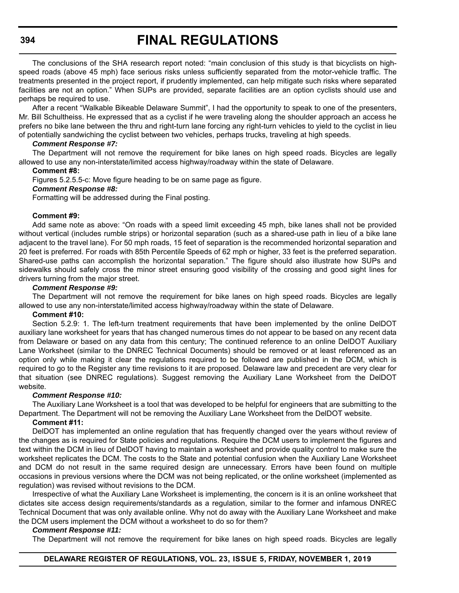The conclusions of the SHA research report noted: "main conclusion of this study is that bicyclists on highspeed roads (above 45 mph) face serious risks unless sufficiently separated from the motor-vehicle traffic. The treatments presented in the project report, if prudently implemented, can help mitigate such risks where separated facilities are not an option." When SUPs are provided, separate facilities are an option cyclists should use and perhaps be required to use.

After a recent "Walkable Bikeable Delaware Summit", I had the opportunity to speak to one of the presenters, Mr. Bill Schultheiss. He expressed that as a cyclist if he were traveling along the shoulder approach an access he prefers no bike lane between the thru and right-turn lane forcing any right-turn vehicles to yield to the cyclist in lieu of potentially sandwiching the cyclist between two vehicles, perhaps trucks, traveling at high speeds.

#### *Comment Response #7:*

The Department will not remove the requirement for bike lanes on high speed roads. Bicycles are legally allowed to use any non-interstate/limited access highway/roadway within the state of Delaware.

#### **Comment #8:**

Figures 5.2.5.5-c: Move figure heading to be on same page as figure.

# *Comment Response #8:*

Formatting will be addressed during the Final posting.

#### **Comment #9:**

Add same note as above: "On roads with a speed limit exceeding 45 mph, bike lanes shall not be provided without vertical (includes rumble strips) or horizontal separation (such as a shared-use path in lieu of a bike lane adjacent to the travel lane). For 50 mph roads, 15 feet of separation is the recommended horizontal separation and 20 feet is preferred. For roads with 85th Percentile Speeds of 62 mph or higher, 33 feet is the preferred separation. Shared-use paths can accomplish the horizontal separation." The figure should also illustrate how SUPs and sidewalks should safely cross the minor street ensuring good visibility of the crossing and good sight lines for drivers turning from the major street.

### *Comment Response #9:*

The Department will not remove the requirement for bike lanes on high speed roads. Bicycles are legally allowed to use any non-interstate/limited access highway/roadway within the state of Delaware.

#### **Comment #10:**

Section 5.2.9: 1. The left-turn treatment requirements that have been implemented by the online DelDOT auxiliary lane worksheet for years that has changed numerous times do not appear to be based on any recent data from Delaware or based on any data from this century; The continued reference to an online DelDOT Auxiliary Lane Worksheet (similar to the DNREC Technical Documents) should be removed or at least referenced as an option only while making it clear the regulations required to be followed are published in the DCM, which is required to go to the Register any time revisions to it are proposed. Delaware law and precedent are very clear for that situation (see DNREC regulations). Suggest removing the Auxiliary Lane Worksheet from the DelDOT website.

## *Comment Response #10:*

The Auxiliary Lane Worksheet is a tool that was developed to be helpful for engineers that are submitting to the Department. The Department will not be removing the Auxiliary Lane Worksheet from the DelDOT website.

#### **Comment #11:**

DelDOT has implemented an online regulation that has frequently changed over the years without review of the changes as is required for State policies and regulations. Require the DCM users to implement the figures and text within the DCM in lieu of DelDOT having to maintain a worksheet and provide quality control to make sure the worksheet replicates the DCM. The costs to the State and potential confusion when the Auxiliary Lane Worksheet and DCM do not result in the same required design are unnecessary. Errors have been found on multiple occasions in previous versions where the DCM was not being replicated, or the online worksheet (implemented as regulation) was revised without revisions to the DCM.

Irrespective of what the Auxiliary Lane Worksheet is implementing, the concern is it is an online worksheet that dictates site access design requirements/standards as a regulation, similar to the former and infamous DNREC Technical Document that was only available online. Why not do away with the Auxiliary Lane Worksheet and make the DCM users implement the DCM without a worksheet to do so for them?

#### *Comment Response #11:*

The Department will not remove the requirement for bike lanes on high speed roads. Bicycles are legally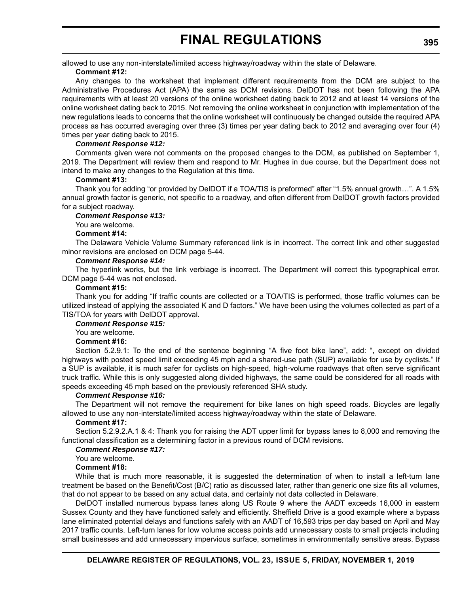allowed to use any non-interstate/limited access highway/roadway within the state of Delaware.

## **Comment #12:**

Any changes to the worksheet that implement different requirements from the DCM are subject to the Administrative Procedures Act (APA) the same as DCM revisions. DelDOT has not been following the APA requirements with at least 20 versions of the online worksheet dating back to 2012 and at least 14 versions of the online worksheet dating back to 2015. Not removing the online worksheet in conjunction with implementation of the new regulations leads to concerns that the online worksheet will continuously be changed outside the required APA process as has occurred averaging over three (3) times per year dating back to 2012 and averaging over four (4) times per year dating back to 2015.

### *Comment Response #12:*

Comments given were not comments on the proposed changes to the DCM, as published on September 1, 2019. The Department will review them and respond to Mr. Hughes in due course, but the Department does not intend to make any changes to the Regulation at this time.

#### **Comment #13:**

Thank you for adding "or provided by DelDOT if a TOA/TIS is preformed" after "1.5% annual growth…". A 1.5% annual growth factor is generic, not specific to a roadway, and often different from DelDOT growth factors provided for a subject roadway.

#### *Comment Response #13:*

You are welcome.

#### **Comment #14:**

The Delaware Vehicle Volume Summary referenced link is in incorrect. The correct link and other suggested minor revisions are enclosed on DCM page 5-44.

#### *Comment Response #14:*

The hyperlink works, but the link verbiage is incorrect. The Department will correct this typographical error. DCM page 5-44 was not enclosed.

### **Comment #15:**

Thank you for adding "If traffic counts are collected or a TOA/TIS is performed, those traffic volumes can be utilized instead of applying the associated K and D factors." We have been using the volumes collected as part of a TIS/TOA for years with DelDOT approval.

#### *Comment Response #15:*

#### You are welcome.

#### **Comment #16:**

Section 5.2.9.1: To the end of the sentence beginning "A five foot bike lane", add: ", except on divided highways with posted speed limit exceeding 45 mph and a shared-use path (SUP) available for use by cyclists." If a SUP is available, it is much safer for cyclists on high-speed, high-volume roadways that often serve significant truck traffic. While this is only suggested along divided highways, the same could be considered for all roads with speeds exceeding 45 mph based on the previously referenced SHA study.

#### *Comment Response #16:*

The Department will not remove the requirement for bike lanes on high speed roads. Bicycles are legally allowed to use any non-interstate/limited access highway/roadway within the state of Delaware.

#### **Comment #17:**

Section 5.2.9.2.A.1 & 4: Thank you for raising the ADT upper limit for bypass lanes to 8,000 and removing the functional classification as a determining factor in a previous round of DCM revisions.

#### *Comment Response #17:*

#### You are welcome.

#### **Comment #18:**

While that is much more reasonable, it is suggested the determination of when to install a left-turn lane treatment be based on the Benefit/Cost (B/C) ratio as discussed later, rather than generic one size fits all volumes, that do not appear to be based on any actual data, and certainly not data collected in Delaware.

DelDOT installed numerous bypass lanes along US Route 9 where the AADT exceeds 16,000 in eastern Sussex County and they have functioned safely and efficiently. Sheffield Drive is a good example where a bypass lane eliminated potential delays and functions safely with an AADT of 16,593 trips per day based on April and May 2017 traffic counts. Left-turn lanes for low volume access points add unnecessary costs to small projects including small businesses and add unnecessary impervious surface, sometimes in environmentally sensitive areas. Bypass

# **DELAWARE REGISTER OF REGULATIONS, VOL. 23, ISSUE 5, FRIDAY, NOVEMBER 1, 2019**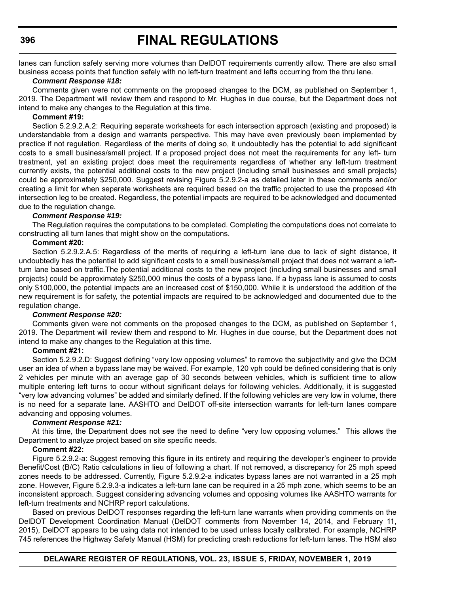lanes can function safely serving more volumes than DelDOT requirements currently allow. There are also small business access points that function safely with no left-turn treatment and lefts occurring from the thru lane.

#### *Comment Response #18:*

Comments given were not comments on the proposed changes to the DCM, as published on September 1, 2019. The Department will review them and respond to Mr. Hughes in due course, but the Department does not intend to make any changes to the Regulation at this time.

### **Comment #19:**

Section 5.2.9.2.A.2: Requiring separate worksheets for each intersection approach (existing and proposed) is understandable from a design and warrants perspective. This may have even previously been implemented by practice if not regulation. Regardless of the merits of doing so, it undoubtedly has the potential to add significant costs to a small business/small project. If a proposed project does not meet the requirements for any left- turn treatment, yet an existing project does meet the requirements regardless of whether any left-turn treatment currently exists, the potential additional costs to the new project (including small businesses and small projects) could be approximately \$250,000. Suggest revising Figure 5.2.9.2-a as detailed later in these comments and/or creating a limit for when separate worksheets are required based on the traffic projected to use the proposed 4th intersection leg to be created. Regardless, the potential impacts are required to be acknowledged and documented due to the regulation change.

### *Comment Response #19:*

The Regulation requires the computations to be completed. Completing the computations does not correlate to constructing all turn lanes that might show on the computations.

# **Comment #20:**

Section 5.2.9.2.A.5: Regardless of the merits of requiring a left-turn lane due to lack of sight distance, it undoubtedly has the potential to add significant costs to a small business/small project that does not warrant a leftturn lane based on traffic.The potential additional costs to the new project (including small businesses and small projects) could be approximately \$250,000 minus the costs of a bypass lane. If a bypass lane is assumed to costs only \$100,000, the potential impacts are an increased cost of \$150,000. While it is understood the addition of the new requirement is for safety, the potential impacts are required to be acknowledged and documented due to the regulation change.

#### *Comment Response #20:*

Comments given were not comments on the proposed changes to the DCM, as published on September 1, 2019. The Department will review them and respond to Mr. Hughes in due course, but the Department does not intend to make any changes to the Regulation at this time.

#### **Comment #21:**

Section 5.2.9.2.D: Suggest defining "very low opposing volumes" to remove the subjectivity and give the DCM user an idea of when a bypass lane may be waived. For example, 120 vph could be defined considering that is only 2 vehicles per minute with an average gap of 30 seconds between vehicles, which is sufficient time to allow multiple entering left turns to occur without significant delays for following vehicles. Additionally, it is suggested "very low advancing volumes" be added and similarly defined. If the following vehicles are very low in volume, there is no need for a separate lane. AASHTO and DelDOT off-site intersection warrants for left-turn lanes compare advancing and opposing volumes.

# *Comment Response #21:*

At this time, the Department does not see the need to define "very low opposing volumes." This allows the Department to analyze project based on site specific needs.

#### **Comment #22:**

Figure 5.2.9.2-a: Suggest removing this figure in its entirety and requiring the developer's engineer to provide Benefit/Cost (B/C) Ratio calculations in lieu of following a chart. If not removed, a discrepancy for 25 mph speed zones needs to be addressed. Currently, Figure 5.2.9.2-a indicates bypass lanes are not warranted in a 25 mph zone. However, Figure 5.2.9.3-a indicates a left-turn lane can be required in a 25 mph zone, which seems to be an inconsistent approach. Suggest considering advancing volumes and opposing volumes like AASHTO warrants for left-turn treatments and NCHRP report calculations.

Based on previous DelDOT responses regarding the left-turn lane warrants when providing comments on the DelDOT Development Coordination Manual (DelDOT comments from November 14, 2014, and February 11, 2015), DelDOT appears to be using data not intended to be used unless locally calibrated. For example, NCHRP 745 references the Highway Safety Manual (HSM) for predicting crash reductions for left-turn lanes. The HSM also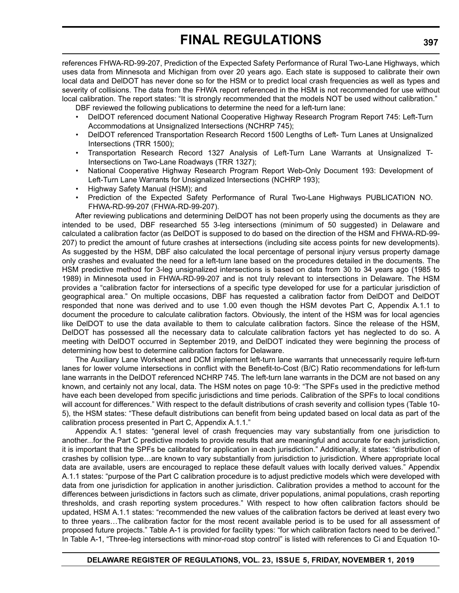references FHWA-RD-99-207, Prediction of the Expected Safety Performance of Rural Two-Lane Highways, which uses data from Minnesota and Michigan from over 20 years ago. Each state is supposed to calibrate their own local data and DelDOT has never done so for the HSM or to predict local crash frequencies as well as types and severity of collisions. The data from the FHWA report referenced in the HSM is not recommended for use without local calibration. The report states: "It is strongly recommended that the models NOT be used without calibration."

DBF reviewed the following publications to determine the need for a left-turn lane:

- DelDOT referenced document National Cooperative Highway Research Program Report 745: Left-Turn Accommodations at Unsignalized Intersections (NCHRP 745);
- DelDOT referenced Transportation Research Record 1500 Lengths of Left- Turn Lanes at Unsignalized Intersections (TRR 1500);
- Transportation Research Record 1327 Analysis of Left-Turn Lane Warrants at Unsignalized T-Intersections on Two-Lane Roadways (TRR 1327);
- National Cooperative Highway Research Program Report Web-Only Document 193: Development of Left-Turn Lane Warrants for Unsignalized Intersections (NCHRP 193);
- Highway Safety Manual (HSM); and
- Prediction of the Expected Safety Performance of Rural Two-Lane Highways PUBLICATION NO. FHWA-RD-99-207 (FHWA-RD-99-207).

After reviewing publications and determining DelDOT has not been properly using the documents as they are intended to be used, DBF researched 55 3-leg intersections (minimum of 50 suggested) in Delaware and calculated a calibration factor (as DelDOT is supposed to do based on the direction of the HSM and FHWA-RD-99- 207) to predict the amount of future crashes at intersections (including site access points for new developments). As suggested by the HSM, DBF also calculated the local percentage of personal injury versus property damage only crashes and evaluated the need for a left-turn lane based on the procedures detailed in the documents. The HSM predictive method for 3-leg unsignalized intersections is based on data from 30 to 34 years ago (1985 to 1989) in Minnesota used in FHWA-RD-99-207 and is not truly relevant to intersections in Delaware. The HSM provides a "calibration factor for intersections of a specific type developed for use for a particular jurisdiction of geographical area." On multiple occasions, DBF has requested a calibration factor from DelDOT and DelDOT responded that none was derived and to use 1.00 even though the HSM devotes Part C, Appendix A.1.1 to document the procedure to calculate calibration factors. Obviously, the intent of the HSM was for local agencies like DelDOT to use the data available to them to calculate calibration factors. Since the release of the HSM, DelDOT has possessed all the necessary data to calculate calibration factors yet has neglected to do so. A meeting with DelDOT occurred in September 2019, and DelDOT indicated they were beginning the process of determining how best to determine calibration factors for Delaware.

The Auxiliary Lane Worksheet and DCM implement left-turn lane warrants that unnecessarily require left-turn lanes for lower volume intersections in conflict with the Benefit-to-Cost (B/C) Ratio recommendations for left-turn lane warrants in the DelDOT referenced NCHRP 745. The left-turn lane warrants in the DCM are not based on any known, and certainly not any local, data. The HSM notes on page 10-9: "The SPFs used in the predictive method have each been developed from specific jurisdictions and time periods. Calibration of the SPFs to local conditions will account for differences." With respect to the default distributions of crash severity and collision types (Table 10- 5), the HSM states: "These default distributions can benefit from being updated based on local data as part of the calibration process presented in Part C, Appendix A.1.1."

Appendix A.1 states: "general level of crash frequencies may vary substantially from one jurisdiction to another...for the Part C predictive models to provide results that are meaningful and accurate for each jurisdiction, it is important that the SPFs be calibrated for application in each jurisdiction." Additionally, it states: "distribution of crashes by collision type…are known to vary substantially from jurisdiction to jurisdiction. Where appropriate local data are available, users are encouraged to replace these default values with locally derived values." Appendix A.1.1 states: "purpose of the Part C calibration procedure is to adjust predictive models which were developed with data from one jurisdiction for application in another jurisdiction. Calibration provides a method to account for the differences between jurisdictions in factors such as climate, driver populations, animal populations, crash reporting thresholds, and crash reporting system procedures." With respect to how often calibration factors should be updated, HSM A.1.1 states: "recommended the new values of the calibration factors be derived at least every two to three years…The calibration factor for the most recent available period is to be used for all assessment of proposed future projects." Table A-1 is provided for facility types: "for which calibration factors need to be derived." In Table A-1, "Three-leg intersections with minor-road stop control" is listed with references to Ci and Equation 10-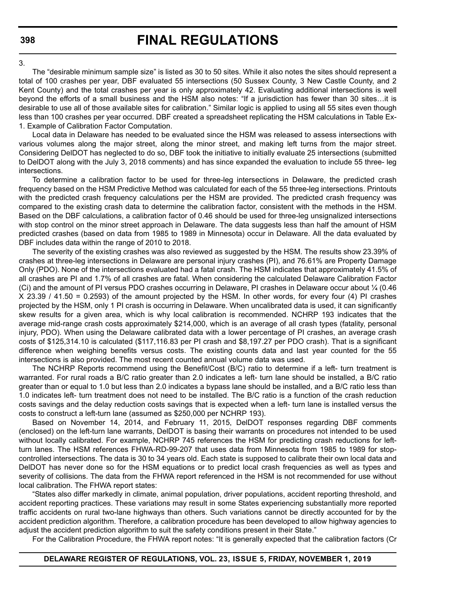#### 3.

The "desirable minimum sample size" is listed as 30 to 50 sites. While it also notes the sites should represent a total of 100 crashes per year, DBF evaluated 55 intersections (50 Sussex County, 3 New Castle County, and 2 Kent County) and the total crashes per year is only approximately 42. Evaluating additional intersections is well beyond the efforts of a small business and the HSM also notes: "If a jurisdiction has fewer than 30 sites…it is desirable to use all of those available sites for calibration." Similar logic is applied to using all 55 sites even though less than 100 crashes per year occurred. DBF created a spreadsheet replicating the HSM calculations in Table Ex-1. Example of Calibration Factor Computation.

Local data in Delaware has needed to be evaluated since the HSM was released to assess intersections with various volumes along the major street, along the minor street, and making left turns from the major street. Considering DelDOT has neglected to do so, DBF took the initiative to initially evaluate 25 intersections (submitted to DelDOT along with the July 3, 2018 comments) and has since expanded the evaluation to include 55 three- leg intersections.

To determine a calibration factor to be used for three-leg intersections in Delaware, the predicted crash frequency based on the HSM Predictive Method was calculated for each of the 55 three-leg intersections. Printouts with the predicted crash frequency calculations per the HSM are provided. The predicted crash frequency was compared to the existing crash data to determine the calibration factor, consistent with the methods in the HSM. Based on the DBF calculations, a calibration factor of 0.46 should be used for three-leg unsignalized intersections with stop control on the minor street approach in Delaware. The data suggests less than half the amount of HSM predicted crashes (based on data from 1985 to 1989 in Minnesota) occur in Delaware. All the data evaluated by DBF includes data within the range of 2010 to 2018.

The severity of the existing crashes was also reviewed as suggested by the HSM. The results show 23.39% of crashes at three-leg intersections in Delaware are personal injury crashes (PI), and 76.61% are Property Damage Only (PDO). None of the intersections evaluated had a fatal crash. The HSM indicates that approximately 41.5% of all crashes are PI and 1.7% of all crashes are fatal. When considering the calculated Delaware Calibration Factor (Ci) and the amount of PI versus PDO crashes occurring in Delaware, PI crashes in Delaware occur about ¼ (0.46 X 23.39 / 41.50 = 0.2593) of the amount projected by the HSM. In other words, for every four (4) PI crashes projected by the HSM, only 1 PI crash is occurring in Delaware. When uncalibrated data is used, it can significantly skew results for a given area, which is why local calibration is recommended. NCHRP 193 indicates that the average mid-range crash costs approximately \$214,000, which is an average of all crash types (fatality, personal injury, PDO). When using the Delaware calibrated data with a lower percentage of PI crashes, an average crash costs of \$125,314.10 is calculated (\$117,116.83 per PI crash and \$8,197.27 per PDO crash). That is a significant difference when weighing benefits versus costs. The existing counts data and last year counted for the 55 intersections is also provided. The most recent counted annual volume data was used.

The NCHRP Reports recommend using the Benefit/Cost (B/C) ratio to determine if a left- turn treatment is warranted. For rural roads a B/C ratio greater than 2.0 indicates a left- turn lane should be installed, a B/C ratio greater than or equal to 1.0 but less than 2.0 indicates a bypass lane should be installed, and a B/C ratio less than 1.0 indicates left- turn treatment does not need to be installed. The B/C ratio is a function of the crash reduction costs savings and the delay reduction costs savings that is expected when a left- turn lane is installed versus the costs to construct a left-turn lane (assumed as \$250,000 per NCHRP 193).

Based on November 14, 2014, and February 11, 2015, DelDOT responses regarding DBF comments (enclosed) on the left-turn lane warrants, DelDOT is basing their warrants on procedures not intended to be used without locally calibrated. For example, NCHRP 745 references the HSM for predicting crash reductions for leftturn lanes. The HSM references FHWA-RD-99-207 that uses data from Minnesota from 1985 to 1989 for stopcontrolled intersections. The data is 30 to 34 years old. Each state is supposed to calibrate their own local data and DelDOT has never done so for the HSM equations or to predict local crash frequencies as well as types and severity of collisions. The data from the FHWA report referenced in the HSM is not recommended for use without local calibration. The FHWA report states:

"States also differ markedly in climate, animal population, driver populations, accident reporting threshold, and accident reporting practices. These variations may result in some States experiencing substantially more reported traffic accidents on rural two-lane highways than others. Such variations cannot be directly accounted for by the accident prediction algorithm. Therefore, a calibration procedure has been developed to allow highway agencies to adjust the accident prediction algorithm to suit the safety conditions present in their State."

For the Calibration Procedure, the FHWA report notes: "It is generally expected that the calibration factors (Cr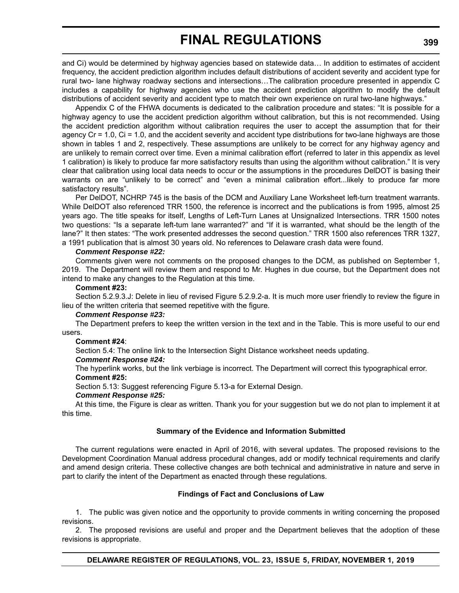and Ci) would be determined by highway agencies based on statewide data… In addition to estimates of accident frequency, the accident prediction algorithm includes default distributions of accident severity and accident type for rural two- lane highway roadway sections and intersections…The calibration procedure presented in appendix C includes a capability for highway agencies who use the accident prediction algorithm to modify the default distributions of accident severity and accident type to match their own experience on rural two-lane highways."

Appendix C of the FHWA documents is dedicated to the calibration procedure and states: "It is possible for a highway agency to use the accident prediction algorithm without calibration, but this is not recommended. Using the accident prediction algorithm without calibration requires the user to accept the assumption that for their agency Cr = 1.0, Ci = 1.0, and the accident severity and accident type distributions for two-lane highways are those shown in tables 1 and 2, respectively. These assumptions are unlikely to be correct for any highway agency and are unlikely to remain correct over time. Even a minimal calibration effort (referred to later in this appendix as level 1 calibration) is likely to produce far more satisfactory results than using the algorithm without calibration." It is very clear that calibration using local data needs to occur or the assumptions in the procedures DelDOT is basing their warrants on are "unlikely to be correct" and "even a minimal calibration effort...likely to produce far more satisfactory results".

Per DelDOT, NCHRP 745 is the basis of the DCM and Auxiliary Lane Worksheet left-turn treatment warrants. While DelDOT also referenced TRR 1500, the reference is incorrect and the publications is from 1995, almost 25 years ago. The title speaks for itself, Lengths of Left-Turn Lanes at Unsignalized Intersections. TRR 1500 notes two questions: "Is a separate left-tum lane warranted?" and "If it is warranted, what should be the length of the lane?" It then states: "The work presented addresses the second question." TRR 1500 also references TRR 1327, a 1991 publication that is almost 30 years old. No references to Delaware crash data were found.

#### *Comment Response #22:*

Comments given were not comments on the proposed changes to the DCM, as published on September 1, 2019. The Department will review them and respond to Mr. Hughes in due course, but the Department does not intend to make any changes to the Regulation at this time.

#### **Comment #23:**

Section 5.2.9.3.J: Delete in lieu of revised Figure 5.2.9.2-a. It is much more user friendly to review the figure in lieu of the written criteria that seemed repetitive with the figure.

#### *Comment Response #23:*

The Department prefers to keep the written version in the text and in the Table. This is more useful to our end users.

#### **Comment #24**:

Section 5.4: The online link to the Intersection Sight Distance worksheet needs updating.

#### *Comment Response #24:*

The hyperlink works, but the link verbiage is incorrect. The Department will correct this typographical error. **Comment #25:**

Section 5.13: Suggest referencing Figure 5.13-a for External Design.

### *Comment Response #25:*

At this time, the Figure is clear as written. Thank you for your suggestion but we do not plan to implement it at this time.

#### **Summary of the Evidence and Information Submitted**

The current regulations were enacted in April of 2016, with several updates. The proposed revisions to the Development Coordination Manual address procedural changes, add or modify technical requirements and clarify and amend design criteria. These collective changes are both technical and administrative in nature and serve in part to clarify the intent of the Department as enacted through these regulations.

#### **Findings of Fact and Conclusions of Law**

1. The public was given notice and the opportunity to provide comments in writing concerning the proposed revisions.

2. The proposed revisions are useful and proper and the Department believes that the adoption of these revisions is appropriate.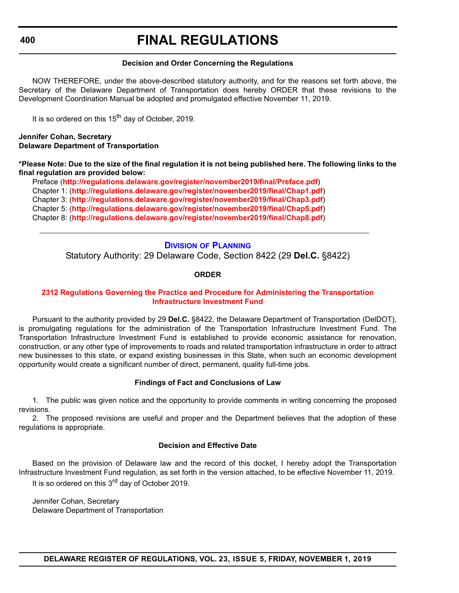### **Decision and Order Concerning the Regulations**

NOW THEREFORE, under the above-described statutory authority, and for the reasons set forth above, the Secretary of the Delaware Department of Transportation does hereby ORDER that these revisions to the Development Coordination Manual be adopted and promulgated effective November 11, 2019.

It is so ordered on this  $15<sup>th</sup>$  day of October, 2019.

### **Jennifer Cohan, Secretary Delaware Department of Transportation**

**\*Please Note: Due to the size of the final regulation it is not being published here. The following links to the final regulation are provided below:**

Preface (**[http://regulations.delaware.gov/register/november2019/final/Preface.pdf](http://regulations.delaware.gov/register/ november2019/final/Preface.pdf)**) [Chapter 1: \(](http://regulations.delaware.gov/register/november2019/final/Chap1.pdf)**<http://regulations.delaware.gov/register/november2019/final/Chap1.pdf>**) [Chapter 3: \(](http://regulations.delaware.gov/register/november2019/final/Chap3.pdf)**<http://regulations.delaware.gov/register/november2019/final/Chap3.pdf>**) [Chapter 5: \(](http://regulations.delaware.gov/register/november2019/final/Chap5.pdf)**<http://regulations.delaware.gov/register/november2019/final/Chap5.pdf>**) [Chapter 8: \(](http://regulations.delaware.gov/register/november2019/final/Chap8.pdf)**<http://regulations.delaware.gov/register/november2019/final/Chap8.pdf>**)

# **DIVISION [OF PLANNING](https://www.deldot.gov/About/divisions/index.shtml )**

Statutory Authority: 29 Delaware Code, Section 8422 (29 **Del.C.** §8422)

### **ORDER**

## **[2312 Regulations Governing the Practice and Procedure for Administering the Transportation](#page-4-0)  Infrastructure Investment Fund**

Pursuant to the authority provided by 29 **Del.C.** §8422, the Delaware Department of Transportation (DelDOT), is promulgating regulations for the administration of the Transportation Infrastructure Investment Fund. The Transportation Infrastructure Investment Fund is established to provide economic assistance for renovation, construction, or any other type of improvements to roads and related transportation infrastructure in order to attract new businesses to this state, or expand existing businesses in this State, when such an economic development opportunity would create a significant number of direct, permanent, quality full-time jobs.

# **Findings of Fact and Conclusions of Law**

1. The public was given notice and the opportunity to provide comments in writing concerning the proposed revisions.

2. The proposed revisions are useful and proper and the Department believes that the adoption of these regulations is appropriate.

# **Decision and Effective Date**

Based on the provision of Delaware law and the record of this docket, I hereby adopt the Transportation Infrastructure Investment Fund regulation, as set forth in the version attached, to be effective November 11, 2019. It is so ordered on this 3<sup>rd</sup> day of October 2019.

Jennifer Cohan, Secretary Delaware Department of Transportation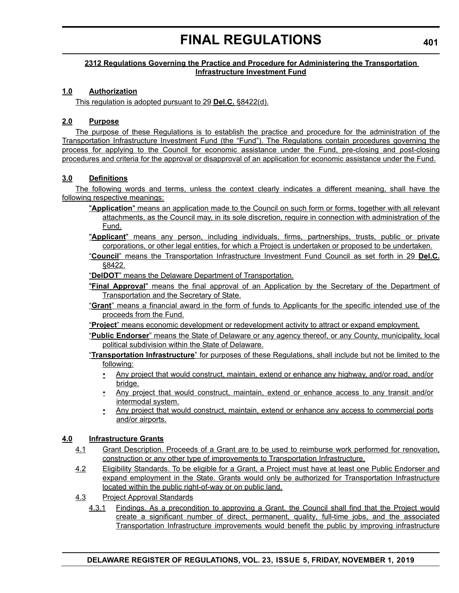# **2312 Regulations Governing the Practice and Procedure for Administering the Transportation Infrastructure Investment Fund**

# **1.0 Authorization**

This regulation is adopted pursuant to 29 **Del.C.** §8422(d).

# **2.0 Purpose**

The purpose of these Regulations is to establish the practice and procedure for the administration of the Transportation Infrastructure Investment Fund (the "Fund"). The Regulations contain procedures governing the process for applying to the Council for economic assistance under the Fund, pre-closing and post-closing procedures and criteria for the approval or disapproval of an application for economic assistance under the Fund.

# **3.0 Definitions**

The following words and terms, unless the context clearly indicates a different meaning, shall have the following respective meanings:

- "**Application**" means an application made to the Council on such form or forms, together with all relevant attachments, as the Council may, in its sole discretion, require in connection with administration of the Fund.
- "**Applicant**" means any person, including individuals, firms, partnerships, trusts, public or private corporations, or other legal entities, for which a Project is undertaken or proposed to be undertaken.
- "**Council**" means the Transportation Infrastructure Investment Fund Council as set forth in 29 **Del.C.** §8422.

"**DelDOT**" means the Delaware Department of Transportation.

- "**Final Approval**" means the final approval of an Application by the Secretary of the Department of Transportation and the Secretary of State.
- "**Grant**" means a financial award in the form of funds to Applicants for the specific intended use of the proceeds from the Fund.
- "**Project**" means economic development or redevelopment activity to attract or expand employment.
- "**Public Endorser**" means the State of Delaware or any agency thereof, or any County, municipality, local political subdivision within the State of Delaware.
- "**Transportation Infrastructure**" for purposes of these Regulations, shall include but not be limited to the following:
	- Any project that would construct, maintain, extend or enhance any highway, and/or road, and/or bridge.
	- Any project that would construct, maintain, extend or enhance access to any transit and/or intermodal system.
	- Any project that would construct, maintain, extend or enhance any access to commercial ports and/or airports.

# **4.0 Infrastructure Grants**

- 4.1 Grant Description. Proceeds of a Grant are to be used to reimburse work performed for renovation, construction or any other type of improvements to Transportation Infrastructure.
- 4.2 Eligibility Standards. To be eligible for a Grant, a Project must have at least one Public Endorser and expand employment in the State. Grants would only be authorized for Transportation Infrastructure located within the public right-of-way or on public land.
- 4.3 Project Approval Standards
	- 4.3.1 Findings. As a precondition to approving a Grant, the Council shall find that the Project would create a significant number of direct, permanent, quality, full-time jobs, and the associated Transportation Infrastructure improvements would benefit the public by improving infrastructure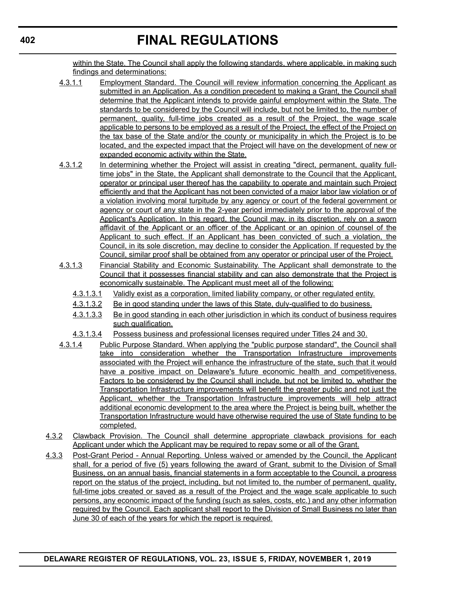within the State. The Council shall apply the following standards, where applicable, in making such findings and determinations:

- 4.3.1.1 Employment Standard. The Council will review information concerning the Applicant as submitted in an Application. As a condition precedent to making a Grant, the Council shall determine that the Applicant intends to provide gainful employment within the State. The standards to be considered by the Council will include, but not be limited to, the number of permanent, quality, full-time jobs created as a result of the Project, the wage scale applicable to persons to be employed as a result of the Project, the effect of the Project on the tax base of the State and/or the county or municipality in which the Project is to be located, and the expected impact that the Project will have on the development of new or expanded economic activity within the State.
- 4.3.1.2 In determining whether the Project will assist in creating "direct, permanent, quality fulltime jobs" in the State, the Applicant shall demonstrate to the Council that the Applicant, operator or principal user thereof has the capability to operate and maintain such Project efficiently and that the Applicant has not been convicted of a major labor law violation or of a violation involving moral turpitude by any agency or court of the federal government or agency or court of any state in the 2-year period immediately prior to the approval of the Applicant's Application. In this regard, the Council may, in its discretion, rely on a sworn affidavit of the Applicant or an officer of the Applicant or an opinion of counsel of the Applicant to such effect. If an Applicant has been convicted of such a violation, the Council, in its sole discretion, may decline to consider the Application. If requested by the Council, similar proof shall be obtained from any operator or principal user of the Project.
- 4.3.1.3 Financial Stability and Economic Sustainability. The Applicant shall demonstrate to the Council that it possesses financial stability and can also demonstrate that the Project is economically sustainable. The Applicant must meet all of the following:
	- 4.3.1.3.1 Validly exist as a corporation, limited liability company, or other regulated entity.
	- 4.3.1.3.2 Be in good standing under the laws of this State, duly-qualified to do business.
	- 4.3.1.3.3 Be in good standing in each other jurisdiction in which its conduct of business requires such qualification.
	- 4.3.1.3.4 Possess business and professional licenses required under Titles 24 and 30.
- 4.3.1.4 Public Purpose Standard. When applying the "public purpose standard", the Council shall take into consideration whether the Transportation Infrastructure improvements associated with the Project will enhance the infrastructure of the state, such that it would have a positive impact on Delaware's future economic health and competitiveness. Factors to be considered by the Council shall include, but not be limited to, whether the Transportation Infrastructure improvements will benefit the greater public and not just the Applicant, whether the Transportation Infrastructure improvements will help attract additional economic development to the area where the Project is being built, whether the Transportation Infrastructure would have otherwise required the use of State funding to be completed.
- 4.3.2 Clawback Provision. The Council shall determine appropriate clawback provisions for each Applicant under which the Applicant may be required to repay some or all of the Grant.
- 4.3.3 Post-Grant Period Annual Reporting. Unless waived or amended by the Council, the Applicant shall, for a period of five (5) years following the award of Grant, submit to the Division of Small Business, on an annual basis, financial statements in a form acceptable to the Council, a progress report on the status of the project, including, but not limited to, the number of permanent, quality, full-time jobs created or saved as a result of the Project and the wage scale applicable to such persons, any economic impact of the funding (such as sales, costs, etc.) and any other information required by the Council. Each applicant shall report to the Division of Small Business no later than June 30 of each of the years for which the report is required.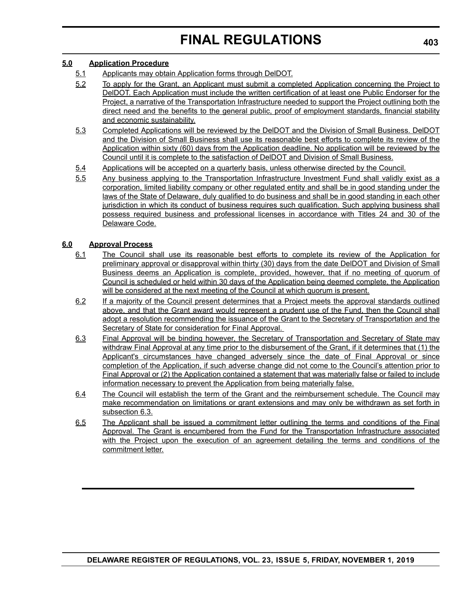### **5.0 Application Procedure**

- 5.1 Applicants may obtain Application forms through DelDOT.
- 5.2 To apply for the Grant, an Applicant must submit a completed Application concerning the Project to DelDOT. Each Application must include the written certification of at least one Public Endorser for the Project, a narrative of the Transportation Infrastructure needed to support the Project outlining both the direct need and the benefits to the general public, proof of employment standards, financial stability and economic sustainability.
- 5.3 Completed Applications will be reviewed by the DelDOT and the Division of Small Business. DelDOT and the Division of Small Business shall use its reasonable best efforts to complete its review of the Application within sixty (60) days from the Application deadline. No application will be reviewed by the Council until it is complete to the satisfaction of DelDOT and Division of Small Business.
- 5.4 Applications will be accepted on a quarterly basis, unless otherwise directed by the Council.
- 5.5 Any business applying to the Transportation Infrastructure Investment Fund shall validly exist as a corporation, limited liability company or other regulated entity and shall be in good standing under the laws of the State of Delaware, duly qualified to do business and shall be in good standing in each other jurisdiction in which its conduct of business requires such qualification. Such applying business shall possess required business and professional licenses in accordance with Titles 24 and 30 of the Delaware Code.

## **6.0 Approval Process**

- 6.1 The Council shall use its reasonable best efforts to complete its review of the Application for preliminary approval or disapproval within thirty (30) days from the date DelDOT and Division of Small Business deems an Application is complete, provided, however, that if no meeting of quorum of Council is scheduled or held within 30 days of the Application being deemed complete, the Application will be considered at the next meeting of the Council at which quorum is present.
- 6.2 If a majority of the Council present determines that a Project meets the approval standards outlined above, and that the Grant award would represent a prudent use of the Fund, then the Council shall adopt a resolution recommending the issuance of the Grant to the Secretary of Transportation and the Secretary of State for consideration for Final Approval.
- 6.3 Final Approval will be binding however, the Secretary of Transportation and Secretary of State may withdraw Final Approval at any time prior to the disbursement of the Grant, if it determines that (1) the Applicant's circumstances have changed adversely since the date of Final Approval or since completion of the Application, if such adverse change did not come to the Council's attention prior to Final Approval or (2) the Application contained a statement that was materially false or failed to include information necessary to prevent the Application from being materially false.
- 6.4 The Council will establish the term of the Grant and the reimbursement schedule. The Council may make recommendation on limitations or grant extensions and may only be withdrawn as set forth in subsection 6.3.
- 6.5 The Applicant shall be issued a commitment letter outlining the terms and conditions of the Final Approval. The Grant is encumbered from the Fund for the Transportation Infrastructure associated with the Project upon the execution of an agreement detailing the terms and conditions of the commitment letter.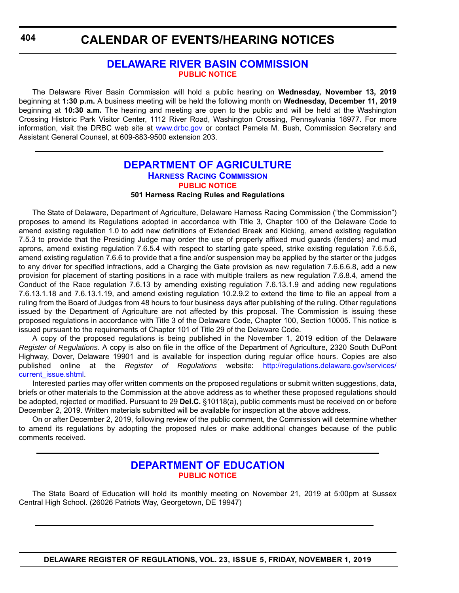**CALENDAR OF EVENTS/HEARING NOTICES**

# **[DELAWARE RIVER BASIN COMMISSION](https://www.state.nj.us/drbc/) [PUBLIC NOTICE](#page-4-0)**

The Delaware River Basin Commission will hold a public hearing on **Wednesday, November 13, 2019** beginning at **1:30 p.m.** A business meeting will be held the following month on **Wednesday, December 11, 2019** beginning at **10:30 a.m.** The hearing and meeting are open to the public and will be held at the Washington Crossing Historic Park Visitor Center, 1112 River Road, Washington Crossing, Pennsylvania 18977. For more information, visit the DRBC web site at <www.drbc.gov> or contact Pamela M. Bush, Commission Secretary and Assistant General Counsel, at 609-883-9500 extension 203.

## **[DEPARTMENT OF AGRICULTURE](https://agriculture.delaware.gov/) [HARNESS RACING COMMISSION](https://agriculture.delaware.gov/harness-racing-commission/) [PUBLIC NOTICE](#page-4-0) 501 Harness Racing Rules and Regulations**

The State of Delaware, Department of Agriculture, Delaware Harness Racing Commission ("the Commission") proposes to amend its Regulations adopted in accordance with Title 3, Chapter 100 of the Delaware Code to amend existing regulation 1.0 to add new definitions of Extended Break and Kicking, amend existing regulation 7.5.3 to provide that the Presiding Judge may order the use of properly affixed mud guards (fenders) and mud aprons, amend existing regulation 7.6.5.4 with respect to starting gate speed, strike existing regulation 7.6.5.6, amend existing regulation 7.6.6 to provide that a fine and/or suspension may be applied by the starter or the judges to any driver for specified infractions, add a Charging the Gate provision as new regulation 7.6.6.6.8, add a new provision for placement of starting positions in a race with multiple trailers as new regulation 7.6.8.4, amend the Conduct of the Race regulation 7.6.13 by amending existing regulation 7.6.13.1.9 and adding new regulations 7.6.13.1.18 and 7.6.13.1.19, and amend existing regulation 10.2.9.2 to extend the time to file an appeal from a ruling from the Board of Judges from 48 hours to four business days after publishing of the ruling. Other regulations issued by the Department of Agriculture are not affected by this proposal. The Commission is issuing these proposed regulations in accordance with Title 3 of the Delaware Code, Chapter 100, Section 10005. This notice is issued pursuant to the requirements of Chapter 101 of Title 29 of the Delaware Code.

A copy of the proposed regulations is being published in the November 1, 2019 edition of the Delaware *Register of Regulations*. A copy is also on file in the office of the Department of Agriculture, 2320 South DuPont Highway, Dover, Delaware 19901 and is available for inspection during regular office hours. Copies are also published online at the *Register of Regulations* website: [http://regulations.delaware.gov/services/](http://regulations.delaware.gov/services/current_issue.shtml) [current\\_issue.shtml.](http://regulations.delaware.gov/services/current_issue.shtml)

Interested parties may offer written comments on the proposed regulations or submit written suggestions, data, briefs or other materials to the Commission at the above address as to whether these proposed regulations should be adopted, rejected or modified. Pursuant to 29 **Del.C.** §10118(a), public comments must be received on or before December 2, 2019. Written materials submitted will be available for inspection at the above address.

On or after December 2, 2019, following review of the public comment, the Commission will determine whether to amend its regulations by adopting the proposed rules or make additional changes because of the public comments received.

# **[DEPARTMENT OF EDUCATION](https://www.doe.k12.de.us/) [PUBLIC NOTICE](#page-4-0)**

The State Board of Education will hold its monthly meeting on November 21, 2019 at 5:00pm at Sussex Central High School. (26026 Patriots Way, Georgetown, DE 19947)

**DELAWARE REGISTER OF REGULATIONS, VOL. 23, ISSUE 5, FRIDAY, NOVEMBER 1, 2019**

**404**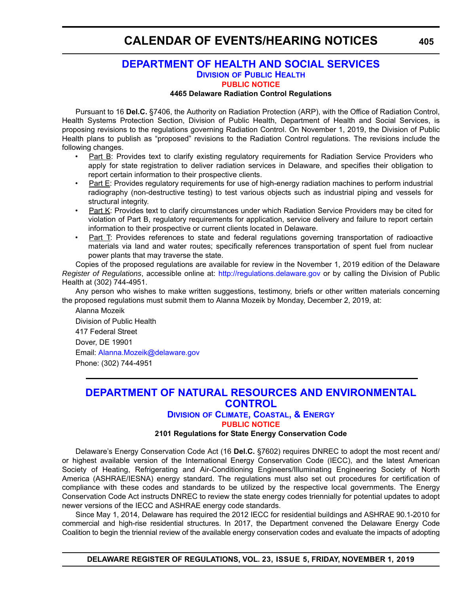# **CALENDAR OF EVENTS/HEARING NOTICES**

# **[DEPARTMENT OF HEALTH AND SOCIAL SERVICES](https://www.dhss.delaware.gov/dhss/index.html) DIVISION [OF PUBLIC HEALTH](https://www.dhss.delaware.gov/dhss/dph/index.html) [PUBLIC NOTICE](#page-4-0)**

#### **4465 Delaware Radiation Control Regulations**

Pursuant to 16 **Del.C.** §7406, the Authority on Radiation Protection (ARP), with the Office of Radiation Control, Health Systems Protection Section, Division of Public Health, Department of Health and Social Services, is proposing revisions to the regulations governing Radiation Control. On November 1, 2019, the Division of Public Health plans to publish as "proposed" revisions to the Radiation Control regulations. The revisions include the following changes.

- Part B: Provides text to clarify existing regulatory requirements for Radiation Service Providers who apply for state registration to deliver radiation services in Delaware, and specifies their obligation to report certain information to their prospective clients.
- Part E: Provides regulatory requirements for use of high-energy radiation machines to perform industrial radiography (non-destructive testing) to test various objects such as industrial piping and vessels for structural integrity.
- Part K: Provides text to clarify circumstances under which Radiation Service Providers may be cited for violation of Part B, regulatory requirements for application, service delivery and failure to report certain information to their prospective or current clients located in Delaware.
- Part T: Provides references to state and federal regulations governing transportation of radioactive materials via land and water routes; specifically references transportation of spent fuel from nuclear power plants that may traverse the state.

Copies of the proposed regulations are available for review in the November 1, 2019 edition of the Delaware *Register of Regulations*, accessible online at: <http://regulations.delaware.gov>or by calling the Division of Public Health at (302) 744-4951.

Any person who wishes to make written suggestions, testimony, briefs or other written materials concerning the proposed regulations must submit them to Alanna Mozeik by Monday, December 2, 2019, at:

Alanna Mozeik Division of Public Health 417 Federal Street Dover, DE 19901 Email: [Alanna.Mozeik@delaware.gov](mailto:Alanna.Mozeik@delaware.gov) Phone: (302) 744-4951

# **[DEPARTMENT OF NATURAL RESOURCES AND ENVIRONMENTAL](https://dnrec.alpha.delaware.gov/)  [CONTROL](https://dnrec.alpha.delaware.gov/)**

#### **DIVISION [OF CLIMATE, COASTAL, & ENERGY](https://dnrec.alpha.delaware.gov/climate-coastal-energy/)**

**[PUBLIC NOTICE](#page-4-0)**

#### **2101 Regulations for State Energy Conservation Code**

Delaware's Energy Conservation Code Act (16 **Del.C.** §7602) requires DNREC to adopt the most recent and/ or highest available version of the International Energy Conservation Code (IECC), and the latest American Society of Heating, Refrigerating and Air-Conditioning Engineers/Illuminating Engineering Society of North America (ASHRAE/IESNA) energy standard. The regulations must also set out procedures for certification of compliance with these codes and standards to be utilized by the respective local governments. The Energy Conservation Code Act instructs DNREC to review the state energy codes triennially for potential updates to adopt newer versions of the IECC and ASHRAE energy code standards.

Since May 1, 2014, Delaware has required the 2012 IECC for residential buildings and ASHRAE 90.1-2010 for commercial and high-rise residential structures. In 2017, the Department convened the Delaware Energy Code Coalition to begin the triennial review of the available energy conservation codes and evaluate the impacts of adopting

**DELAWARE REGISTER OF REGULATIONS, VOL. 23, ISSUE 5, FRIDAY, NOVEMBER 1, 2019**

**405**